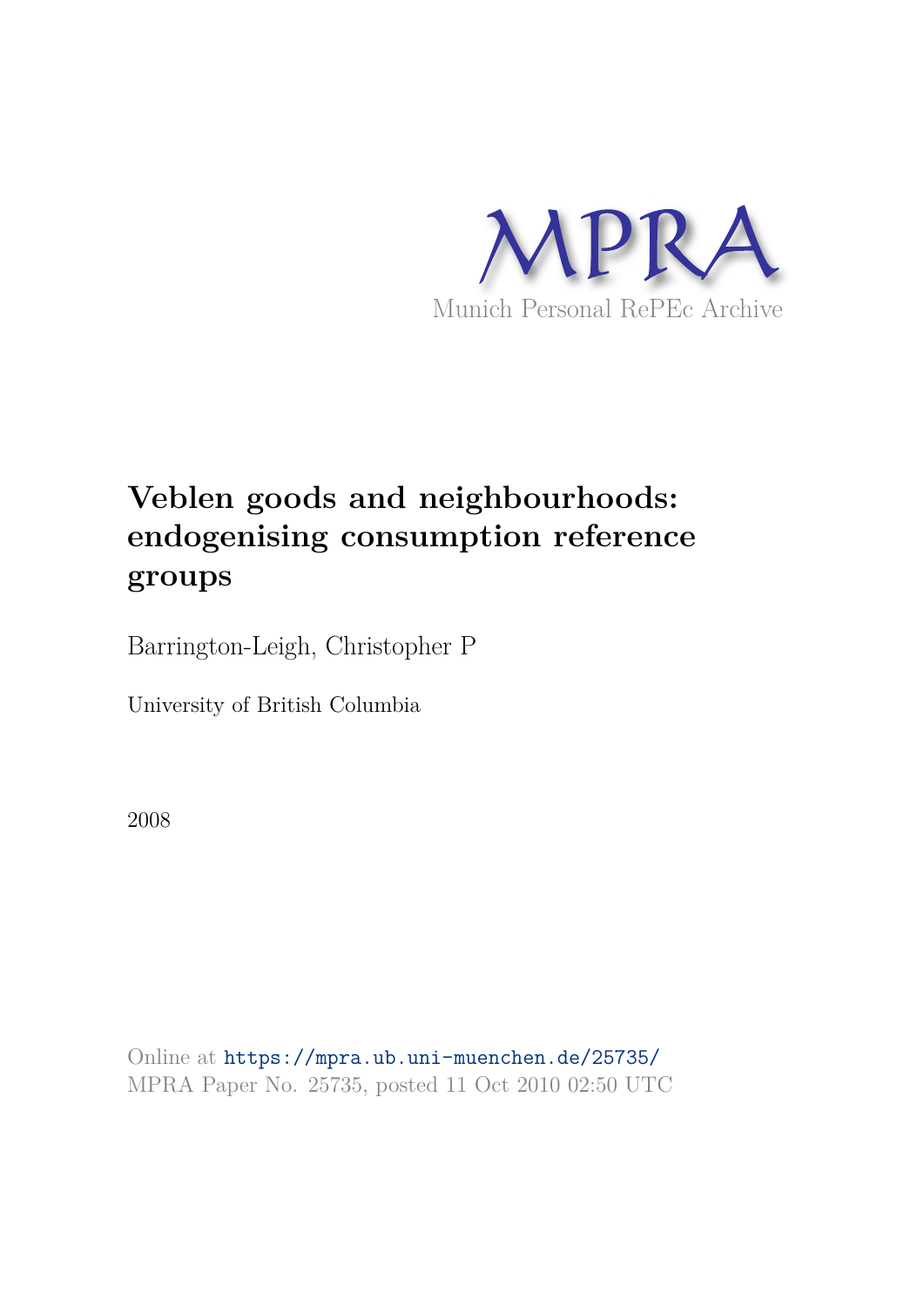

# **Veblen goods and neighbourhoods: endogenising consumption reference groups**

Barrington-Leigh, Christopher P

University of British Columbia

2008

Online at https://mpra.ub.uni-muenchen.de/25735/ MPRA Paper No. 25735, posted 11 Oct 2010 02:50 UTC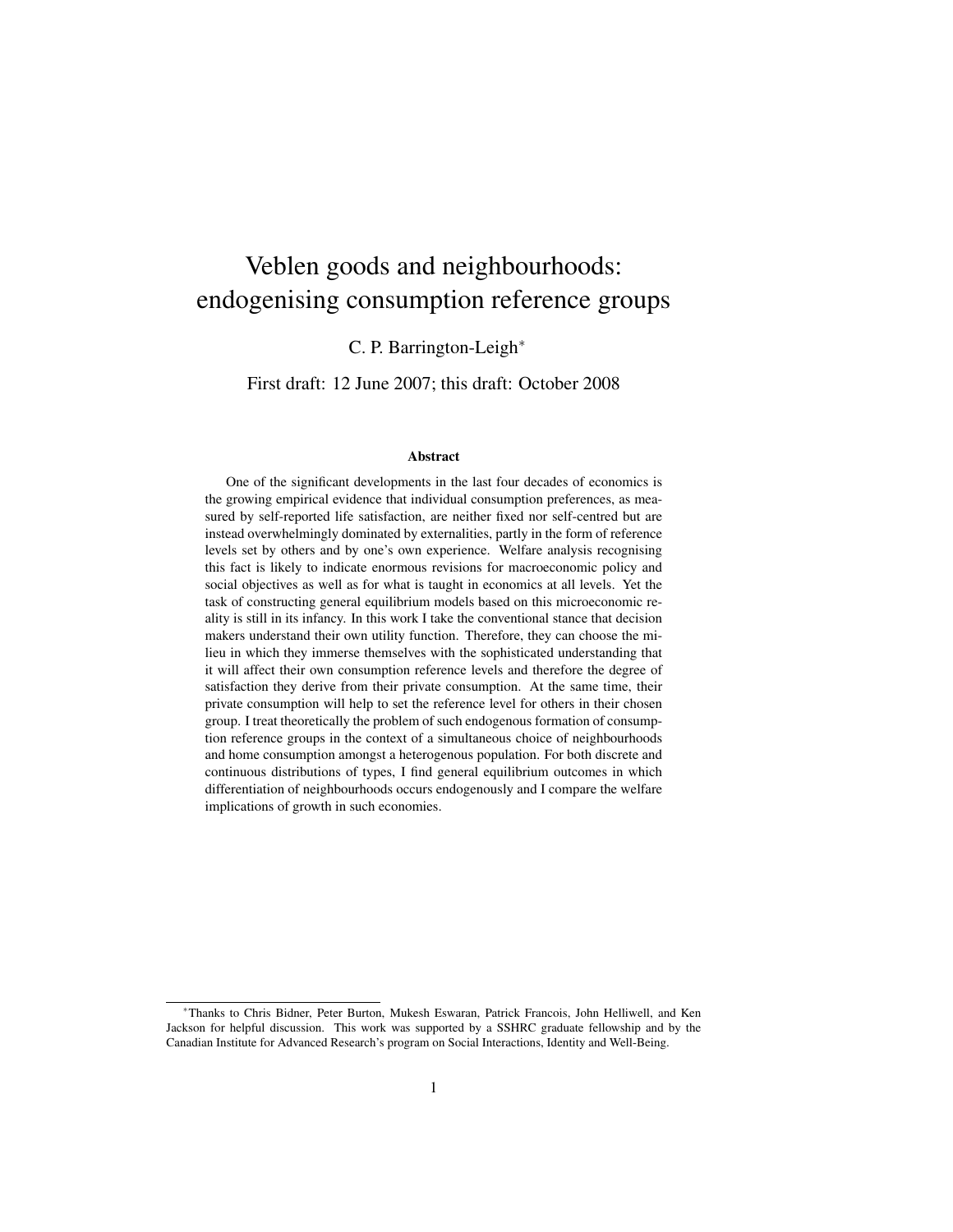## Veblen goods and neighbourhoods: endogenising consumption reference groups

C. P. Barrington-Leigh<sup>∗</sup>

First draft: 12 June 2007; this draft: October 2008

#### Abstract

One of the significant developments in the last four decades of economics is the growing empirical evidence that individual consumption preferences, as measured by self-reported life satisfaction, are neither fixed nor self-centred but are instead overwhelmingly dominated by externalities, partly in the form of reference levels set by others and by one's own experience. Welfare analysis recognising this fact is likely to indicate enormous revisions for macroeconomic policy and social objectives as well as for what is taught in economics at all levels. Yet the task of constructing general equilibrium models based on this microeconomic reality is still in its infancy. In this work I take the conventional stance that decision makers understand their own utility function. Therefore, they can choose the milieu in which they immerse themselves with the sophisticated understanding that it will affect their own consumption reference levels and therefore the degree of satisfaction they derive from their private consumption. At the same time, their private consumption will help to set the reference level for others in their chosen group. I treat theoretically the problem of such endogenous formation of consumption reference groups in the context of a simultaneous choice of neighbourhoods and home consumption amongst a heterogenous population. For both discrete and continuous distributions of types, I find general equilibrium outcomes in which differentiation of neighbourhoods occurs endogenously and I compare the welfare implications of growth in such economies.

<sup>∗</sup>Thanks to Chris Bidner, Peter Burton, Mukesh Eswaran, Patrick Francois, John Helliwell, and Ken Jackson for helpful discussion. This work was supported by a SSHRC graduate fellowship and by the Canadian Institute for Advanced Research's program on Social Interactions, Identity and Well-Being.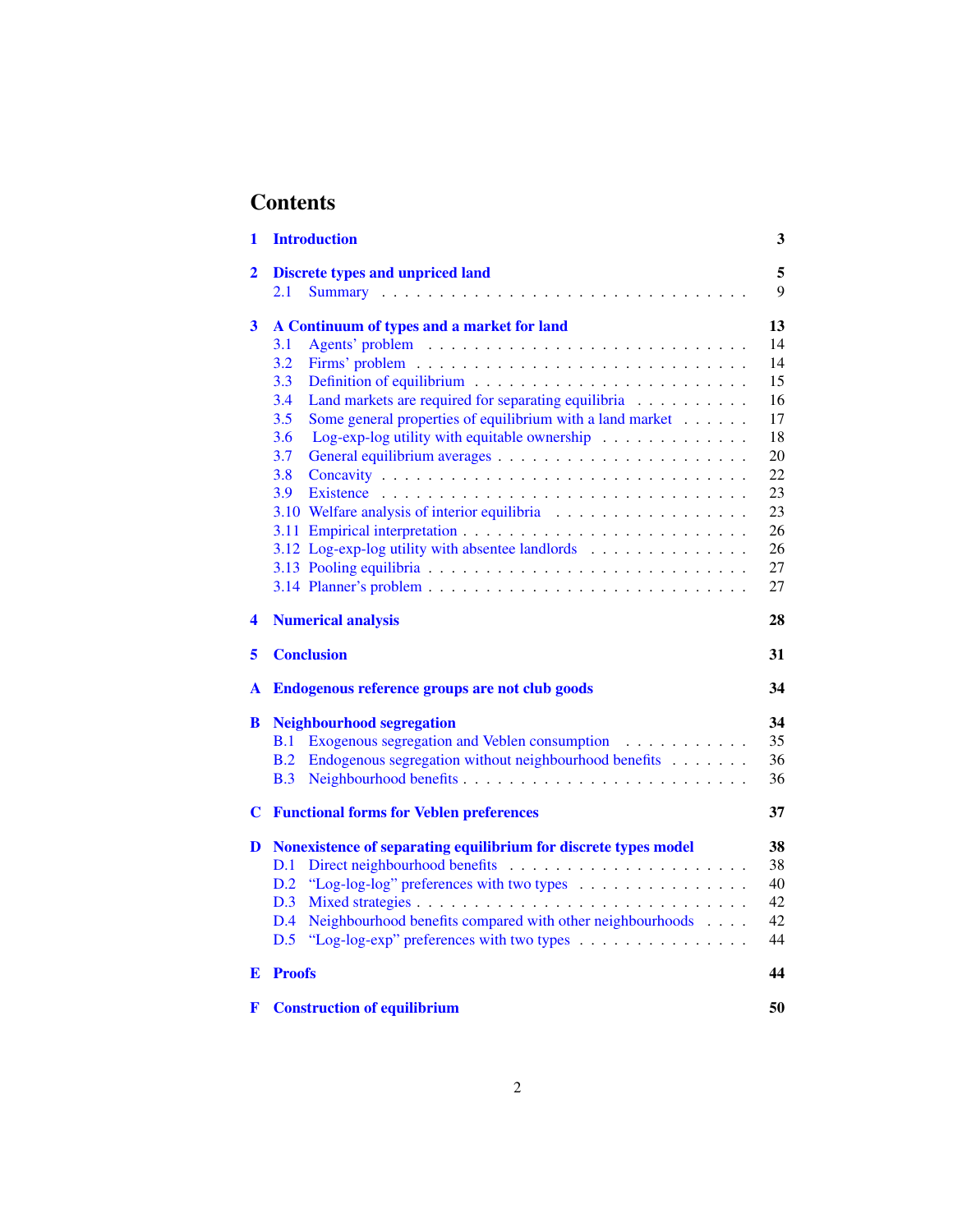## **Contents**

| 1 | <b>Introduction</b>                                                               | 3  |  |  |  |
|---|-----------------------------------------------------------------------------------|----|--|--|--|
| 2 | <b>Discrete types and unpriced land</b>                                           | 5  |  |  |  |
|   | 2.1                                                                               | 9  |  |  |  |
| 3 | A Continuum of types and a market for land                                        | 13 |  |  |  |
|   | 3.1                                                                               | 14 |  |  |  |
|   | 3.2                                                                               | 14 |  |  |  |
|   | 3.3                                                                               | 15 |  |  |  |
|   | 3.4<br>Land markets are required for separating equilibria                        | 16 |  |  |  |
|   | 3.5<br>Some general properties of equilibrium with a land market                  | 17 |  |  |  |
|   | Log-exp-log utility with equitable ownership $\ldots \ldots \ldots \ldots$<br>3.6 | 18 |  |  |  |
|   | 3.7                                                                               | 20 |  |  |  |
|   | 3.8                                                                               | 22 |  |  |  |
|   | 3.9                                                                               | 23 |  |  |  |
|   | 3.10 Welfare analysis of interior equilibria                                      | 23 |  |  |  |
|   |                                                                                   | 26 |  |  |  |
|   | 3.12 Log-exp-log utility with absentee landlords                                  | 26 |  |  |  |
|   |                                                                                   | 27 |  |  |  |
|   |                                                                                   | 27 |  |  |  |
|   |                                                                                   |    |  |  |  |
| 4 | <b>Numerical analysis</b>                                                         | 28 |  |  |  |
| 5 | <b>Conclusion</b>                                                                 | 31 |  |  |  |
| A | Endogenous reference groups are not club goods<br>34                              |    |  |  |  |
| B | <b>Neighbourhood segregation</b>                                                  | 34 |  |  |  |
|   | Exogenous segregation and Veblen consumption<br>B.1                               | 35 |  |  |  |
|   | Endogenous segregation without neighbourhood benefits<br>B.2                      | 36 |  |  |  |
|   | B.3                                                                               | 36 |  |  |  |
| C | <b>Functional forms for Veblen preferences</b>                                    | 37 |  |  |  |
| D | Nonexistence of separating equilibrium for discrete types model                   | 38 |  |  |  |
|   | D.1                                                                               | 38 |  |  |  |
|   | "Log-log-log" preferences with two types<br>D.2                                   | 40 |  |  |  |
|   | D.3                                                                               | 42 |  |  |  |
|   | Neighbourhood benefits compared with other neighbourhoods<br>D.4                  | 42 |  |  |  |
|   | D.5<br>"Log-log-exp" preferences with two types                                   | 44 |  |  |  |
|   |                                                                                   |    |  |  |  |
| E | <b>Proofs</b>                                                                     | 44 |  |  |  |
| F | <b>Construction of equilibrium</b>                                                | 50 |  |  |  |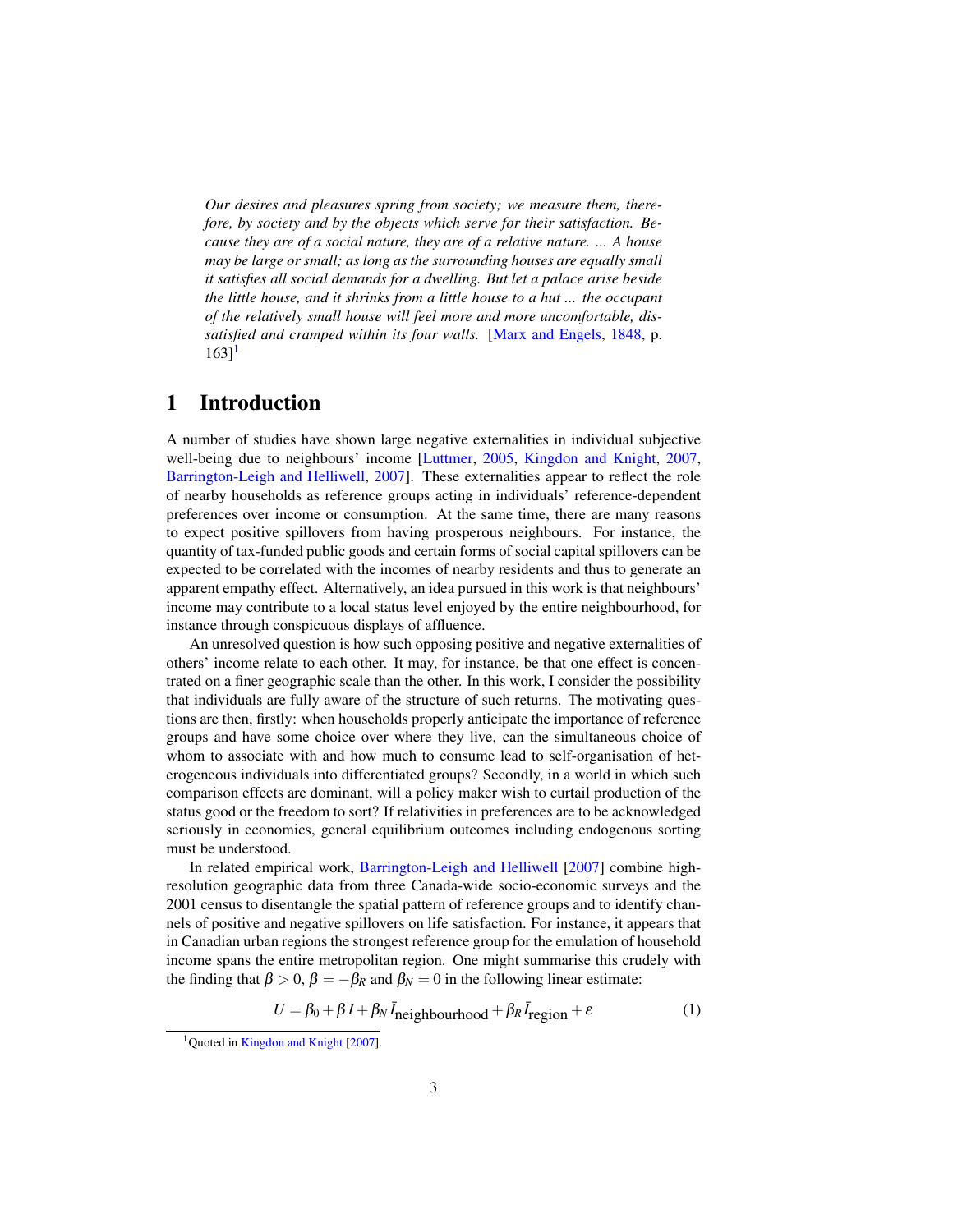*Our desires and pleasures spring from society; we measure them, therefore, by society and by the objects which serve for their satisfaction. Because they are of a social nature, they are of a relative nature. ... A house may be large or small; as long as the surrounding houses are equally small it satisfies all social demands for a dwelling. But let a palace arise beside the little house, and it shrinks from a little house to a hut ... the occupant of the relatively small house will feel more and more uncomfortable, dissatisfied and cramped within its four walls.* [Marx and Engels, 1848, p.  $163$ <sup>1</sup>

## 1 Introduction

A number of studies have shown large negative externalities in individual subjective well-being due to neighbours' income [Luttmer, 2005, Kingdon and Knight, 2007, Barrington-Leigh and Helliwell, 2007]. These externalities appear to reflect the role of nearby households as reference groups acting in individuals' reference-dependent preferences over income or consumption. At the same time, there are many reasons to expect positive spillovers from having prosperous neighbours. For instance, the quantity of tax-funded public goods and certain forms of social capital spillovers can be expected to be correlated with the incomes of nearby residents and thus to generate an apparent empathy effect. Alternatively, an idea pursued in this work is that neighbours' income may contribute to a local status level enjoyed by the entire neighbourhood, for instance through conspicuous displays of affluence.

An unresolved question is how such opposing positive and negative externalities of others' income relate to each other. It may, for instance, be that one effect is concentrated on a finer geographic scale than the other. In this work, I consider the possibility that individuals are fully aware of the structure of such returns. The motivating questions are then, firstly: when households properly anticipate the importance of reference groups and have some choice over where they live, can the simultaneous choice of whom to associate with and how much to consume lead to self-organisation of heterogeneous individuals into differentiated groups? Secondly, in a world in which such comparison effects are dominant, will a policy maker wish to curtail production of the status good or the freedom to sort? If relativities in preferences are to be acknowledged seriously in economics, general equilibrium outcomes including endogenous sorting must be understood.

In related empirical work, Barrington-Leigh and Helliwell [2007] combine highresolution geographic data from three Canada-wide socio-economic surveys and the 2001 census to disentangle the spatial pattern of reference groups and to identify channels of positive and negative spillovers on life satisfaction. For instance, it appears that in Canadian urban regions the strongest reference group for the emulation of household income spans the entire metropolitan region. One might summarise this crudely with the finding that  $\beta > 0$ ,  $\beta = -\beta_R$  and  $\beta_N = 0$  in the following linear estimate:

$$
U = \beta_0 + \beta I + \beta_N \bar{I}_{\text{neighbourhood}} + \beta_R \bar{I}_{\text{region}} + \varepsilon \tag{1}
$$

<sup>&</sup>lt;sup>1</sup>Quoted in Kingdon and Knight [2007].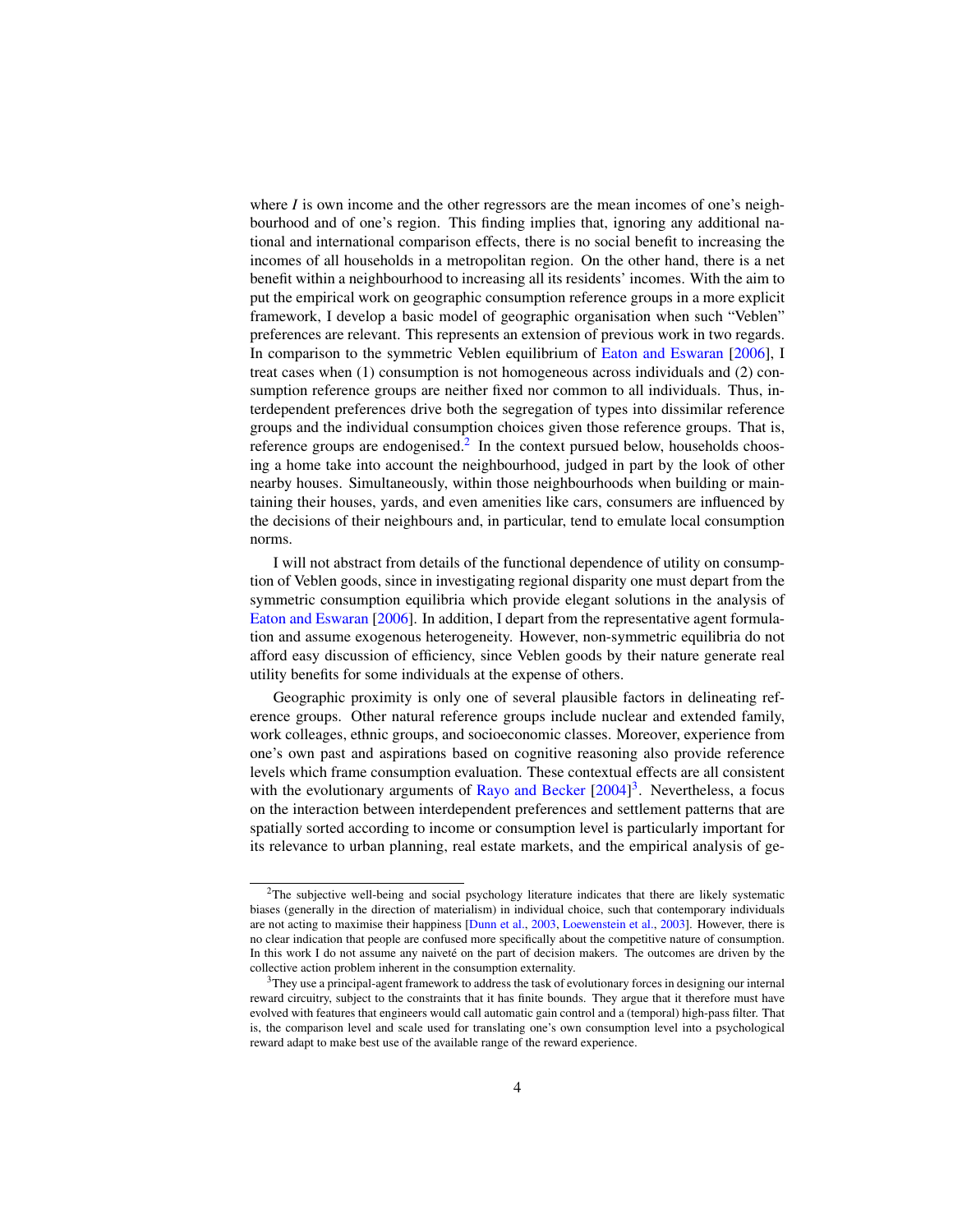where  $I$  is own income and the other regressors are the mean incomes of one's neighbourhood and of one's region. This finding implies that, ignoring any additional national and international comparison effects, there is no social benefit to increasing the incomes of all households in a metropolitan region. On the other hand, there is a net benefit within a neighbourhood to increasing all its residents' incomes. With the aim to put the empirical work on geographic consumption reference groups in a more explicit framework, I develop a basic model of geographic organisation when such "Veblen" preferences are relevant. This represents an extension of previous work in two regards. In comparison to the symmetric Veblen equilibrium of Eaton and Eswaran [2006], I treat cases when (1) consumption is not homogeneous across individuals and (2) consumption reference groups are neither fixed nor common to all individuals. Thus, interdependent preferences drive both the segregation of types into dissimilar reference groups and the individual consumption choices given those reference groups. That is, reference groups are endogenised.<sup>2</sup> In the context pursued below, households choosing a home take into account the neighbourhood, judged in part by the look of other nearby houses. Simultaneously, within those neighbourhoods when building or maintaining their houses, yards, and even amenities like cars, consumers are influenced by the decisions of their neighbours and, in particular, tend to emulate local consumption norms.

I will not abstract from details of the functional dependence of utility on consumption of Veblen goods, since in investigating regional disparity one must depart from the symmetric consumption equilibria which provide elegant solutions in the analysis of Eaton and Eswaran [2006]. In addition, I depart from the representative agent formulation and assume exogenous heterogeneity. However, non-symmetric equilibria do not afford easy discussion of efficiency, since Veblen goods by their nature generate real utility benefits for some individuals at the expense of others.

Geographic proximity is only one of several plausible factors in delineating reference groups. Other natural reference groups include nuclear and extended family, work colleages, ethnic groups, and socioeconomic classes. Moreover, experience from one's own past and aspirations based on cognitive reasoning also provide reference levels which frame consumption evaluation. These contextual effects are all consistent with the evolutionary arguments of Rayo and Becker  $[2004]$ <sup>3</sup>. Nevertheless, a focus on the interaction between interdependent preferences and settlement patterns that are spatially sorted according to income or consumption level is particularly important for its relevance to urban planning, real estate markets, and the empirical analysis of ge-

<sup>&</sup>lt;sup>2</sup>The subjective well-being and social psychology literature indicates that there are likely systematic biases (generally in the direction of materialism) in individual choice, such that contemporary individuals are not acting to maximise their happiness [Dunn et al., 2003, Loewenstein et al., 2003]. However, there is no clear indication that people are confused more specifically about the competitive nature of consumption. In this work I do not assume any naiveté on the part of decision makers. The outcomes are driven by the collective action problem inherent in the consumption externality.

<sup>3</sup>They use a principal-agent framework to address the task of evolutionary forces in designing our internal reward circuitry, subject to the constraints that it has finite bounds. They argue that it therefore must have evolved with features that engineers would call automatic gain control and a (temporal) high-pass filter. That is, the comparison level and scale used for translating one's own consumption level into a psychological reward adapt to make best use of the available range of the reward experience.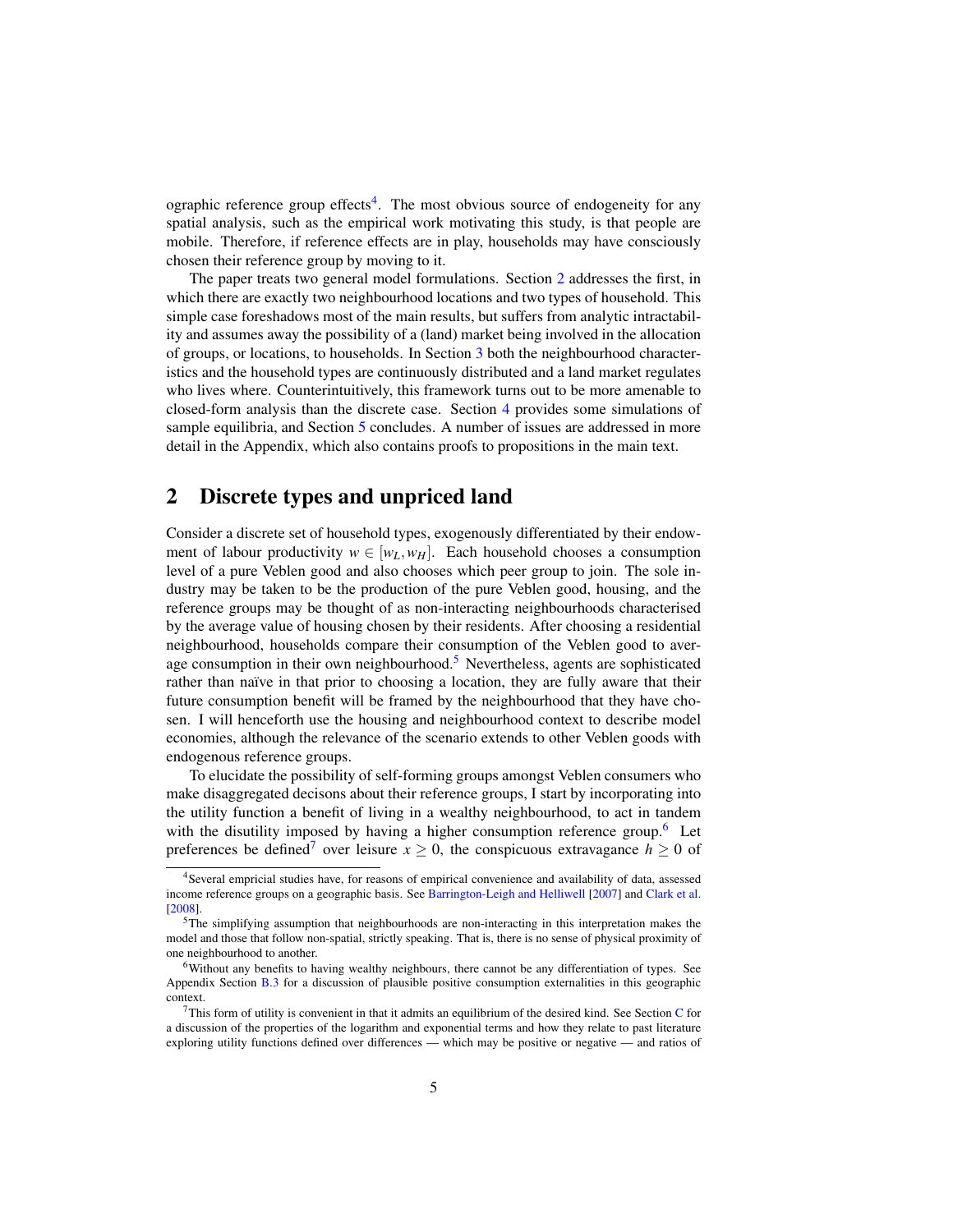ographic reference group effects<sup>4</sup>. The most obvious source of endogeneity for any spatial analysis, such as the empirical work motivating this study, is that people are mobile. Therefore, if reference effects are in play, households may have consciously chosen their reference group by moving to it.

The paper treats two general model formulations. Section 2 addresses the first, in which there are exactly two neighbourhood locations and two types of household. This simple case foreshadows most of the main results, but suffers from analytic intractability and assumes away the possibility of a (land) market being involved in the allocation of groups, or locations, to households. In Section 3 both the neighbourhood characteristics and the household types are continuously distributed and a land market regulates who lives where. Counterintuitively, this framework turns out to be more amenable to closed-form analysis than the discrete case. Section 4 provides some simulations of sample equilibria, and Section 5 concludes. A number of issues are addressed in more detail in the Appendix, which also contains proofs to propositions in the main text.

## 2 Discrete types and unpriced land

Consider a discrete set of household types, exogenously differentiated by their endowment of labour productivity  $w \in [w_L, w_H]$ . Each household chooses a consumption level of a pure Veblen good and also chooses which peer group to join. The sole industry may be taken to be the production of the pure Veblen good, housing, and the reference groups may be thought of as non-interacting neighbourhoods characterised by the average value of housing chosen by their residents. After choosing a residential neighbourhood, households compare their consumption of the Veblen good to average consumption in their own neighbourhood.<sup>5</sup> Nevertheless, agents are sophisticated rather than naïve in that prior to choosing a location, they are fully aware that their future consumption benefit will be framed by the neighbourhood that they have chosen. I will henceforth use the housing and neighbourhood context to describe model economies, although the relevance of the scenario extends to other Veblen goods with endogenous reference groups.

To elucidate the possibility of self-forming groups amongst Veblen consumers who make disaggregated decisons about their reference groups, I start by incorporating into the utility function a benefit of living in a wealthy neighbourhood, to act in tandem with the disutility imposed by having a higher consumption reference group.<sup>6</sup> Let preferences be defined<sup>7</sup> over leisure  $x \ge 0$ , the conspicuous extravagance  $h \ge 0$  of

<sup>&</sup>lt;sup>4</sup>Several empricial studies have, for reasons of empirical convenience and availability of data, assessed income reference groups on a geographic basis. See Barrington-Leigh and Helliwell [2007] and Clark et al. [2008].

<sup>5</sup>The simplifying assumption that neighbourhoods are non-interacting in this interpretation makes the model and those that follow non-spatial, strictly speaking. That is, there is no sense of physical proximity of one neighbourhood to another.

<sup>6</sup>Without any benefits to having wealthy neighbours, there cannot be any differentiation of types. See Appendix Section B.3 for a discussion of plausible positive consumption externalities in this geographic context.

 $^{7}$ This form of utility is convenient in that it admits an equilibrium of the desired kind. See Section C for a discussion of the properties of the logarithm and exponential terms and how they relate to past literature exploring utility functions defined over differences — which may be positive or negative — and ratios of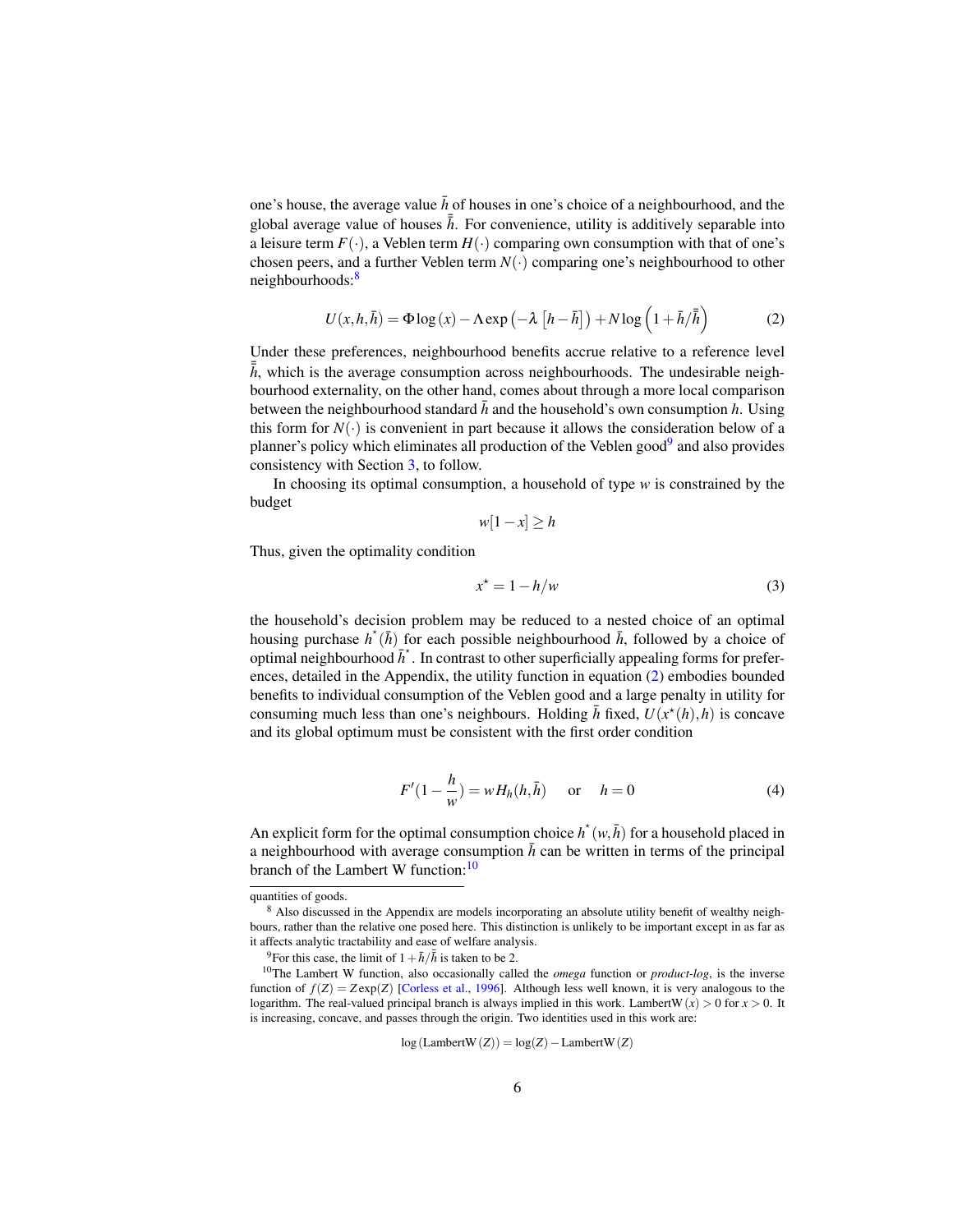one's house, the average value  $\bar{h}$  of houses in one's choice of a neighbourhood, and the global average value of houses  $\bar{h}$ . For convenience, utility is additively separable into a leisure term  $F(\cdot)$ , a Veblen term  $H(\cdot)$  comparing own consumption with that of one's chosen peers, and a further Veblen term  $N(\cdot)$  comparing one's neighbourhood to other neighbourhoods:<sup>8</sup>

$$
U(x, h, \bar{h}) = \Phi \log(x) - \Lambda \exp(-\lambda \left[ h - \bar{h} \right]) + N \log \left( 1 + \bar{h}/\bar{h} \right) \tag{2}
$$

Under these preferences, neighbourhood benefits accrue relative to a reference level  $\bar{h}$ , which is the average consumption across neighbourhoods. The undesirable neighbourhood externality, on the other hand, comes about through a more local comparison between the neighbourhood standard  $\bar{h}$  and the household's own consumption  $h$ . Using this form for  $N(\cdot)$  is convenient in part because it allows the consideration below of a planner's policy which eliminates all production of the Veblen good<sup>9</sup> and also provides consistency with Section 3, to follow.

In choosing its optimal consumption, a household of type *w* is constrained by the budget

$$
w[1-x] \ge h
$$

Thus, given the optimality condition

$$
x^* = 1 - h/w \tag{3}
$$

the household's decision problem may be reduced to a nested choice of an optimal housing purchase  $h^*(\bar{h})$  for each possible neighbourhood  $\bar{h}$ , followed by a choice of optimal neighbourhood  $\bar{h}^*$ . In contrast to other superficially appealing forms for preferences, detailed in the Appendix, the utility function in equation (2) embodies bounded benefits to individual consumption of the Veblen good and a large penalty in utility for consuming much less than one's neighbours. Holding  $\bar{h}$  fixed,  $U(x^*(h), h)$  is concave and its global optimum must be consistent with the first order condition

$$
F'(1 - \frac{h}{w}) = wH_h(h, \bar{h}) \quad \text{or} \quad h = 0 \tag{4}
$$

An explicit form for the optimal consumption choice  $h^*(w, \bar{h})$  for a household placed in a neighbourhood with average consumption  $\bar{h}$  can be written in terms of the principal branch of the Lambert W function: $10$ 

$$
log(LambertW(Z)) = log(Z) - LambertW(Z)
$$

quantities of goods.

<sup>8</sup> Also discussed in the Appendix are models incorporating an absolute utility benefit of wealthy neighbours, rather than the relative one posed here. This distinction is unlikely to be important except in as far as it affects analytic tractability and ease of welfare analysis.

<sup>&</sup>lt;sup>9</sup>For this case, the limit of  $1+\bar{h}/\bar{h}$  is taken to be 2.

<sup>10</sup>The Lambert W function, also occasionally called the *omega* function or *product-log*, is the inverse function of  $f(Z) = Z \exp(Z)$  [Corless et al., 1996]. Although less well known, it is very analogous to the logarithm. The real-valued principal branch is always implied in this work. LambertW $(x) > 0$  for  $x > 0$ . It is increasing, concave, and passes through the origin. Two identities used in this work are: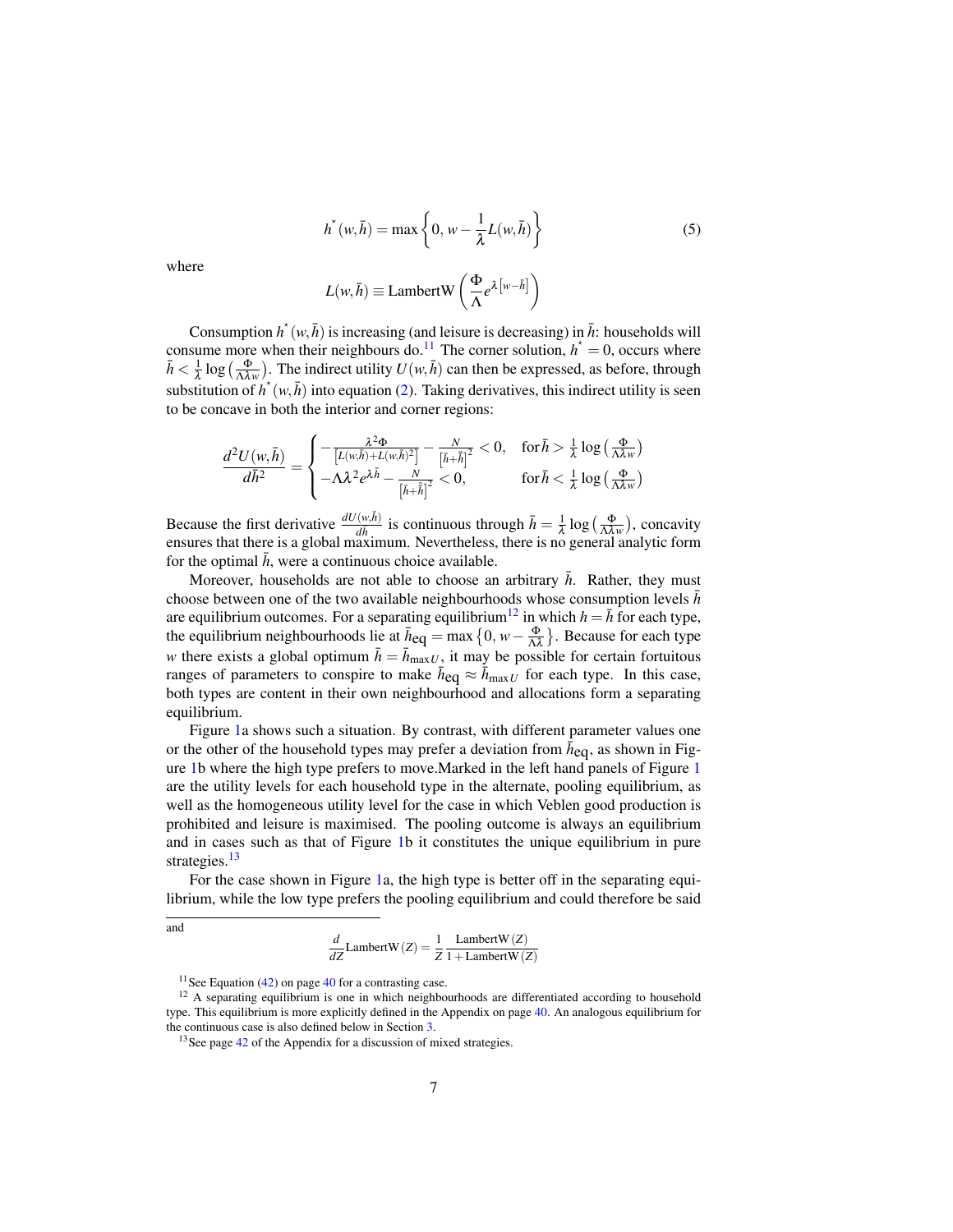$$
h^{\star}(w,\bar{h}) = \max\left\{0, w - \frac{1}{\lambda}L(w,\bar{h})\right\}
$$
 (5)

where

$$
L(w,\bar{h}) \equiv \text{LambertW}\left(\frac{\Phi}{\Lambda}e^{\lambda\left[w-\bar{h}\right]}\right)
$$

Consumption  $h^*(w, \bar{h})$  is increasing (and leisure is decreasing) in  $\bar{h}$ : households will consume more when their neighbours do.<sup>11</sup> The corner solution,  $h^* = 0$ , occurs where  $\bar{h} < \frac{1}{\lambda} \log \left( \frac{\Phi}{\Lambda \lambda w} \right)$ . The indirect utility  $U(w, \bar{h})$  can then be expressed, as before, through substitution of  $h^*(w, \bar{h})$  into equation (2). Taking derivatives, this indirect utility is seen to be concave in both the interior and corner regions:

$$
\frac{d^2U(w,\bar{h})}{d\bar{h}^2} = \begin{cases} -\frac{\lambda^2 \Phi}{\left[L(w,\bar{h}) + L(w,\bar{h})^2\right]} - \frac{N}{\left[\bar{h} + \bar{\bar{h}}\right]^2} < 0, \quad \text{for } \bar{h} > \frac{1}{\lambda} \log\left(\frac{\Phi}{\Lambda \lambda w}\right) \\ -\Lambda \lambda^2 e^{\lambda \bar{h}} - \frac{N}{\left[\bar{h} + \bar{\bar{h}}\right]^2} < 0, \quad \text{for } \bar{h} < \frac{1}{\lambda} \log\left(\frac{\Phi}{\Lambda \lambda w}\right) \end{cases}
$$

Because the first derivative  $\frac{dU(w,\bar{h})}{d\bar{h}}$  is continuous through  $\bar{h} = \frac{1}{\lambda} \log \left( \frac{\Phi}{\Lambda \lambda w} \right)$ , concavity ensures that there is a global maximum. Nevertheless, there is no general analytic form for the optimal  $h$ , were a continuous choice available.

Moreover, households are not able to choose an arbitrary  $\bar{h}$ . Rather, they must choose between one of the two available neighbourhoods whose consumption levels  $\bar{h}$ are equilibrium outcomes. For a separating equilibrium<sup>12</sup> in which  $h = \overline{h}$  for each type, the equilibrium neighbourhoods lie at  $\bar{h}_{eq} = \max\left\{0, w - \frac{\Phi}{\Lambda\lambda}\right\}$ . Because for each type *w* there exists a global optimum  $\bar{h} = \bar{h}_{\text{max }U}$ , it may be possible for certain fortuitous ranges of parameters to conspire to make  $\bar{h}_{eq} \approx \bar{h}_{maxU}$  for each type. In this case, both types are content in their own neighbourhood and allocations form a separating equilibrium.

Figure 1a shows such a situation. By contrast, with different parameter values one or the other of the household types may prefer a deviation from  $\bar{h}_{eq}$ , as shown in Figure 1b where the high type prefers to move.Marked in the left hand panels of Figure 1 are the utility levels for each household type in the alternate, pooling equilibrium, as well as the homogeneous utility level for the case in which Veblen good production is prohibited and leisure is maximised. The pooling outcome is always an equilibrium and in cases such as that of Figure 1b it constitutes the unique equilibrium in pure strategies.<sup>13</sup>

For the case shown in Figure 1a, the high type is better off in the separating equilibrium, while the low type prefers the pooling equilibrium and could therefore be said

and

$$
\frac{d}{dZ} \text{LambertW}(Z) = \frac{1}{Z} \frac{\text{LambertW}(Z)}{1 + \text{LambertW}(Z)}
$$

 $11$ See Equation (42) on page 40 for a contrasting case.

<sup>&</sup>lt;sup>12</sup> A separating equilibrium is one in which neighbourhoods are differentiated according to household type. This equilibrium is more explicitly defined in the Appendix on page 40. An analogous equilibrium for the continuous case is also defined below in Section 3.

<sup>&</sup>lt;sup>13</sup>See page 42 of the Appendix for a discussion of mixed strategies.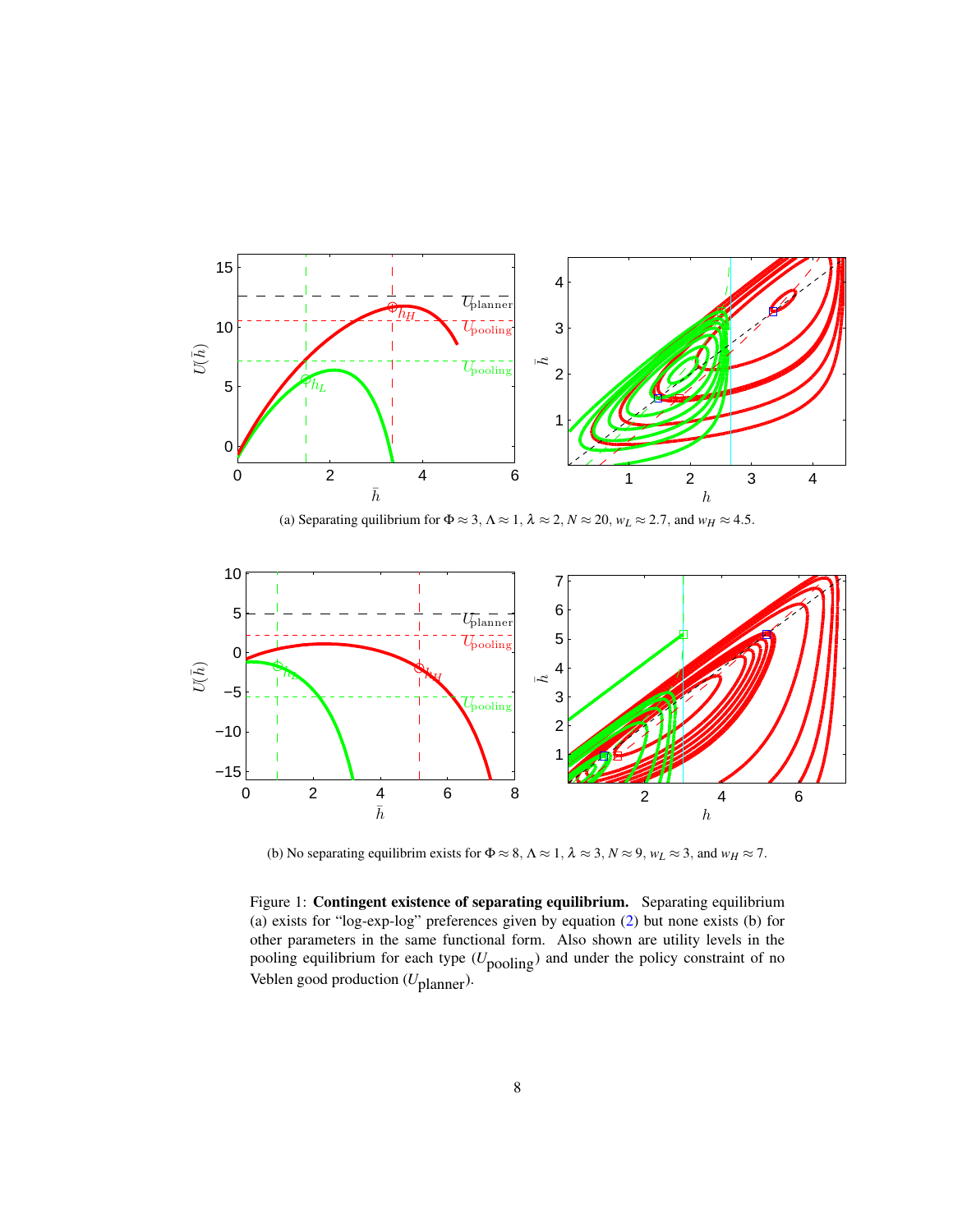

(a) Separating quilibrium for  $\Phi \approx 3$ ,  $\Lambda \approx 1$ ,  $\lambda \approx 2$ ,  $N \approx 20$ ,  $w_L \approx 2.7$ , and  $w_H \approx 4.5$ .



(b) No separating equilibrim exists for  $\Phi \approx 8$ ,  $\Lambda \approx 1$ ,  $\lambda \approx 3$ ,  $N \approx 9$ ,  $w_L \approx 3$ , and  $w_H \approx 7$ .

Figure 1: Contingent existence of separating equilibrium. Separating equilibrium (a) exists for "log-exp-log" preferences given by equation (2) but none exists (b) for other parameters in the same functional form. Also shown are utility levels in the pooling equilibrium for each type ( $U_{\text{pooling}}$ ) and under the policy constraint of no Veblen good production (*U*planner).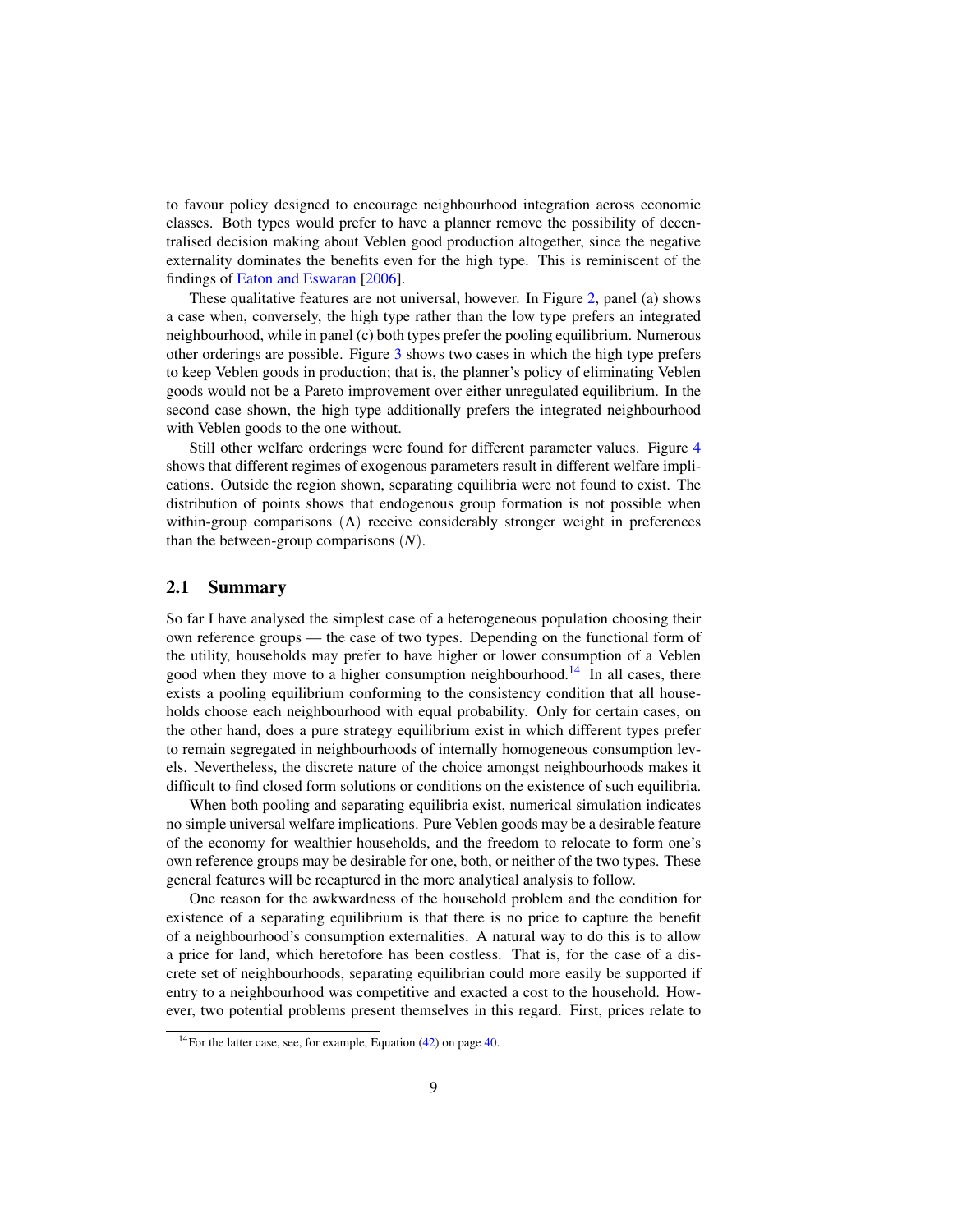to favour policy designed to encourage neighbourhood integration across economic classes. Both types would prefer to have a planner remove the possibility of decentralised decision making about Veblen good production altogether, since the negative externality dominates the benefits even for the high type. This is reminiscent of the findings of Eaton and Eswaran [2006].

These qualitative features are not universal, however. In Figure 2, panel (a) shows a case when, conversely, the high type rather than the low type prefers an integrated neighbourhood, while in panel (c) both types prefer the pooling equilibrium. Numerous other orderings are possible. Figure 3 shows two cases in which the high type prefers to keep Veblen goods in production; that is, the planner's policy of eliminating Veblen goods would not be a Pareto improvement over either unregulated equilibrium. In the second case shown, the high type additionally prefers the integrated neighbourhood with Veblen goods to the one without.

Still other welfare orderings were found for different parameter values. Figure 4 shows that different regimes of exogenous parameters result in different welfare implications. Outside the region shown, separating equilibria were not found to exist. The distribution of points shows that endogenous group formation is not possible when within-group comparisons  $(Λ)$  receive considerably stronger weight in preferences than the between-group comparisons (*N*).

#### 2.1 Summary

So far I have analysed the simplest case of a heterogeneous population choosing their own reference groups — the case of two types. Depending on the functional form of the utility, households may prefer to have higher or lower consumption of a Veblen good when they move to a higher consumption neighbourhood.<sup>14</sup> In all cases, there exists a pooling equilibrium conforming to the consistency condition that all households choose each neighbourhood with equal probability. Only for certain cases, on the other hand, does a pure strategy equilibrium exist in which different types prefer to remain segregated in neighbourhoods of internally homogeneous consumption levels. Nevertheless, the discrete nature of the choice amongst neighbourhoods makes it difficult to find closed form solutions or conditions on the existence of such equilibria.

When both pooling and separating equilibria exist, numerical simulation indicates no simple universal welfare implications. Pure Veblen goods may be a desirable feature of the economy for wealthier households, and the freedom to relocate to form one's own reference groups may be desirable for one, both, or neither of the two types. These general features will be recaptured in the more analytical analysis to follow.

One reason for the awkwardness of the household problem and the condition for existence of a separating equilibrium is that there is no price to capture the benefit of a neighbourhood's consumption externalities. A natural way to do this is to allow a price for land, which heretofore has been costless. That is, for the case of a discrete set of neighbourhoods, separating equilibrian could more easily be supported if entry to a neighbourhood was competitive and exacted a cost to the household. However, two potential problems present themselves in this regard. First, prices relate to

<sup>14</sup>For the latter case, see, for example, Equation (42) on page 40.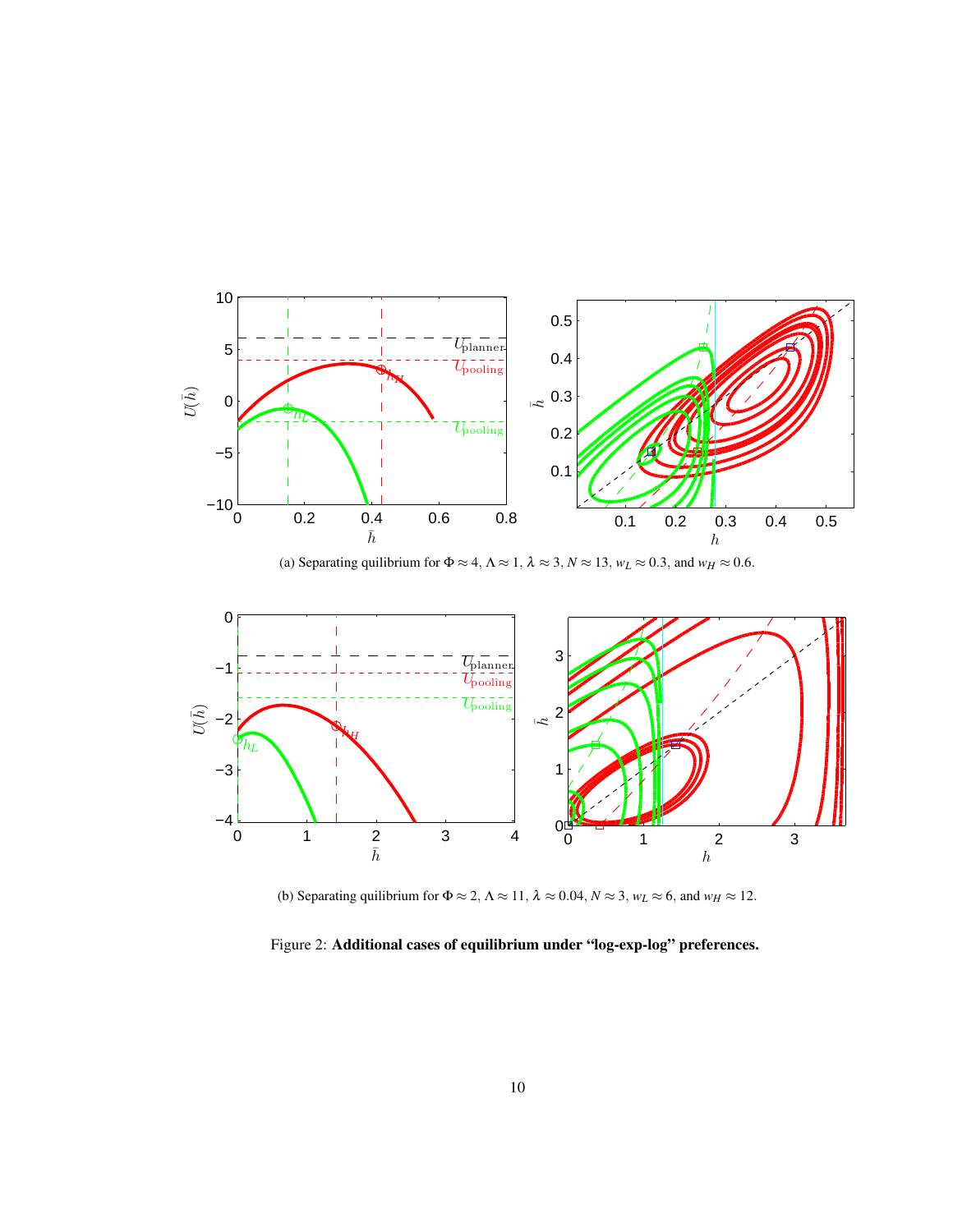

(a) Separating quilibrium for  $\Phi \approx 4$ ,  $\Lambda \approx 1$ ,  $\lambda \approx 3$ ,  $N \approx 13$ ,  $w_L \approx 0.3$ , and  $w_H \approx 0.6$ .



(b) Separating quilibrium for  $\Phi \approx 2$ ,  $\Lambda \approx 11$ ,  $\lambda \approx 0.04$ ,  $N \approx 3$ ,  $w_L \approx 6$ , and  $w_H \approx 12$ .

Figure 2: Additional cases of equilibrium under "log-exp-log" preferences.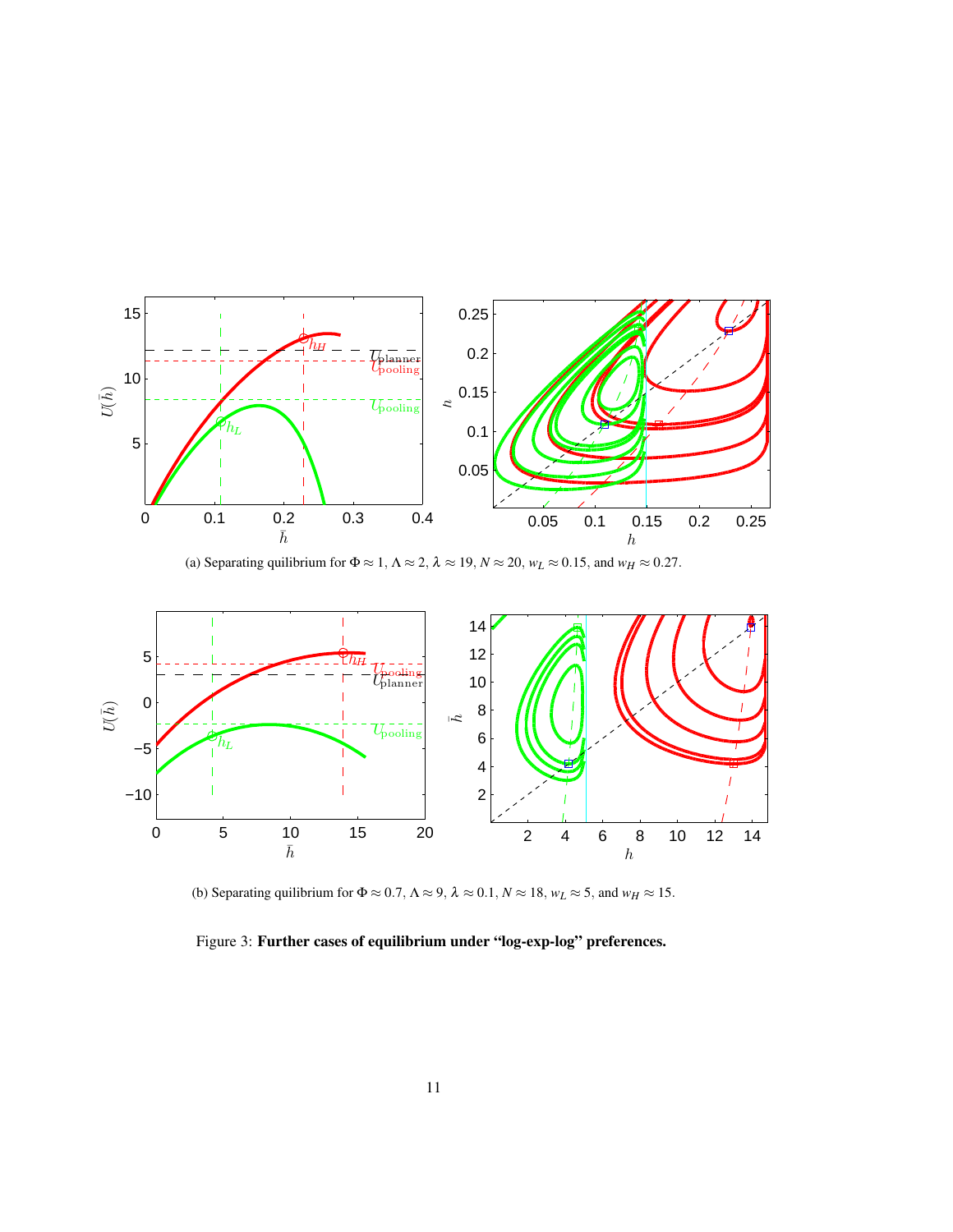

(a) Separating quilibrium for  $\Phi \approx 1$ ,  $\Lambda \approx 2$ ,  $\lambda \approx 19$ ,  $N \approx 20$ ,  $w_L \approx 0.15$ , and  $w_H \approx 0.27$ .



(b) Separating quilibrium for  $\Phi \approx 0.7$ ,  $\Lambda \approx 9$ ,  $\lambda \approx 0.1$ ,  $N \approx 18$ ,  $w_L \approx 5$ , and  $w_H \approx 15$ .

Figure 3: Further cases of equilibrium under "log-exp-log" preferences.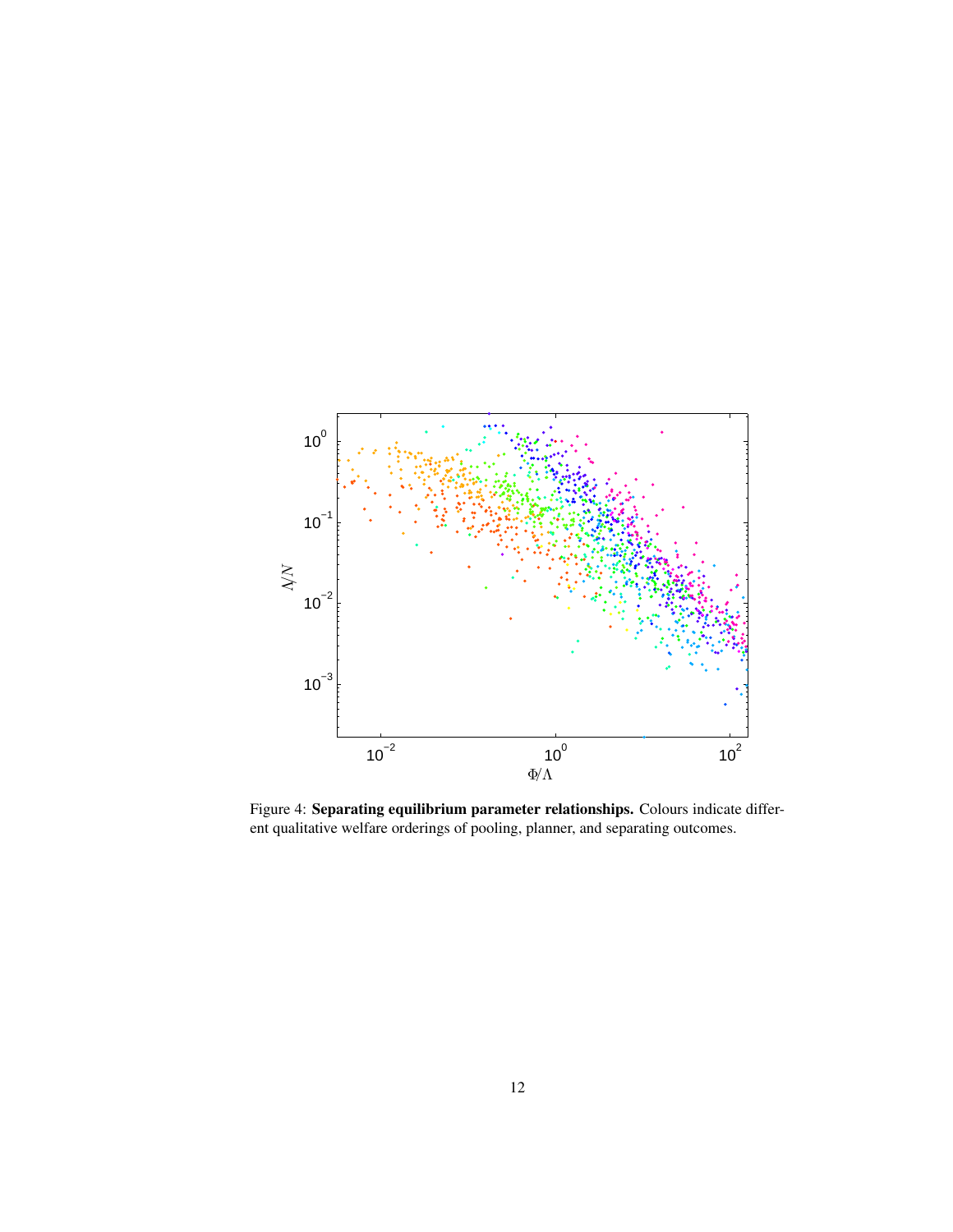

Figure 4: Separating equilibrium parameter relationships. Colours indicate different qualitative welfare orderings of pooling, planner, and separating outcomes.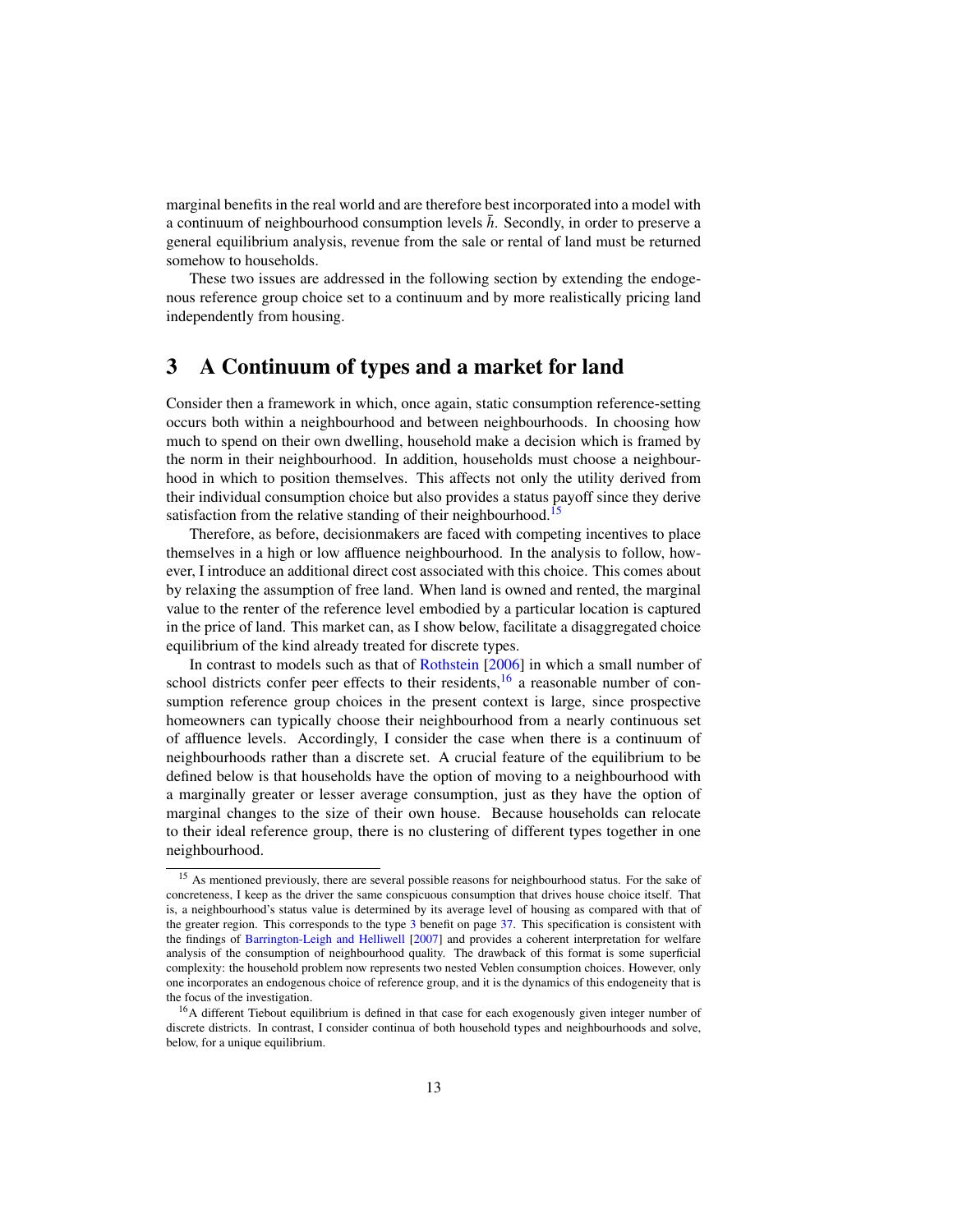marginal benefits in the real world and are therefore best incorporated into a model with a continuum of neighbourhood consumption levels  $\bar{h}$ . Secondly, in order to preserve a general equilibrium analysis, revenue from the sale or rental of land must be returned somehow to households.

These two issues are addressed in the following section by extending the endogenous reference group choice set to a continuum and by more realistically pricing land independently from housing.

## 3 A Continuum of types and a market for land

Consider then a framework in which, once again, static consumption reference-setting occurs both within a neighbourhood and between neighbourhoods. In choosing how much to spend on their own dwelling, household make a decision which is framed by the norm in their neighbourhood. In addition, households must choose a neighbourhood in which to position themselves. This affects not only the utility derived from their individual consumption choice but also provides a status payoff since they derive satisfaction from the relative standing of their neighbourhood.<sup>15</sup>

Therefore, as before, decisionmakers are faced with competing incentives to place themselves in a high or low affluence neighbourhood. In the analysis to follow, however, I introduce an additional direct cost associated with this choice. This comes about by relaxing the assumption of free land. When land is owned and rented, the marginal value to the renter of the reference level embodied by a particular location is captured in the price of land. This market can, as I show below, facilitate a disaggregated choice equilibrium of the kind already treated for discrete types.

In contrast to models such as that of Rothstein [2006] in which a small number of school districts confer peer effects to their residents, $16$  a reasonable number of consumption reference group choices in the present context is large, since prospective homeowners can typically choose their neighbourhood from a nearly continuous set of affluence levels. Accordingly, I consider the case when there is a continuum of neighbourhoods rather than a discrete set. A crucial feature of the equilibrium to be defined below is that households have the option of moving to a neighbourhood with a marginally greater or lesser average consumption, just as they have the option of marginal changes to the size of their own house. Because households can relocate to their ideal reference group, there is no clustering of different types together in one neighbourhood.

<sup>&</sup>lt;sup>15</sup> As mentioned previously, there are several possible reasons for neighbourhood status. For the sake of concreteness, I keep as the driver the same conspicuous consumption that drives house choice itself. That is, a neighbourhood's status value is determined by its average level of housing as compared with that of the greater region. This corresponds to the type 3 benefit on page 37. This specification is consistent with the findings of Barrington-Leigh and Helliwell [2007] and provides a coherent interpretation for welfare analysis of the consumption of neighbourhood quality. The drawback of this format is some superficial complexity: the household problem now represents two nested Veblen consumption choices. However, only one incorporates an endogenous choice of reference group, and it is the dynamics of this endogeneity that is the focus of the investigation.

<sup>&</sup>lt;sup>16</sup>A different Tiebout equilibrium is defined in that case for each exogenously given integer number of discrete districts. In contrast, I consider continua of both household types and neighbourhoods and solve, below, for a unique equilibrium.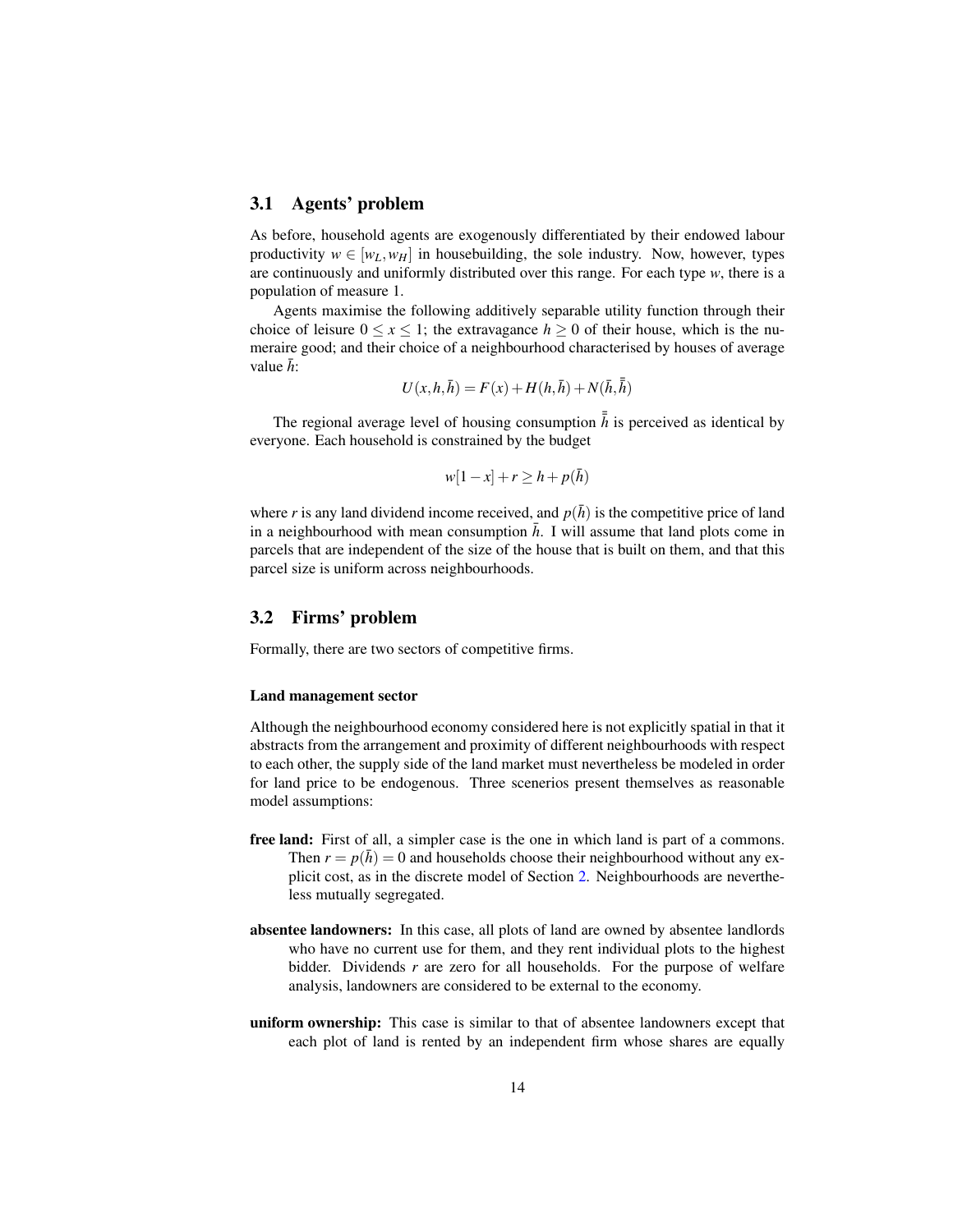#### 3.1 Agents' problem

As before, household agents are exogenously differentiated by their endowed labour productivity  $w \in [w_L, w_H]$  in housebuilding, the sole industry. Now, however, types are continuously and uniformly distributed over this range. For each type *w*, there is a population of measure 1.

Agents maximise the following additively separable utility function through their choice of leisure  $0 \le x \le 1$ ; the extravagance  $h \ge 0$  of their house, which is the numeraire good; and their choice of a neighbourhood characterised by houses of average value  $\bar{h}$ :

$$
U(x, h, \bar{h}) = F(x) + H(h, \bar{h}) + N(\bar{h}, \bar{\bar{h}})
$$

The regional average level of housing consumption  $\bar{h}$  is perceived as identical by everyone. Each household is constrained by the budget

$$
w[1-x]+r\geq h+p(\bar{h})
$$

where r is any land dividend income received, and  $p(\bar{h})$  is the competitive price of land in a neighbourhood with mean consumption  $\bar{h}$ . I will assume that land plots come in parcels that are independent of the size of the house that is built on them, and that this parcel size is uniform across neighbourhoods.

#### 3.2 Firms' problem

Formally, there are two sectors of competitive firms.

#### Land management sector

Although the neighbourhood economy considered here is not explicitly spatial in that it abstracts from the arrangement and proximity of different neighbourhoods with respect to each other, the supply side of the land market must nevertheless be modeled in order for land price to be endogenous. Three scenerios present themselves as reasonable model assumptions:

- free land: First of all, a simpler case is the one in which land is part of a commons. Then  $r = p(\bar{h}) = 0$  and households choose their neighbourhood without any explicit cost, as in the discrete model of Section 2. Neighbourhoods are nevertheless mutually segregated.
- absentee landowners: In this case, all plots of land are owned by absentee landlords who have no current use for them, and they rent individual plots to the highest bidder. Dividends *r* are zero for all households. For the purpose of welfare analysis, landowners are considered to be external to the economy.
- uniform ownership: This case is similar to that of absentee landowners except that each plot of land is rented by an independent firm whose shares are equally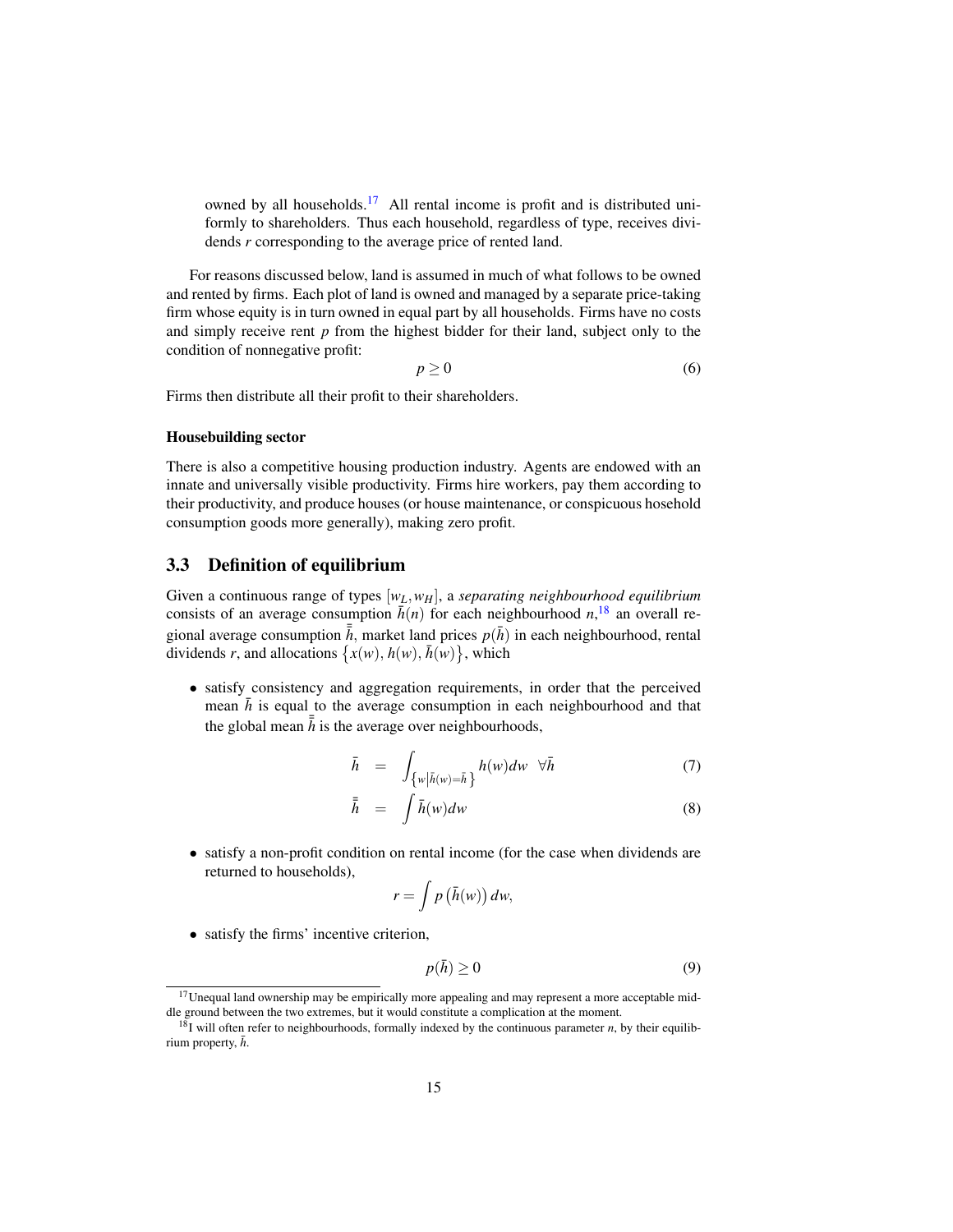owned by all households.<sup>17</sup> All rental income is profit and is distributed uniformly to shareholders. Thus each household, regardless of type, receives dividends *r* corresponding to the average price of rented land.

For reasons discussed below, land is assumed in much of what follows to be owned and rented by firms. Each plot of land is owned and managed by a separate price-taking firm whose equity is in turn owned in equal part by all households. Firms have no costs and simply receive rent *p* from the highest bidder for their land, subject only to the condition of nonnegative profit:

$$
p \geq 0 \tag{6}
$$

Firms then distribute all their profit to their shareholders.

#### Housebuilding sector

There is also a competitive housing production industry. Agents are endowed with an innate and universally visible productivity. Firms hire workers, pay them according to their productivity, and produce houses (or house maintenance, or conspicuous hosehold consumption goods more generally), making zero profit.

#### 3.3 Definition of equilibrium

Given a continuous range of types [*wL*,*wH*], a *separating neighbourhood equilibrium* consists of an average consumption  $\bar{h}(n)$  for each neighbourhood  $n$ ,<sup>18</sup>, an overall regional average consumption  $\bar{\bar{h}}$ , market land prices  $p(\bar{h})$  in each neighbourhood, rental dividends *r*, and allocations  $\{x(w), h(w), \bar{h}(w)\}$ , which

• satisfy consistency and aggregation requirements, in order that the perceived mean  $\bar{h}$  is equal to the average consumption in each neighbourhood and that the global mean  $\bar{h}$  is the average over neighbourhoods,

$$
\bar{h} = \int_{\{w \mid \bar{h}(w) = \bar{h}\}} h(w) dw \quad \forall \bar{h} \tag{7}
$$

$$
\bar{\bar{h}} = \int \bar{h}(w)dw \tag{8}
$$

• satisfy a non-profit condition on rental income (for the case when dividends are returned to households),

$$
r = \int p\left(\bar{h}(w)\right) dw,
$$

• satisfy the firms' incentive criterion,

$$
p(\bar{h}) \ge 0 \tag{9}
$$

<sup>&</sup>lt;sup>17</sup>Unequal land ownership may be empirically more appealing and may represent a more acceptable middle ground between the two extremes, but it would constitute a complication at the moment.

<sup>&</sup>lt;sup>18</sup>I will often refer to neighbourhoods, formally indexed by the continuous parameter *n*, by their equilibrium property,  $\bar{h}$ .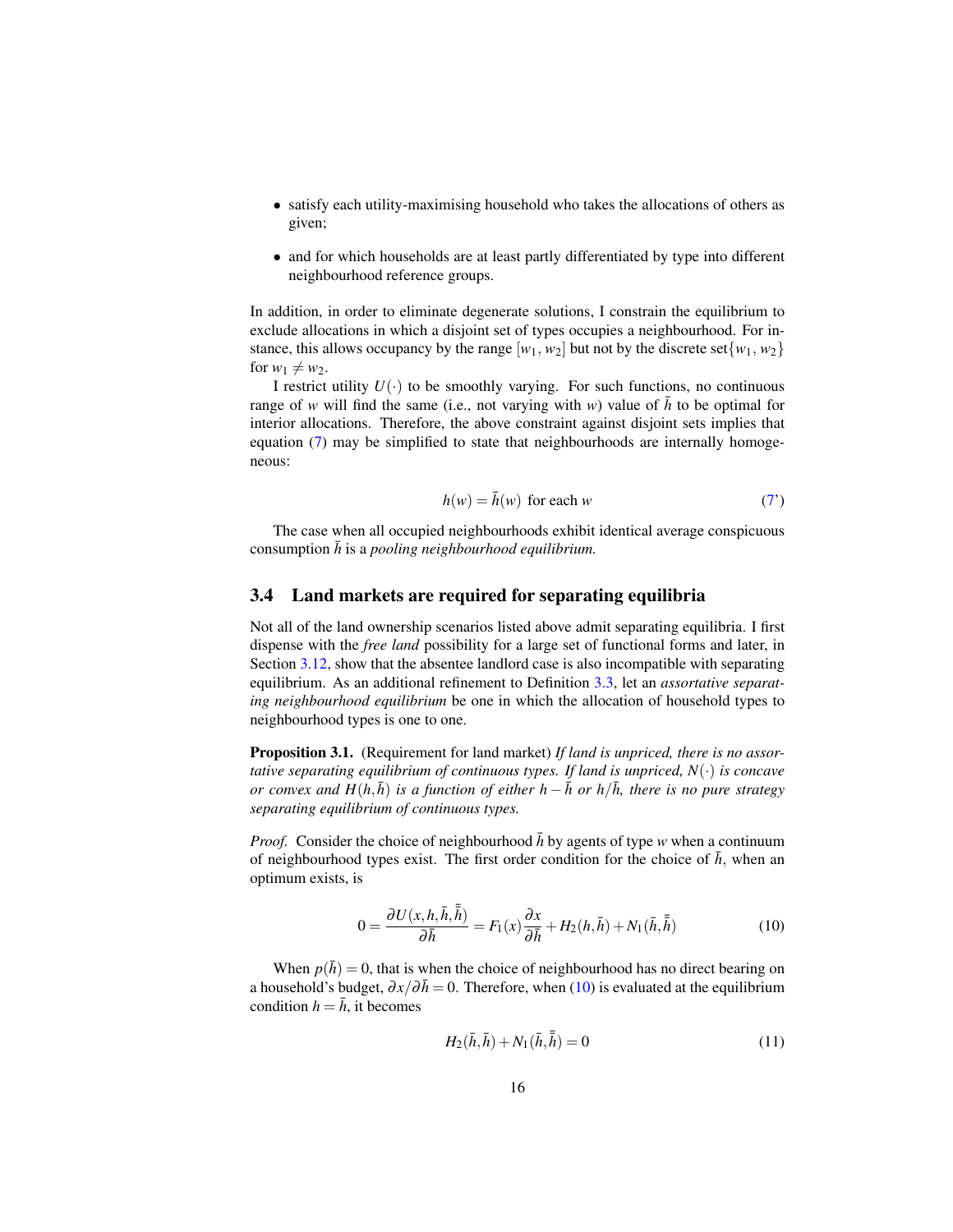- satisfy each utility-maximising household who takes the allocations of others as given;
- and for which households are at least partly differentiated by type into different neighbourhood reference groups.

In addition, in order to eliminate degenerate solutions, I constrain the equilibrium to exclude allocations in which a disjoint set of types occupies a neighbourhood. For instance, this allows occupancy by the range  $[w_1, w_2]$  but not by the discrete set $\{w_1, w_2\}$ for  $w_1 \neq w_2$ .

I restrict utility  $U(\cdot)$  to be smoothly varying. For such functions, no continuous range of *w* will find the same (i.e., not varying with *w*) value of  $\bar{h}$  to be optimal for interior allocations. Therefore, the above constraint against disjoint sets implies that equation (7) may be simplified to state that neighbourhoods are internally homogeneous:

$$
h(w) = \bar{h}(w) \text{ for each } w \tag{7'}
$$

The case when all occupied neighbourhoods exhibit identical average conspicuous consumption  $\bar{h}$  is a *pooling neighbourhood equilibrium*.

#### 3.4 Land markets are required for separating equilibria

Not all of the land ownership scenarios listed above admit separating equilibria. I first dispense with the *free land* possibility for a large set of functional forms and later, in Section 3.12, show that the absentee landlord case is also incompatible with separating equilibrium. As an additional refinement to Definition 3.3, let an *assortative separating neighbourhood equilibrium* be one in which the allocation of household types to neighbourhood types is one to one.

Proposition 3.1. (Requirement for land market) *If land is unpriced, there is no assortative separating equilibrium of continuous types. If land is unpriced, N*(·) *is concave or convex and H*( $h, \bar{h}$ ) *is a function of either h* −  $\bar{h}$  *or h*/ $\bar{h}$ *, there is no pure strategy separating equilibrium of continuous types.*

*Proof.* Consider the choice of neighbourhood  $\bar{h}$  by agents of type *w* when a continuum of neighbourhood types exist. The first order condition for the choice of  $\bar{h}$ , when an optimum exists, is

$$
0 = \frac{\partial U(x, h, \bar{h}, \bar{\bar{h}})}{\partial \bar{h}} = F_1(x) \frac{\partial x}{\partial \bar{h}} + H_2(h, \bar{h}) + N_1(\bar{h}, \bar{\bar{h}})
$$
(10)

When  $p(\bar{h}) = 0$ , that is when the choice of neighbourhood has no direct bearing on a household's budget,  $\partial x/\partial \bar{h}=0$ . Therefore, when (10) is evaluated at the equilibrium condition  $h = \overline{h}$ , it becomes

$$
H_2(\bar{h}, \bar{h}) + N_1(\bar{h}, \bar{\bar{h}}) = 0 \tag{11}
$$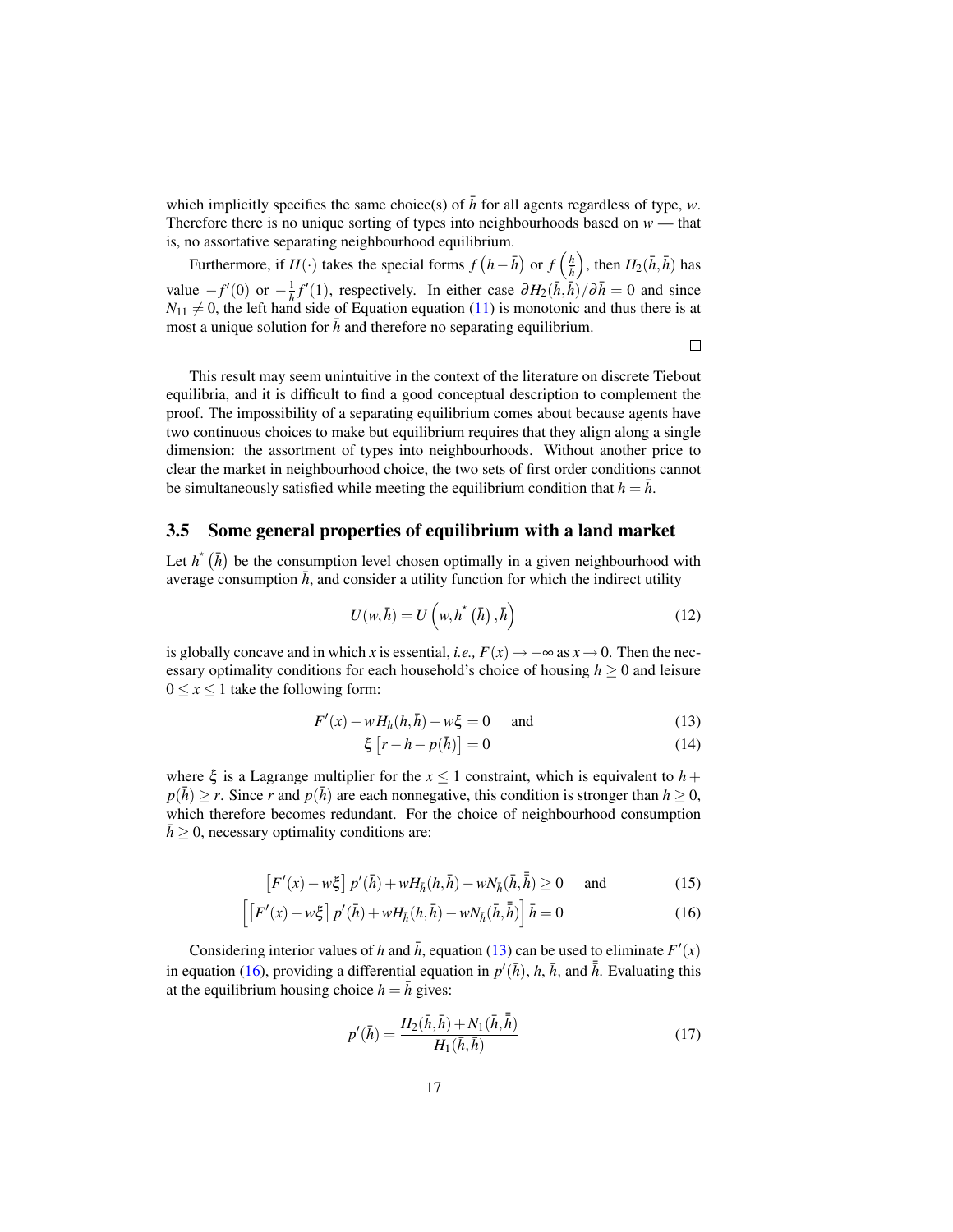which implicitly specifies the same choice(s) of  $\bar{h}$  for all agents regardless of type, *w*. Therefore there is no unique sorting of types into neighbourhoods based on  $w$  — that is, no assortative separating neighbourhood equilibrium.

Furthermore, if  $H(\cdot)$  takes the special forms  $f(h-\bar{h})$  or  $f\left(\frac{h}{\bar{h}}\right)$ , then  $H_2(\bar{h}, \bar{h})$  has value  $-f'(0)$  or  $-\frac{1}{h}f'(1)$ , respectively. In either case  $\partial H_2(\bar{h}, \bar{h})/\partial \bar{h} = 0$  and since  $N_{11} \neq 0$ , the left hand side of Equation equation (11) is monotonic and thus there is at most a unique solution for  $\bar{h}$  and therefore no separating equilibrium.

 $\Box$ 

This result may seem unintuitive in the context of the literature on discrete Tiebout equilibria, and it is difficult to find a good conceptual description to complement the proof. The impossibility of a separating equilibrium comes about because agents have two continuous choices to make but equilibrium requires that they align along a single dimension: the assortment of types into neighbourhoods. Without another price to clear the market in neighbourhood choice, the two sets of first order conditions cannot be simultaneously satisfied while meeting the equilibrium condition that  $h = \bar{h}$ .

#### 3.5 Some general properties of equilibrium with a land market

Let  $h^*(\bar{h})$  be the consumption level chosen optimally in a given neighbourhood with average consumption  $\bar{h}$ , and consider a utility function for which the indirect utility

$$
U(w,\bar{h}) = U(w,h^*(\bar{h}),\bar{h})
$$
\n(12)

is globally concave and in which *x* is essential, *i.e.*,  $F(x) \rightarrow -\infty$  as  $x \rightarrow 0$ . Then the necessary optimality conditions for each household's choice of housing  $h \geq 0$  and leisure  $0 \leq x \leq 1$  take the following form:

$$
F'(x) - wHh(h, \bar{h}) - w\xi = 0 \quad \text{and} \tag{13}
$$

$$
\xi \left[ r - h - p(\bar{h}) \right] = 0 \tag{14}
$$

where  $\xi$  is a Lagrange multiplier for the  $x \le 1$  constraint, which is equivalent to  $h +$  $p(\bar{h}) \ge r$ . Since *r* and  $p(\bar{h})$  are each nonnegative, this condition is stronger than  $h \ge 0$ , which therefore becomes redundant. For the choice of neighbourhood consumption  $h \geq 0$ , necessary optimality conditions are:

$$
\left[F'(x) - w\xi\right]p'(\bar{h}) + wH_{\bar{h}}(h,\bar{h}) - wN_{\bar{h}}(\bar{h},\bar{\bar{h}}) \ge 0 \quad \text{and} \tag{15}
$$

$$
\left[ \left[ F'(x) - w\xi \right] p'(\bar{h}) + wH_{\bar{h}}(h, \bar{h}) - wN_{\bar{h}}(\bar{h}, \bar{\bar{h}}) \right] \bar{h} = 0 \tag{16}
$$

Considering interior values of *h* and  $\bar{h}$ , equation (13) can be used to eliminate  $F'(x)$ in equation (16), providing a differential equation in  $p'(\bar{h})$ ,  $h, \bar{h}$ , and  $\bar{h}$ . Evaluating this at the equilibrium housing choice  $h = \overline{h}$  gives:

$$
p'(\bar{h}) = \frac{H_2(\bar{h}, \bar{h}) + N_1(\bar{h}, \bar{\bar{h}})}{H_1(\bar{h}, \bar{h})}
$$
(17)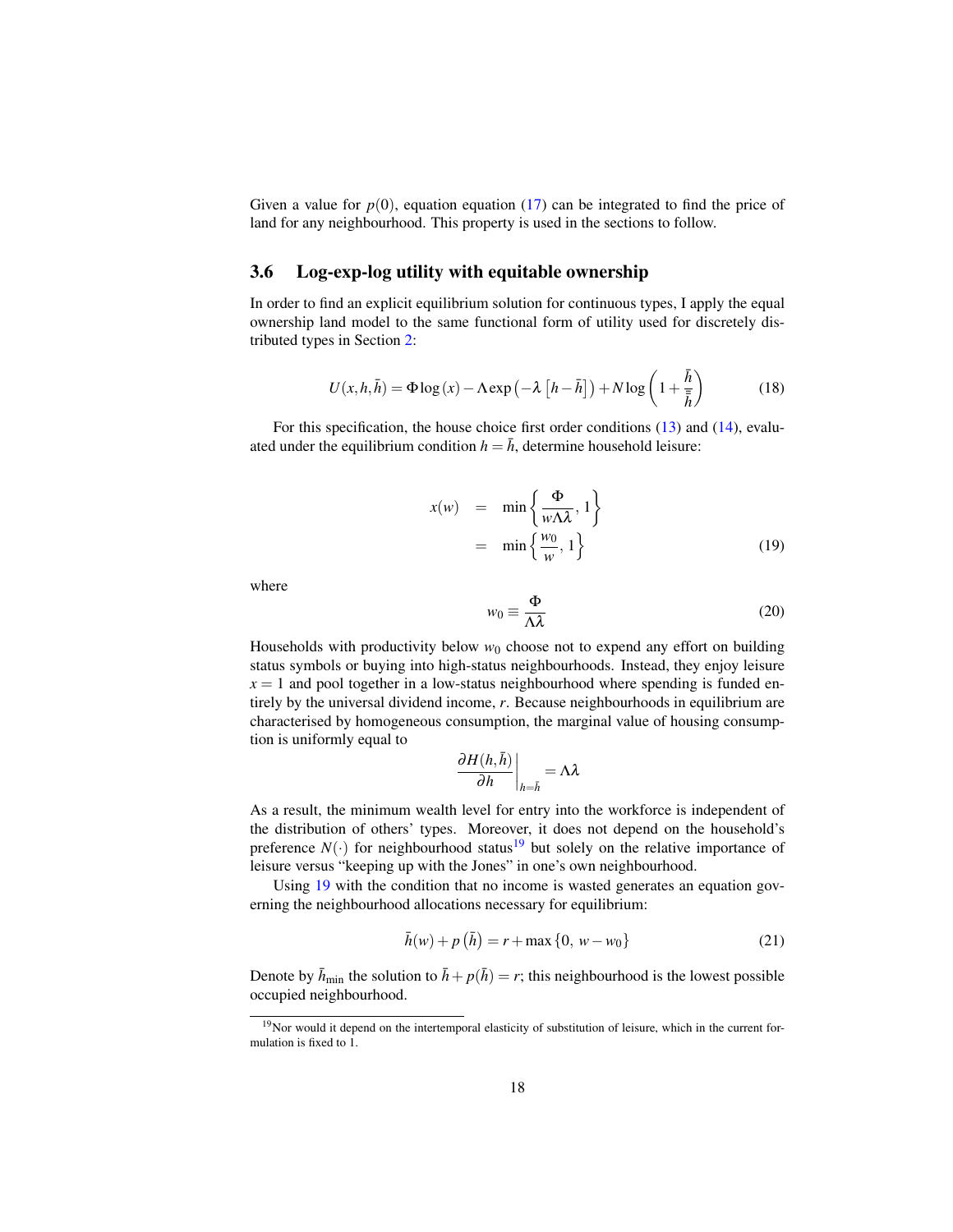Given a value for  $p(0)$ , equation equation (17) can be integrated to find the price of land for any neighbourhood. This property is used in the sections to follow.

#### 3.6 Log-exp-log utility with equitable ownership

In order to find an explicit equilibrium solution for continuous types, I apply the equal ownership land model to the same functional form of utility used for discretely distributed types in Section 2:

$$
U(x, h, \bar{h}) = \Phi \log(x) - \Lambda \exp\left(-\lambda \left[h - \bar{h}\right]\right) + N \log\left(1 + \frac{\bar{h}}{\bar{\bar{h}}}\right) \tag{18}
$$

For this specification, the house choice first order conditions (13) and (14), evaluated under the equilibrium condition  $h = \bar{h}$ , determine household leisure:

$$
x(w) = \min\left\{\frac{\Phi}{w\Lambda\lambda}, 1\right\}
$$
  
=  $\min\left\{\frac{w_0}{w}, 1\right\}$  (19)

where

$$
w_0 \equiv \frac{\Phi}{\Lambda \lambda} \tag{20}
$$

Households with productivity below  $w_0$  choose not to expend any effort on building status symbols or buying into high-status neighbourhoods. Instead, they enjoy leisure  $x = 1$  and pool together in a low-status neighbourhood where spending is funded entirely by the universal dividend income, *r*. Because neighbourhoods in equilibrium are characterised by homogeneous consumption, the marginal value of housing consumption is uniformly equal to

$$
\left.\frac{\partial H(h,\bar{h})}{\partial h}\right|_{h=\bar{h}}=\Lambda\lambda
$$

As a result, the minimum wealth level for entry into the workforce is independent of the distribution of others' types. Moreover, it does not depend on the household's preference  $N(\cdot)$  for neighbourhood status<sup>19</sup> but solely on the relative importance of leisure versus "keeping up with the Jones" in one's own neighbourhood.

Using 19 with the condition that no income is wasted generates an equation governing the neighbourhood allocations necessary for equilibrium:

$$
\bar{h}(w) + p(\bar{h}) = r + \max\{0, w - w_0\}
$$
 (21)

Denote by  $\bar{h}_{\text{min}}$  the solution to  $\bar{h} + p(\bar{h}) = r$ ; this neighbourhood is the lowest possible occupied neighbourhood.

 $19$ Nor would it depend on the intertemporal elasticity of substitution of leisure, which in the current formulation is fixed to 1.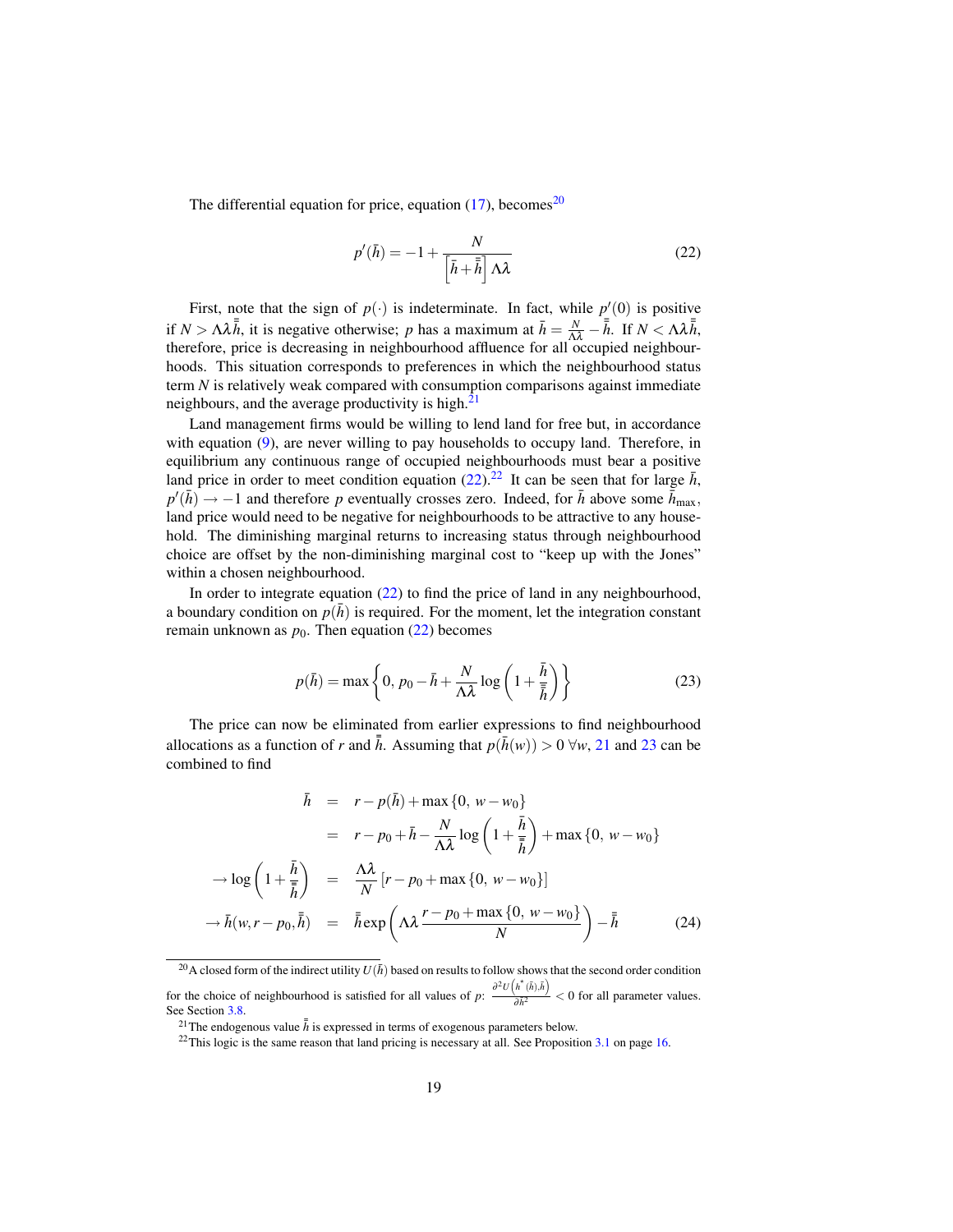The differential equation for price, equation  $(17)$ , becomes<sup>20</sup>

$$
p'(\bar{h}) = -1 + \frac{N}{\left|\bar{h} + \bar{\bar{h}}\right| \Lambda \lambda} \tag{22}
$$

First, note that the sign of  $p(\cdot)$  is indeterminate. In fact, while  $p'(0)$  is positive if  $N > \Lambda \lambda \bar{\hbar}$ , it is negative otherwise; *p* has a maximum at  $\bar{h} = \frac{N}{\Lambda \lambda} - \bar{\hbar}$ . If  $N < \Lambda \lambda \bar{\hbar}$ , therefore, price is decreasing in neighbourhood affluence for all occupied neighbourhoods. This situation corresponds to preferences in which the neighbourhood status term *N* is relatively weak compared with consumption comparisons against immediate neighbours, and the average productivity is high. $2<sup>1</sup>$ 

Land management firms would be willing to lend land for free but, in accordance with equation (9), are never willing to pay households to occupy land. Therefore, in equilibrium any continuous range of occupied neighbourhoods must bear a positive land price in order to meet condition equation (22).<sup>22</sup> It can be seen that for large  $\bar{h}$ ,  $p'(\bar{h}) \rightarrow -1$  and therefore *p* eventually crosses zero. Indeed, for  $\bar{h}$  above some  $\bar{h}$ <sub>max</sub>, land price would need to be negative for neighbourhoods to be attractive to any household. The diminishing marginal returns to increasing status through neighbourhood choice are offset by the non-diminishing marginal cost to "keep up with the Jones" within a chosen neighbourhood.

In order to integrate equation (22) to find the price of land in any neighbourhood, a boundary condition on  $p(h)$  is required. For the moment, let the integration constant remain unknown as  $p_0$ . Then equation (22) becomes

$$
p(\bar{h}) = \max\left\{0, p_0 - \bar{h} + \frac{N}{\Lambda\lambda}\log\left(1 + \frac{\bar{h}}{\bar{\bar{h}}}\right)\right\}
$$
 (23)

The price can now be eliminated from earlier expressions to find neighbourhood allocations as a function of *r* and  $\bar{h}$ . Assuming that  $p(\bar{h}(w)) > 0 \ \forall w$ , 21 and 23 can be combined to find

$$
\bar{h} = r - p(\bar{h}) + \max\{0, w - w_0\}
$$
\n
$$
= r - p_0 + \bar{h} - \frac{N}{\Lambda\lambda}\log\left(1 + \frac{\bar{h}}{\bar{h}}\right) + \max\{0, w - w_0\}
$$
\n
$$
\rightarrow \log\left(1 + \frac{\bar{h}}{\bar{h}}\right) = \frac{\Lambda\lambda}{N}\left[r - p_0 + \max\{0, w - w_0\}\right]
$$
\n
$$
\rightarrow \bar{h}(w, r - p_0, \bar{h}) = \bar{h}\exp\left(\Lambda\lambda\frac{r - p_0 + \max\{0, w - w_0\}}{N}\right) - \bar{h} \tag{24}
$$

<sup>&</sup>lt;sup>20</sup>A closed form of the indirect utility  $U(\bar{h})$  based on results to follow shows that the second order condition for the choice of neighbourhood is satisfied for all values of  $p$ :  $\frac{\partial^2 U(h^*(\bar{h}),\bar{h})}{\partial \bar{h}^2} < 0$  for all parameter values. See Section 3.8.

<sup>&</sup>lt;sup>21</sup>The endogenous value  $\bar{h}$  is expressed in terms of exogenous parameters below.

<sup>&</sup>lt;sup>22</sup>This logic is the same reason that land pricing is necessary at all. See Proposition 3.1 on page 16.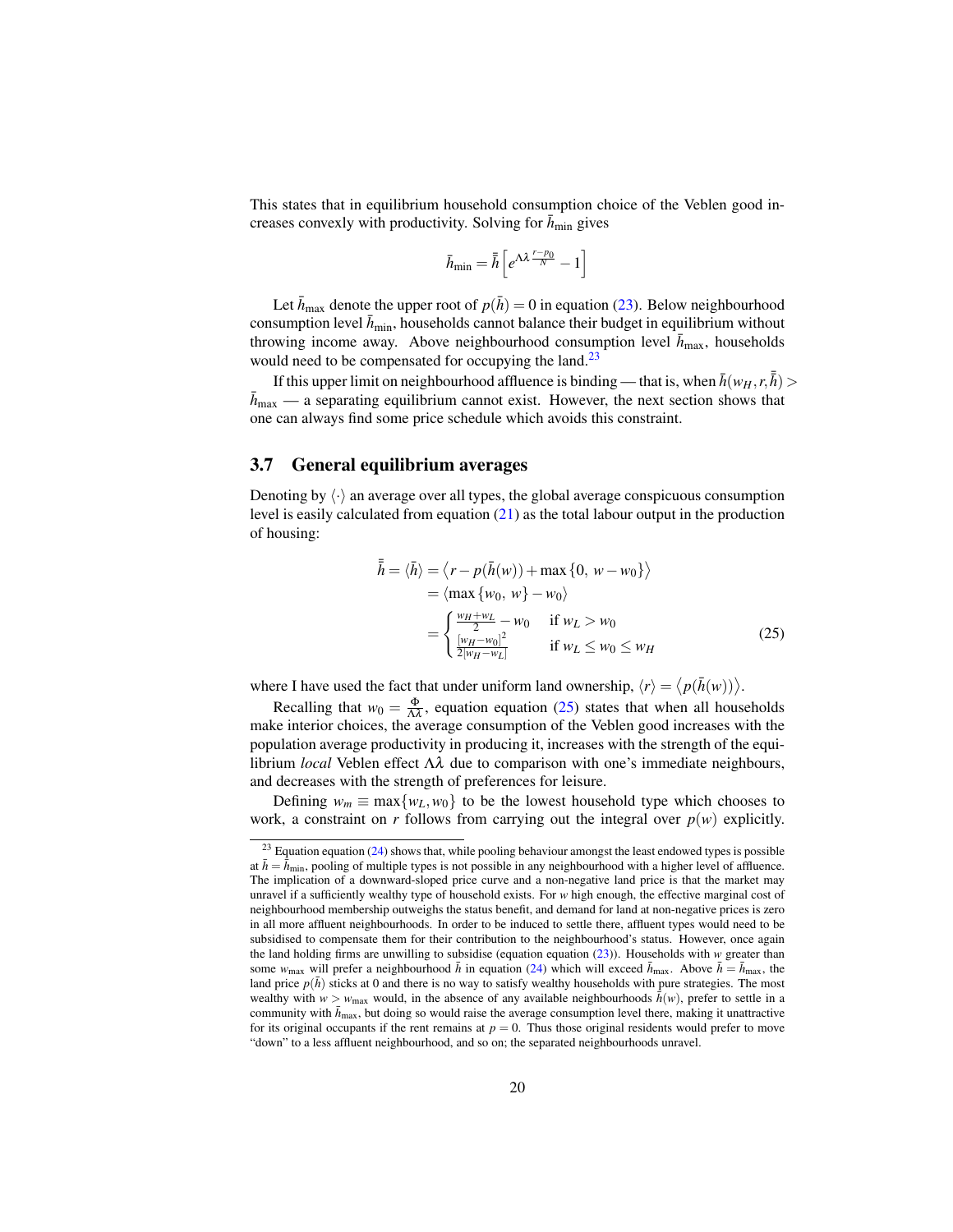This states that in equilibrium household consumption choice of the Veblen good increases convexly with productivity. Solving for  $h_{\text{min}}$  gives

$$
\bar{h}_{\min} = \bar{\bar{h}} \left[ e^{\Lambda \lambda \frac{r - p_0}{N}} - 1 \right]
$$

Let  $\bar{h}_{\text{max}}$  denote the upper root of  $p(\bar{h}) = 0$  in equation (23). Below neighbourhood consumption level  $\bar{h}_{\text{min}}$ , households cannot balance their budget in equilibrium without throwing income away. Above neighbourhood consumption level  $h_{\text{max}}$ , households would need to be compensated for occupying the land.<sup>23</sup>

If this upper limit on neighbourhood affluence is binding — that is, when  $\bar{h}(w_H, r, \bar{h})$  >  $\bar{h}_{\text{max}}$  — a separating equilibrium cannot exist. However, the next section shows that one can always find some price schedule which avoids this constraint.

#### 3.7 General equilibrium averages

Denoting by  $\langle \cdot \rangle$  an average over all types, the global average conspicuous consumption level is easily calculated from equation (21) as the total labour output in the production of housing:

$$
\bar{\bar{h}} = \langle \bar{h} \rangle = \langle r - p(\bar{h}(w)) + \max \{0, w - w_0\} \rangle
$$
  
=  $\langle \max \{w_0, w\} - w_0 \rangle$   
=  $\begin{cases} \frac{w_H + w_L}{2} - w_0 & \text{if } w_L > w_0 \\ \frac{[w_H - w_0]^2}{2[w_H - w_L]} & \text{if } w_L \le w_0 \le w_H \end{cases}$  (25)

where I have used the fact that under uniform land ownership,  $\langle r \rangle = \langle p(\bar{h}(w)) \rangle$ .

Recalling that  $w_0 = \frac{\Phi}{\Delta \lambda}$ , equation equation (25) states that when all households make interior choices, the average consumption of the Veblen good increases with the population average productivity in producing it, increases with the strength of the equilibrium *local* Veblen effect Λλ due to comparison with one's immediate neighbours, and decreases with the strength of preferences for leisure.

Defining  $w_m \equiv \max\{w_L, w_0\}$  to be the lowest household type which chooses to work, a constraint on *r* follows from carrying out the integral over  $p(w)$  explicitly.

 $^{23}$  Equation equation (24) shows that, while pooling behaviour amongst the least endowed types is possible at  $\bar{h} = \bar{h}_{\text{min}}$ , pooling of multiple types is not possible in any neighbourhood with a higher level of affluence. The implication of a downward-sloped price curve and a non-negative land price is that the market may unravel if a sufficiently wealthy type of household exists. For *w* high enough, the effective marginal cost of neighbourhood membership outweighs the status benefit, and demand for land at non-negative prices is zero in all more affluent neighbourhoods. In order to be induced to settle there, affluent types would need to be subsidised to compensate them for their contribution to the neighbourhood's status. However, once again the land holding firms are unwilling to subsidise (equation equation (23)). Households with *w* greater than some  $w_{\text{max}}$  will prefer a neighbourhood  $\bar{h}$  in equation (24) which will exceed  $\bar{h}_{\text{max}}$ . Above  $\bar{h} = \bar{h}_{\text{max}}$ , the land price  $p(\bar{h})$  sticks at 0 and there is no way to satisfy wealthy households with pure strategies. The most wealthy with  $w > w_{\text{max}}$  would, in the absence of any available neighbourhoods  $\bar{h}(w)$ , prefer to settle in a community with  $\bar{h}_{\text{max}}$ , but doing so would raise the average consumption level there, making it unattractive for its original occupants if the rent remains at  $p = 0$ . Thus those original residents would prefer to move "down" to a less affluent neighbourhood, and so on; the separated neighbourhoods unravel.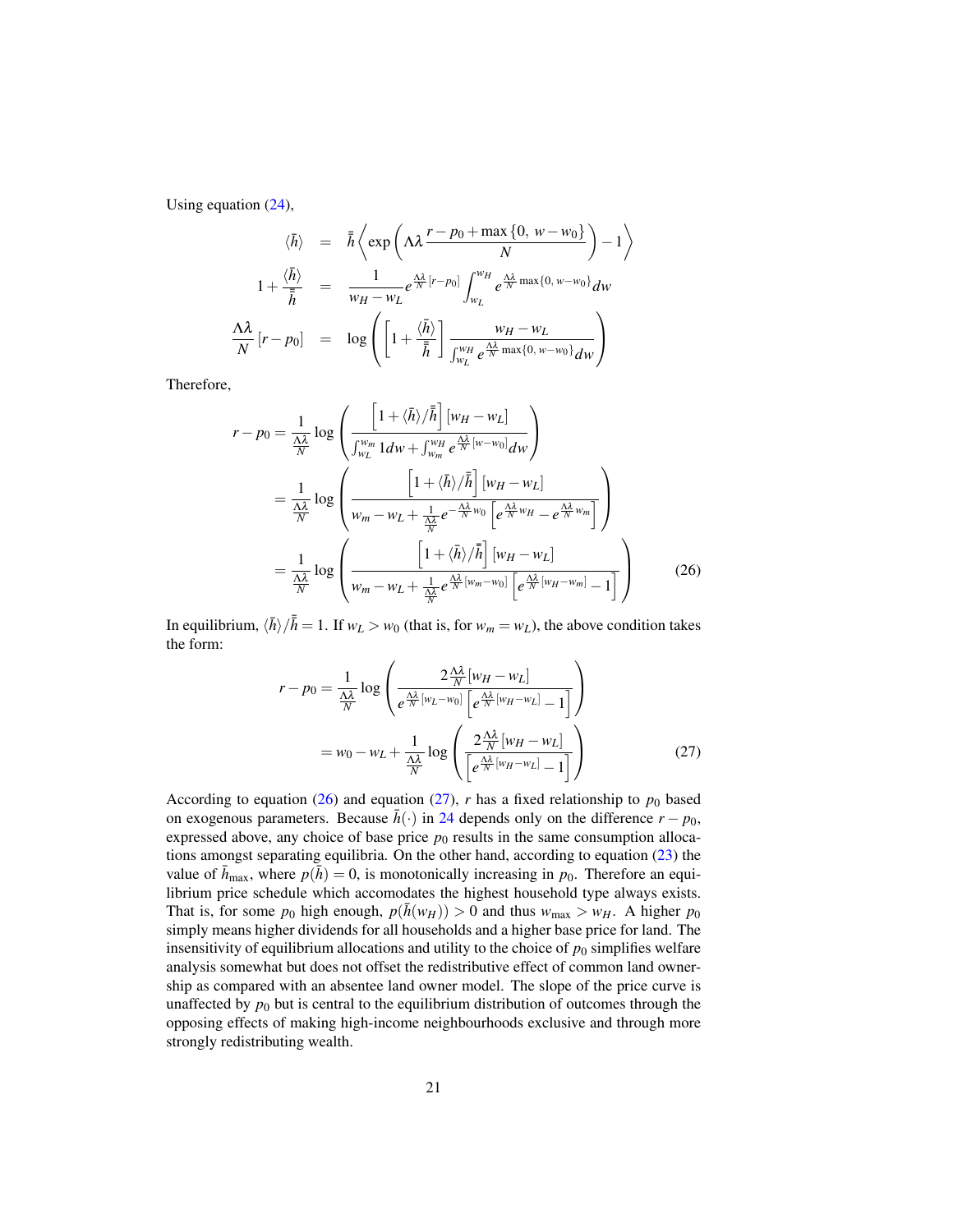Using equation (24),

$$
\langle \bar{h} \rangle = \bar{\hbar} \left\langle \exp \left( \Lambda \lambda \frac{r - p_0 + \max \{ 0, w - w_0 \}}{N} \right) - 1 \right\rangle
$$
  

$$
1 + \frac{\langle \bar{h} \rangle}{\bar{\hbar}} = \frac{1}{w_H - w_L} e^{\frac{\Lambda \lambda}{N} [r - p_0]} \int_{w_L}^{w_H} e^{\frac{\Lambda \lambda}{N} \max \{ 0, w - w_0 \}} dw
$$
  

$$
\frac{\Lambda \lambda}{N} [r - p_0] = \log \left( \left[ 1 + \frac{\langle \bar{h} \rangle}{\bar{\hbar}} \right] \frac{w_H - w_L}{\int_{w_L}^{w_H} e^{\frac{\Lambda \lambda}{N} \max \{ 0, w - w_0 \}} dw} \right)
$$

Therefore,

$$
r - p_0 = \frac{1}{\frac{\Delta\lambda}{N}} \log \left( \frac{\left[1 + \langle \bar{h} \rangle / \bar{\bar{h}}\right] [w_H - w_L]}{\int_{w_L}^{w_m} 1 dw + \int_{w_m}^{w_H} e^{\frac{\Delta\lambda}{N} [w - w_0]} dw} \right)
$$
  
\n
$$
= \frac{1}{\frac{\Delta\lambda}{N}} \log \left( \frac{\left[1 + \langle \bar{h} \rangle / \bar{\bar{h}}\right] [w_H - w_L]}{w_m - w_L + \frac{1}{\frac{\Delta\lambda}{N}} e^{-\frac{\Delta\lambda}{N} w_0} \left[e^{\frac{\Delta\lambda}{N} w_H} - e^{\frac{\Delta\lambda}{N} w_m}\right]}\right)
$$
  
\n
$$
= \frac{1}{\frac{\Delta\lambda}{N}} \log \left( \frac{\left[1 + \langle \bar{h} \rangle / \bar{\bar{h}}\right] [w_H - w_L]}{w_m - w_L + \frac{1}{\frac{\Delta\lambda}{N}} e^{\frac{\Delta\lambda}{N} [w_m - w_0]} \left[e^{\frac{\Delta\lambda}{N} [w_H - w_m]} - 1\right]}\right)
$$
(26)

In equilibrium,  $\langle \bar{h} \rangle / \bar{h} = 1$ . If  $w_L > w_0$  (that is, for  $w_m = w_L$ ), the above condition takes the form:

$$
r - p_0 = \frac{1}{\frac{\Lambda\lambda}{N}} \log \left( \frac{2\frac{\Lambda\lambda}{N} [w_H - w_L]}{e^{\frac{\Lambda\lambda}{N} [w_L - w_0]} \left[e^{\frac{\Lambda\lambda}{N} [w_H - w_L]} - 1\right]} \right)
$$

$$
= w_0 - w_L + \frac{1}{\frac{\Lambda\lambda}{N}} \log \left( \frac{2\frac{\Lambda\lambda}{N} [w_H - w_L]}{e^{\frac{\Lambda\lambda}{N} [w_H - w_L]} - 1} \right)
$$
(27)

According to equation (26) and equation (27), *r* has a fixed relationship to  $p_0$  based on exogenous parameters. Because  $\bar{h}(\cdot)$  in 24 depends only on the difference  $r - p_0$ , expressed above, any choice of base price  $p_0$  results in the same consumption allocations amongst separating equilibria. On the other hand, according to equation (23) the value of  $\bar{h}_{\text{max}}$ , where  $p(\bar{h}) = 0$ , is monotonically increasing in  $p_0$ . Therefore an equilibrium price schedule which accomodates the highest household type always exists. That is, for some  $p_0$  high enough,  $p(\bar{h}(w_H)) > 0$  and thus  $w_{\text{max}} > w_H$ . A higher  $p_0$ simply means higher dividends for all households and a higher base price for land. The insensitivity of equilibrium allocations and utility to the choice of  $p_0$  simplifies welfare analysis somewhat but does not offset the redistributive effect of common land ownership as compared with an absentee land owner model. The slope of the price curve is unaffected by  $p_0$  but is central to the equilibrium distribution of outcomes through the opposing effects of making high-income neighbourhoods exclusive and through more strongly redistributing wealth.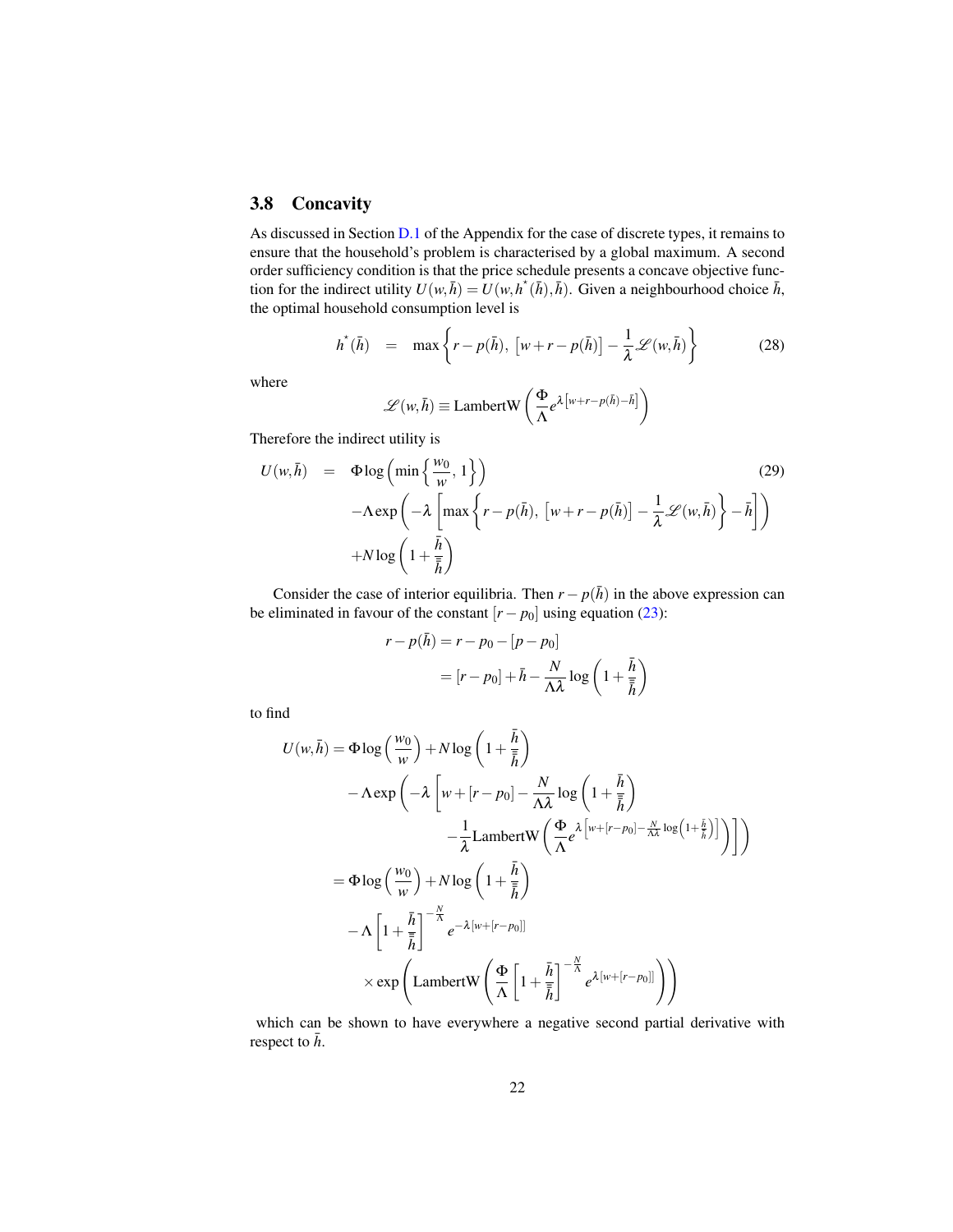### 3.8 Concavity

As discussed in Section D.1 of the Appendix for the case of discrete types, it remains to ensure that the household's problem is characterised by a global maximum. A second order sufficiency condition is that the price schedule presents a concave objective function for the indirect utility  $U(w, \bar{h}) = U(w, h^*(\bar{h}), \bar{h})$ . Given a neighbourhood choice  $\bar{h}$ , the optimal household consumption level is

$$
h^{*}(\bar{h}) = \max \left\{ r - p(\bar{h}), \left[ w + r - p(\bar{h}) \right] - \frac{1}{\lambda} \mathcal{L}(w, \bar{h}) \right\}
$$
(28)

where

$$
\mathscr{L}(w,\bar{h}) \equiv \text{LambertW}\left(\frac{\Phi}{\Lambda}e^{\lambda\left[w+r-p(\bar{h})-\bar{h}\right]}\right)
$$

Therefore the indirect utility is

$$
U(w,\bar{h}) = \Phi \log \left( \min \left\{ \frac{w_0}{w}, 1 \right\} \right)
$$
\n
$$
-\Lambda \exp \left( -\lambda \left[ \max \left\{ r - p(\bar{h}), \left[ w + r - p(\bar{h}) \right] - \frac{1}{\lambda} \mathcal{L}(w, \bar{h}) \right\} - \bar{h} \right] \right)
$$
\n
$$
+ N \log \left( 1 + \frac{\bar{h}}{\bar{h}} \right)
$$
\n(29)

Consider the case of interior equilibria. Then  $r - p(\bar{h})$  in the above expression can be eliminated in favour of the constant  $[r - p_0]$  using equation (23):

$$
r - p(\bar{h}) = r - p_0 - [p - p_0]
$$
  
= 
$$
[r - p_0] + \bar{h} - \frac{N}{\Lambda \lambda} \log \left( 1 + \frac{\bar{h}}{\bar{h}} \right)
$$

to find

$$
U(w,\bar{h}) = \Phi \log \left(\frac{w_0}{w}\right) + N \log \left(1 + \frac{\bar{h}}{\bar{h}}\right)
$$
  

$$
- \Lambda \exp \left(-\lambda \left[w + [r - p_0] - \frac{N}{\Lambda \lambda} \log \left(1 + \frac{\bar{h}}{\bar{h}}\right)\right]
$$

$$
- \frac{1}{\lambda} \text{LambertW} \left(\frac{\Phi}{\Lambda} e^{\lambda \left[w + [r - p_0] - \frac{N}{\Lambda \lambda} \log \left(1 + \frac{\bar{h}}{\bar{h}}\right)\right]}\right)\right)
$$

$$
= \Phi \log \left(\frac{w_0}{w}\right) + N \log \left(1 + \frac{\bar{h}}{\bar{h}}\right)
$$

$$
- \Lambda \left[1 + \frac{\bar{h}}{\bar{h}}\right]^{-\frac{N}{\Lambda}} e^{-\lambda [w + [r - p_0]]}
$$

$$
\times \exp \left(\text{LambertW} \left(\frac{\Phi}{\Lambda} \left[1 + \frac{\bar{h}}{\bar{h}}\right]^{-\frac{N}{\Lambda}} e^{\lambda [w + [r - p_0]]}\right)\right)
$$

which can be shown to have everywhere a negative second partial derivative with respect to  $\bar{h}$ .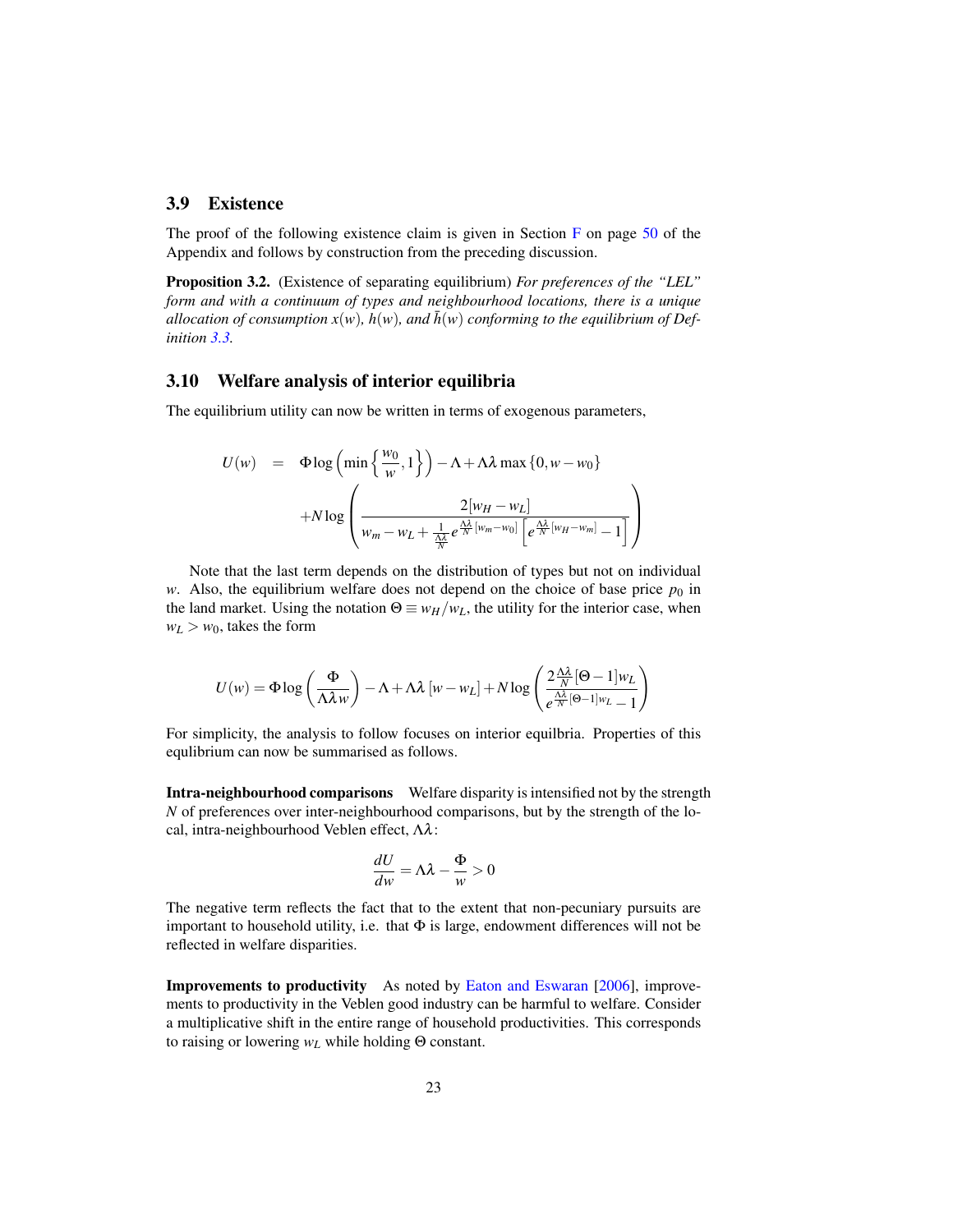#### 3.9 Existence

The proof of the following existence claim is given in Section  $F$  on page 50 of the Appendix and follows by construction from the preceding discussion.

Proposition 3.2. (Existence of separating equilibrium) *For preferences of the "LEL" form and with a continuum of types and neighbourhood locations, there is a unique allocation of consumption*  $x(w)$ *,*  $h(w)$ *<i>, and*  $\bar{h}(w)$  *conforming to the equilibrium of Definition 3.3.*

#### 3.10 Welfare analysis of interior equilibria

The equilibrium utility can now be written in terms of exogenous parameters,

$$
U(w) = \Phi \log \left( \min \left\{ \frac{w_0}{w}, 1 \right\} \right) - \Lambda + \Lambda \lambda \max \left\{ 0, w - w_0 \right\}
$$

$$
+ N \log \left( \frac{2[w_H - w_L]}{w_m - w_L + \frac{1}{N} e^{\frac{\Lambda \lambda}{N} [w_m - w_0]} \left[ e^{\frac{\Lambda \lambda}{N} [w_H - w_m]} - 1 \right]} \right)
$$

Note that the last term depends on the distribution of types but not on individual *w*. Also, the equilibrium welfare does not depend on the choice of base price  $p_0$  in the land market. Using the notation  $\Theta \equiv w_H/w_L$ , the utility for the interior case, when  $w_L > w_0$ , takes the form

$$
U(w) = \Phi \log \left(\frac{\Phi}{\Lambda \lambda w}\right) - \Lambda + \Lambda \lambda \left[ w - w_L \right] + N \log \left( \frac{2 \frac{\Lambda \lambda}{N} [\Theta - 1] w_L}{e^{\frac{\Lambda \lambda}{N} [\Theta - 1] w_L} - 1} \right)
$$

For simplicity, the analysis to follow focuses on interior equilbria. Properties of this equlibrium can now be summarised as follows.

Intra-neighbourhood comparisons Welfare disparity is intensified not by the strength *N* of preferences over inter-neighbourhood comparisons, but by the strength of the local, intra-neighbourhood Veblen effect, Λλ:

$$
\frac{dU}{dw} = \Lambda \lambda - \frac{\Phi}{w} > 0
$$

The negative term reflects the fact that to the extent that non-pecuniary pursuits are important to household utility, i.e. that  $\Phi$  is large, endowment differences will not be reflected in welfare disparities.

Improvements to productivity As noted by Eaton and Eswaran [2006], improvements to productivity in the Veblen good industry can be harmful to welfare. Consider a multiplicative shift in the entire range of household productivities. This corresponds to raising or lowering *w<sup>L</sup>* while holding Θ constant.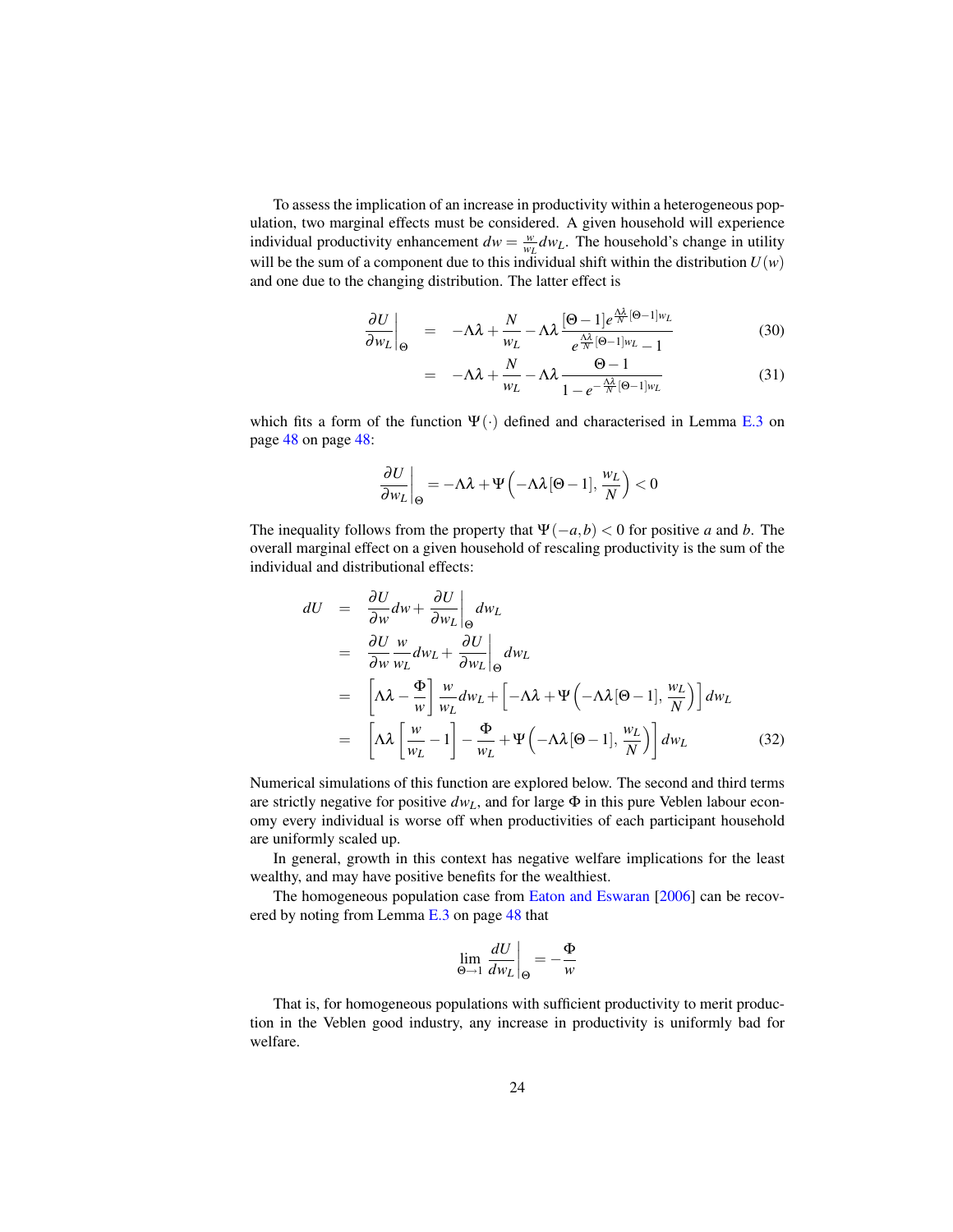To assess the implication of an increase in productivity within a heterogeneous population, two marginal effects must be considered. A given household will experience individual productivity enhancement  $dw = \frac{w}{w_L} dw_L$ . The household's change in utility will be the sum of a component due to this individual shift within the distribution  $U(w)$ and one due to the changing distribution. The latter effect is

$$
\left. \frac{\partial U}{\partial w_L} \right|_{\Theta} = -\Lambda \lambda + \frac{N}{w_L} - \Lambda \lambda \frac{[\Theta - 1] e^{\frac{\Lambda \lambda}{N} [\Theta - 1] w_L}}{e^{\frac{\Lambda \lambda}{N} [\Theta - 1] w_L} - 1}
$$
(30)

$$
= -\Lambda \lambda + \frac{N}{w_L} - \Lambda \lambda \frac{\Theta - 1}{1 - e^{-\frac{\Lambda \lambda}{N} [\Theta - 1] w_L}}
$$
(31)

which fits a form of the function  $\Psi(\cdot)$  defined and characterised in Lemma E.3 on page 48 on page 48:

$$
\left. \frac{\partial U}{\partial w_L} \right|_{\Theta} = -\Lambda \lambda + \Psi \left( -\Lambda \lambda [\Theta - 1], \frac{w_L}{N} \right) < 0
$$

The inequality follows from the property that  $\Psi(-a,b) < 0$  for positive *a* and *b*. The overall marginal effect on a given household of rescaling productivity is the sum of the individual and distributional effects:

$$
dU = \frac{\partial U}{\partial w} dw + \frac{\partial U}{\partial w_L} \Big|_{\Theta} dw_L
$$
  
\n
$$
= \frac{\partial U}{\partial w} \frac{w}{w_L} dw_L + \frac{\partial U}{\partial w_L} \Big|_{\Theta} dw_L
$$
  
\n
$$
= \left[ \Lambda \lambda - \frac{\Phi}{w} \right] \frac{w}{w_L} dw_L + \left[ -\Lambda \lambda + \Psi \left( -\Lambda \lambda [\Theta - 1], \frac{w_L}{N} \right) \right] dw_L
$$
  
\n
$$
= \left[ \Lambda \lambda \left[ \frac{w}{w_L} - 1 \right] - \frac{\Phi}{w_L} + \Psi \left( -\Lambda \lambda [\Theta - 1], \frac{w_L}{N} \right) \right] dw_L
$$
 (32)

Numerical simulations of this function are explored below. The second and third terms are strictly negative for positive  $dw_L$ , and for large  $\Phi$  in this pure Veblen labour economy every individual is worse off when productivities of each participant household are uniformly scaled up.

In general, growth in this context has negative welfare implications for the least wealthy, and may have positive benefits for the wealthiest.

The homogeneous population case from Eaton and Eswaran [2006] can be recovered by noting from Lemma E.3 on page 48 that

$$
\lim_{\Theta \to 1} \left. \frac{dU}{dw_L} \right|_{\Theta} = -\frac{\Phi}{w}
$$

That is, for homogeneous populations with sufficient productivity to merit production in the Veblen good industry, any increase in productivity is uniformly bad for welfare.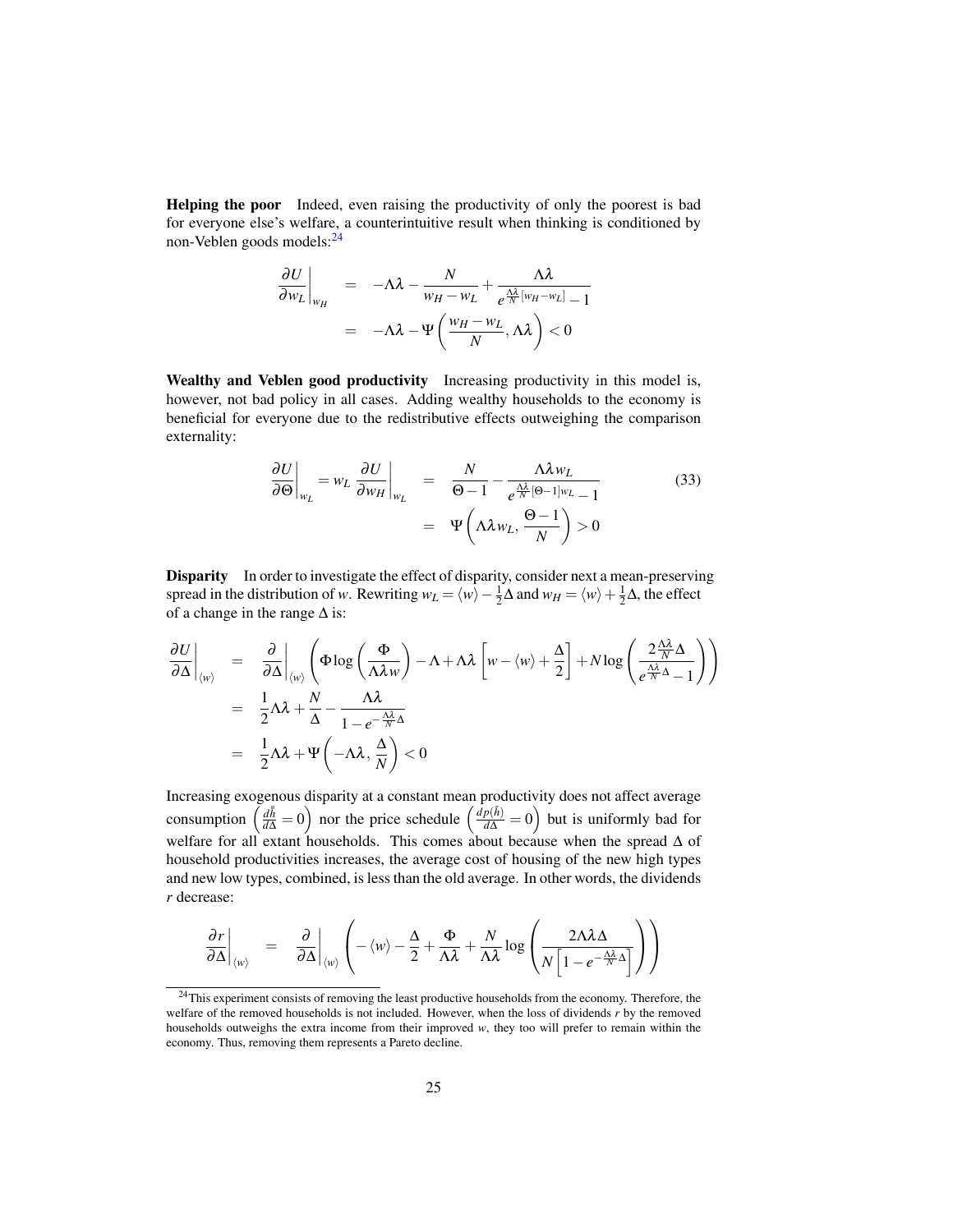Helping the poor Indeed, even raising the productivity of only the poorest is bad for everyone else's welfare, a counterintuitive result when thinking is conditioned by non-Veblen goods models:<sup>24</sup>

$$
\frac{\partial U}{\partial w_L}\Big|_{w_H} = -\Lambda \lambda - \frac{N}{w_H - w_L} + \frac{\Lambda \lambda}{e^{\frac{\Lambda \lambda}{N} [w_H - w_L]} - 1}
$$

$$
= -\Lambda \lambda - \Psi\left(\frac{w_H - w_L}{N}, \Lambda \lambda\right) < 0
$$

Wealthy and Veblen good productivity Increasing productivity in this model is, however, not bad policy in all cases. Adding wealthy households to the economy is beneficial for everyone due to the redistributive effects outweighing the comparison externality:

$$
\frac{\partial U}{\partial \Theta}\Big|_{w_L} = w_L \frac{\partial U}{\partial w_H}\Big|_{w_L} = \frac{N}{\Theta - 1} - \frac{\Lambda \lambda w_L}{e^{\frac{\Lambda \lambda}{N} [\Theta - 1] w_L} - 1}
$$
(33)  

$$
= \Psi\left(\Lambda \lambda w_L, \frac{\Theta - 1}{N}\right) > 0
$$

Disparity In order to investigate the effect of disparity, consider next a mean-preserving spread in the distribution of *w*. Rewriting  $w_L = \langle w \rangle - \frac{1}{2}\Delta$  and  $w_H = \langle w \rangle + \frac{1}{2}\Delta$ , the effect of a change in the range  $\Delta$  is:

$$
\frac{\partial U}{\partial \Delta}\Big|_{\langle w \rangle} = \frac{\partial}{\partial \Delta}\Big|_{\langle w \rangle} \left( \Phi \log \left( \frac{\Phi}{\Lambda \lambda w} \right) - \Lambda + \Lambda \lambda \left[ w - \langle w \rangle + \frac{\Delta}{2} \right] + N \log \left( \frac{2 \frac{\Lambda \lambda}{N} \Delta}{e^{\frac{\Lambda \lambda}{N} \Delta} - 1} \right) \right)
$$
  
\n=  $\frac{1}{2} \Lambda \lambda + \frac{N}{\Delta} - \frac{\Lambda \lambda}{1 - e^{-\frac{\Lambda \lambda}{N} \Delta}}$   
\n=  $\frac{1}{2} \Lambda \lambda + \Psi \left( -\Lambda \lambda, \frac{\Lambda}{N} \right) < 0$ 

Increasing exogenous disparity at a constant mean productivity does not affect average consumption  $\left(\frac{d\bar{h}}{d\Delta} = 0\right)$  nor the price schedule  $\left(\frac{d\rho(\bar{h})}{d\Delta} = 0\right)$  but is uniformly bad for welfare for all extant households. This comes about because when the spread ∆ of household productivities increases, the average cost of housing of the new high types and new low types, combined, is less than the old average. In other words, the dividends *r* decrease:

$$
\frac{\partial r}{\partial \Delta}\bigg|_{\langle w \rangle} = \frac{\partial}{\partial \Delta}\bigg|_{\langle w \rangle} \left( -\langle w \rangle - \frac{\Delta}{2} + \frac{\Phi}{\Lambda \lambda} + \frac{N}{\Lambda \lambda} \log \left( \frac{2\Lambda \lambda \Delta}{N \left[ 1 - e^{-\frac{\Lambda \lambda}{N} \Delta} \right]} \right) \right)
$$

<sup>&</sup>lt;sup>24</sup>This experiment consists of removing the least productive households from the economy. Therefore, the welfare of the removed households is not included. However, when the loss of dividends *r* by the removed households outweighs the extra income from their improved *w*, they too will prefer to remain within the economy. Thus, removing them represents a Pareto decline.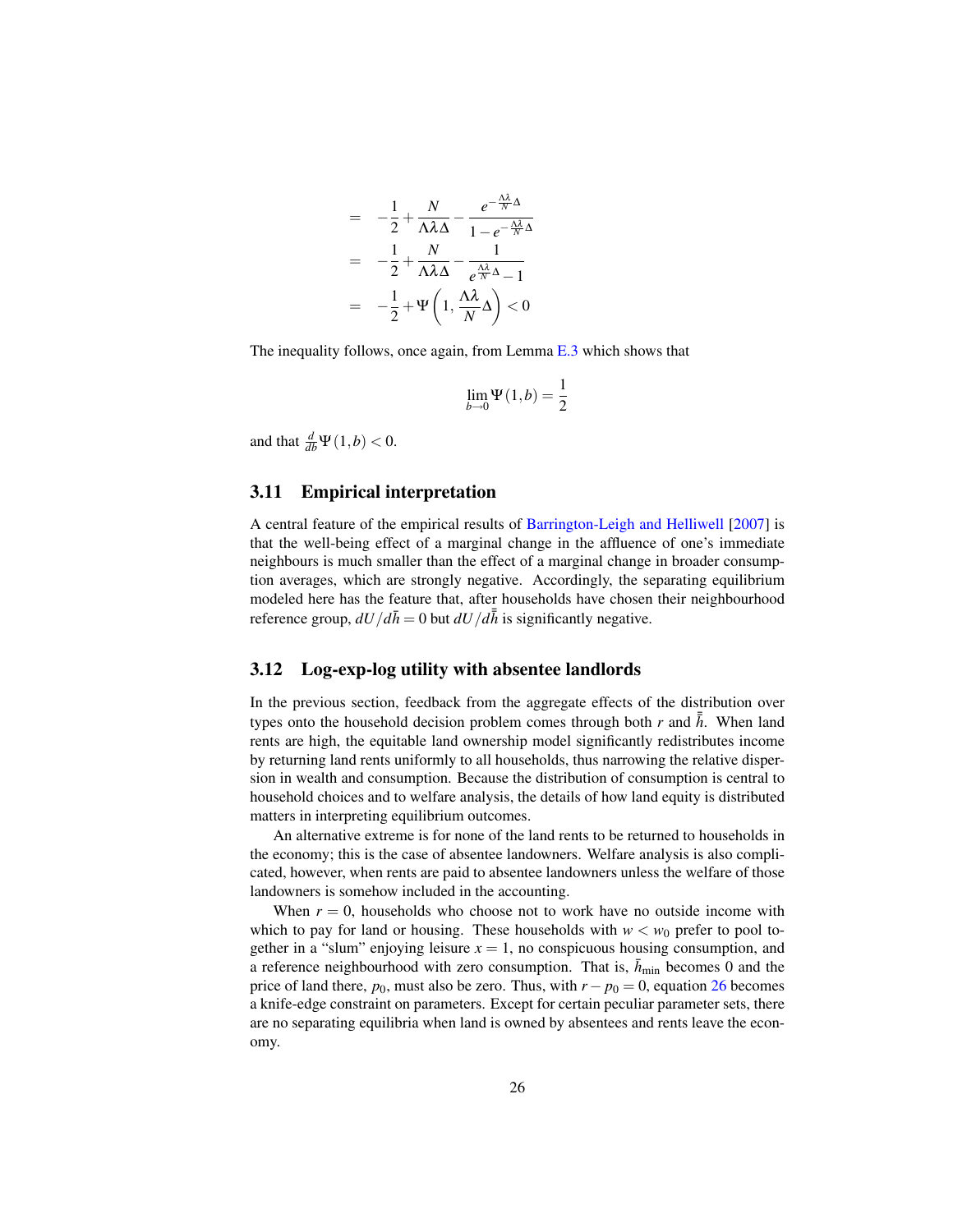$$
= -\frac{1}{2} + \frac{N}{\Lambda \lambda \Delta} - \frac{e^{-\frac{\Lambda \lambda}{N} \Delta}}{1 - e^{-\frac{\Lambda \lambda}{N} \Delta}}
$$

$$
= -\frac{1}{2} + \frac{N}{\Lambda \lambda \Delta} - \frac{1}{e^{\frac{\Lambda \lambda}{N} \Delta} - 1}
$$

$$
= -\frac{1}{2} + \Psi \left( 1, \frac{\Lambda \lambda}{N} \Delta \right) < 0
$$

The inequality follows, once again, from Lemma E.3 which shows that

$$
\lim_{b \to 0} \Psi(1, b) = \frac{1}{2}
$$

and that  $\frac{d}{db}\Psi(1,b) < 0$ .

#### 3.11 Empirical interpretation

A central feature of the empirical results of Barrington-Leigh and Helliwell [2007] is that the well-being effect of a marginal change in the affluence of one's immediate neighbours is much smaller than the effect of a marginal change in broader consumption averages, which are strongly negative. Accordingly, the separating equilibrium modeled here has the feature that, after households have chosen their neighbourhood reference group,  $dU/d\bar{h} = 0$  but  $dU/d\bar{h}$  is significantly negative.

#### 3.12 Log-exp-log utility with absentee landlords

In the previous section, feedback from the aggregate effects of the distribution over types onto the household decision problem comes through both *r* and  $\bar{h}$ . When land rents are high, the equitable land ownership model significantly redistributes income by returning land rents uniformly to all households, thus narrowing the relative dispersion in wealth and consumption. Because the distribution of consumption is central to household choices and to welfare analysis, the details of how land equity is distributed matters in interpreting equilibrium outcomes.

An alternative extreme is for none of the land rents to be returned to households in the economy; this is the case of absentee landowners. Welfare analysis is also complicated, however, when rents are paid to absentee landowners unless the welfare of those landowners is somehow included in the accounting.

When  $r = 0$ , households who choose not to work have no outside income with which to pay for land or housing. These households with  $w < w_0$  prefer to pool together in a "slum" enjoying leisure  $x = 1$ , no conspicuous housing consumption, and a reference neighbourhood with zero consumption. That is,  $\bar{h}_{\text{min}}$  becomes 0 and the price of land there,  $p_0$ , must also be zero. Thus, with  $r - p_0 = 0$ , equation 26 becomes a knife-edge constraint on parameters. Except for certain peculiar parameter sets, there are no separating equilibria when land is owned by absentees and rents leave the economy.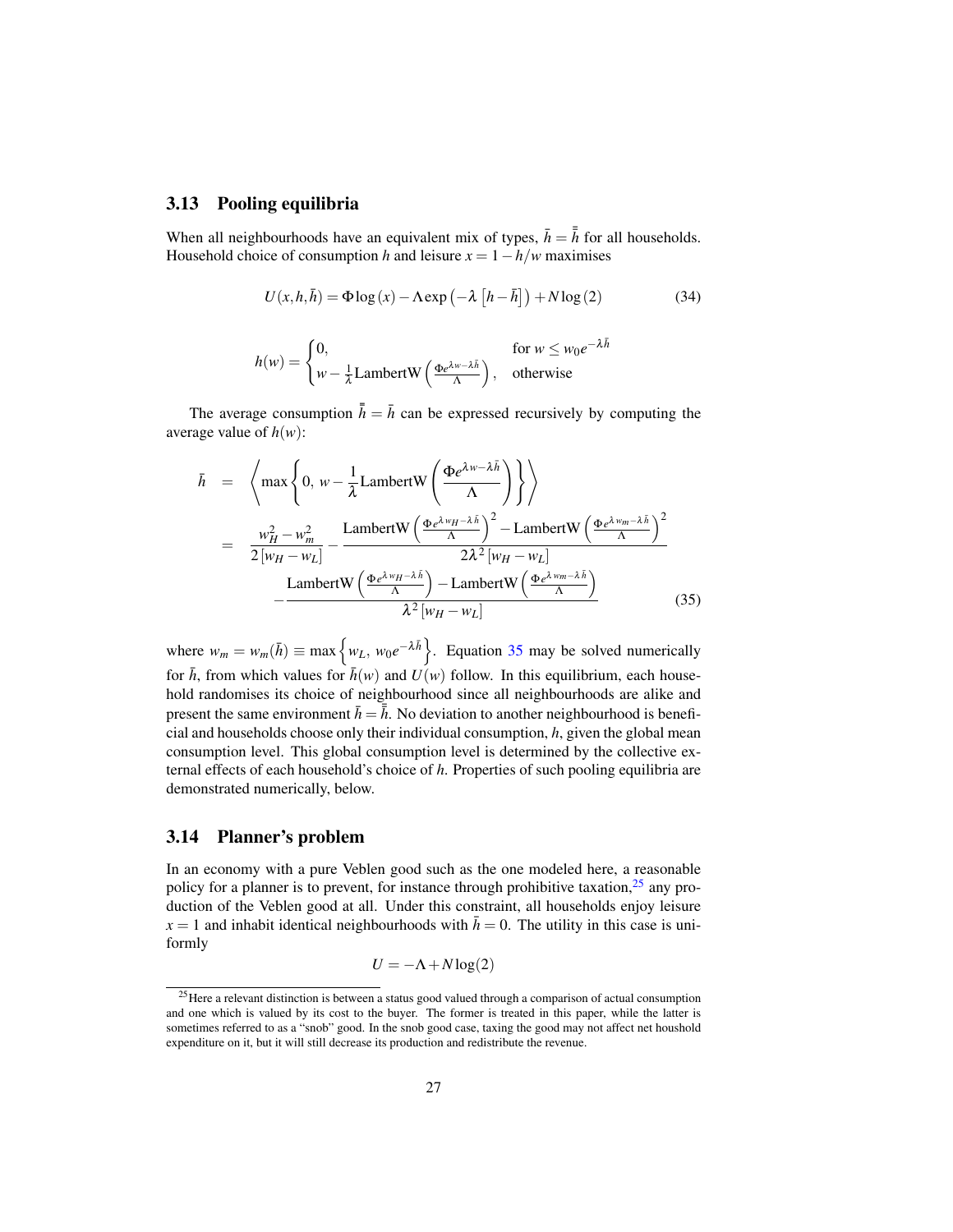#### 3.13 Pooling equilibria

When all neighbourhoods have an equivalent mix of types,  $\bar{h} = \bar{h}$  for all households. Household choice of consumption *h* and leisure  $x = 1 - h/w$  maximises

$$
U(x, h, \bar{h}) = \Phi \log(x) - \Lambda \exp\left(-\lambda \left[h - \bar{h}\right]\right) + N \log(2)
$$
 (34)

$$
h(w) = \begin{cases} 0, & \text{for } w \le w_0 e^{-\lambda \bar{h}} \\ w - \frac{1}{\lambda} \text{LambertW}\left(\frac{\Phi e^{\lambda w - \lambda \bar{h}}}{\Lambda}\right), & \text{otherwise} \end{cases}
$$

The average consumption  $\bar{h} = \bar{h}$  can be expressed recursively by computing the average value of  $h(w)$ :

$$
\bar{h} = \left\langle \max \left\{ 0, w - \frac{1}{\lambda} \text{LambertW}\left( \frac{\Phi e^{\lambda w - \lambda \bar{h}}}{\Lambda} \right) \right\} \right\rangle
$$
  
\n
$$
= \frac{w_H^2 - w_m^2}{2[w_H - w_L]} - \frac{\text{LambertW}\left( \frac{\Phi e^{\lambda w_H - \lambda \bar{h}}}{\Lambda} \right)^2 - \text{LambertW}\left( \frac{\Phi e^{\lambda w_m - \lambda \bar{h}}}{\Lambda} \right)^2}{2\lambda^2 [w_H - w_L]}
$$
  
\n
$$
- \frac{\text{LambertW}\left( \frac{\Phi e^{\lambda w_H - \lambda \bar{h}}}{\Lambda} \right) - \text{LambertW}\left( \frac{\Phi e^{\lambda w_m - \lambda \bar{h}}}{\Lambda} \right)}{\lambda^2 [w_H - w_L]}
$$
(35)

where  $w_m = w_m(\bar{h}) \equiv \max \{ w_L, w_0 e^{-\lambda \bar{h}} \}$ . Equation 35 may be solved numerically for  $\bar{h}$ , from which values for  $\bar{h}(w)$  and  $U(w)$  follow. In this equilibrium, each household randomises its choice of neighbourhood since all neighbourhoods are alike and present the same environment  $\bar{h} = \overline{\overline{h}}$ . No deviation to another neighbourhood is beneficial and households choose only their individual consumption, *h*, given the global mean consumption level. This global consumption level is determined by the collective external effects of each household's choice of *h*. Properties of such pooling equilibria are demonstrated numerically, below.

#### 3.14 Planner's problem

In an economy with a pure Veblen good such as the one modeled here, a reasonable policy for a planner is to prevent, for instance through prohibitive taxation,  $25$  any production of the Veblen good at all. Under this constraint, all households enjoy leisure  $x = 1$  and inhabit identical neighbourhoods with  $\bar{h} = 0$ . The utility in this case is uniformly

$$
U = -\Lambda + N \log(2)
$$

<sup>25</sup>Here a relevant distinction is between a status good valued through a comparison of actual consumption and one which is valued by its cost to the buyer. The former is treated in this paper, while the latter is sometimes referred to as a "snob" good. In the snob good case, taxing the good may not affect net houshold expenditure on it, but it will still decrease its production and redistribute the revenue.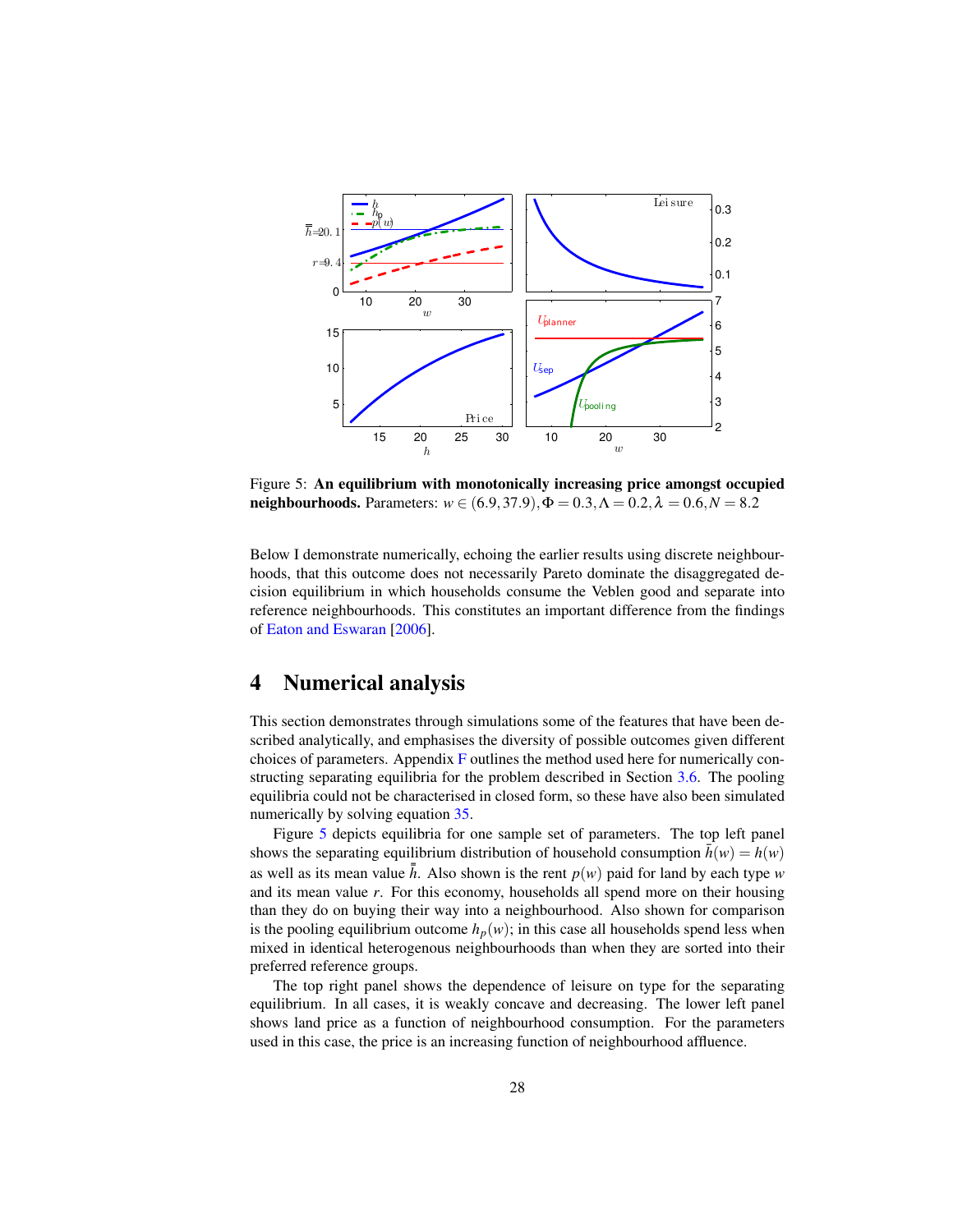

Figure 5: An equilibrium with monotonically increasing price amongst occupied neighbourhoods. Parameters:  $w \in (6.9, 37.9), \Phi = 0.3, \Lambda = 0.2, \lambda = 0.6, N = 8.2$ 

Below I demonstrate numerically, echoing the earlier results using discrete neighbourhoods, that this outcome does not necessarily Pareto dominate the disaggregated decision equilibrium in which households consume the Veblen good and separate into reference neighbourhoods. This constitutes an important difference from the findings of Eaton and Eswaran [2006].

## 4 Numerical analysis

This section demonstrates through simulations some of the features that have been described analytically, and emphasises the diversity of possible outcomes given different choices of parameters. Appendix F outlines the method used here for numerically constructing separating equilibria for the problem described in Section 3.6. The pooling equilibria could not be characterised in closed form, so these have also been simulated numerically by solving equation 35.

Figure 5 depicts equilibria for one sample set of parameters. The top left panel shows the separating equilibrium distribution of household consumption  $h(w) = h(w)$ as well as its mean value  $\bar{h}$ . Also shown is the rent  $p(w)$  paid for land by each type *w* and its mean value *r*. For this economy, households all spend more on their housing than they do on buying their way into a neighbourhood. Also shown for comparison is the pooling equilibrium outcome  $h_p(w)$ ; in this case all households spend less when mixed in identical heterogenous neighbourhoods than when they are sorted into their preferred reference groups.

The top right panel shows the dependence of leisure on type for the separating equilibrium. In all cases, it is weakly concave and decreasing. The lower left panel shows land price as a function of neighbourhood consumption. For the parameters used in this case, the price is an increasing function of neighbourhood affluence.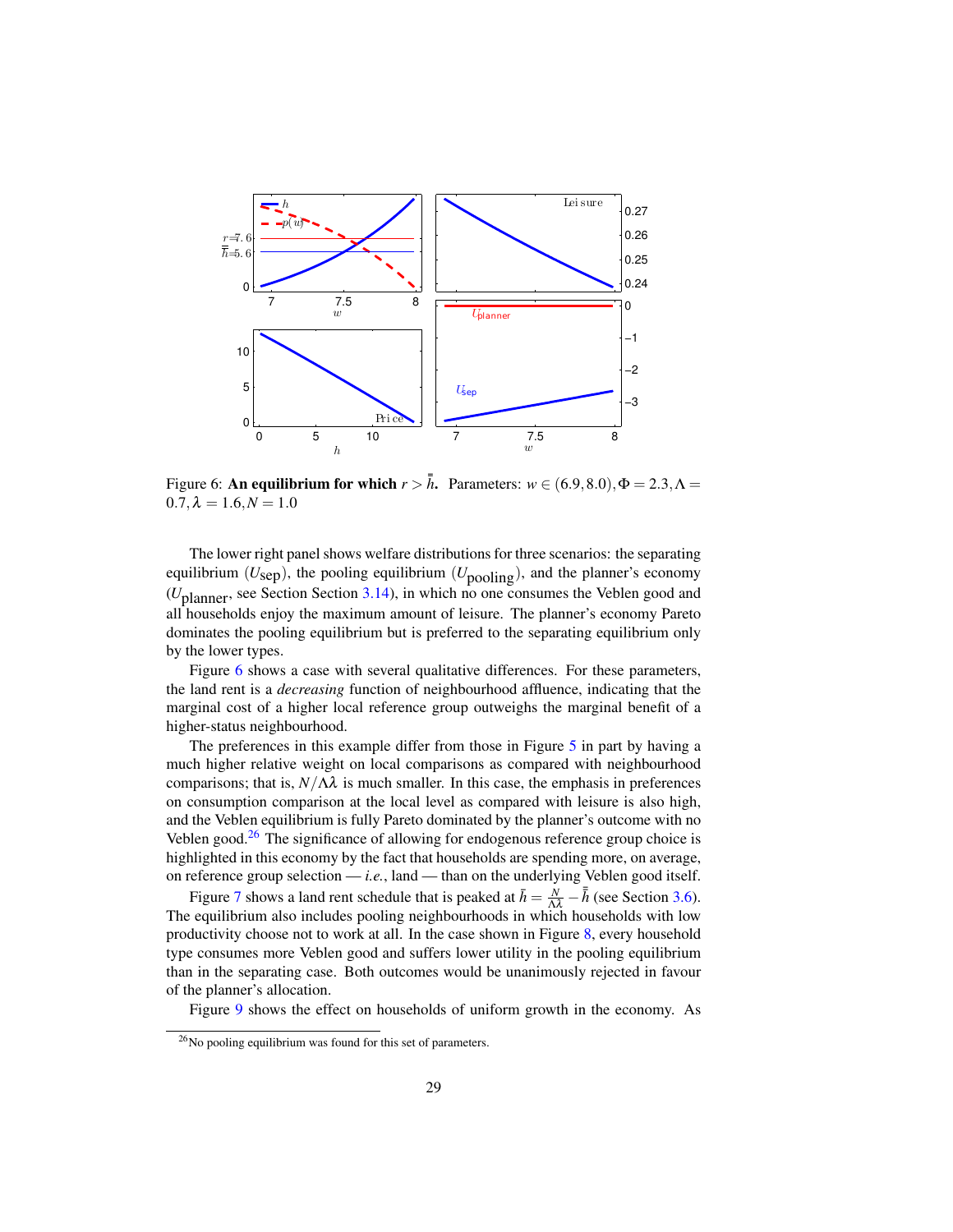

Figure 6: **An equilibrium for which**  $r > \bar{h}$ . Parameters:  $w \in (6.9, 8.0), \Phi = 2.3, \Lambda =$  $0.7, \lambda = 1.6, N = 1.0$ 

The lower right panel shows welfare distributions for three scenarios: the separating equilibrium ( $U_{\text{sep}}$ ), the pooling equilibrium ( $U_{\text{pooling}}$ ), and the planner's economy (*U*planner, see Section Section 3.14), in which no one consumes the Veblen good and all households enjoy the maximum amount of leisure. The planner's economy Pareto dominates the pooling equilibrium but is preferred to the separating equilibrium only by the lower types.

Figure 6 shows a case with several qualitative differences. For these parameters, the land rent is a *decreasing* function of neighbourhood affluence, indicating that the marginal cost of a higher local reference group outweighs the marginal benefit of a higher-status neighbourhood.

The preferences in this example differ from those in Figure 5 in part by having a much higher relative weight on local comparisons as compared with neighbourhood comparisons; that is,  $N/\Lambda\lambda$  is much smaller. In this case, the emphasis in preferences on consumption comparison at the local level as compared with leisure is also high, and the Veblen equilibrium is fully Pareto dominated by the planner's outcome with no Veblen good. $26$  The significance of allowing for endogenous reference group choice is highlighted in this economy by the fact that households are spending more, on average, on reference group selection — *i.e.*, land — than on the underlying Veblen good itself.

Figure 7 shows a land rent schedule that is peaked at  $\bar{h} = \frac{N}{\Delta \lambda} - \bar{h}$  (see Section 3.6). The equilibrium also includes pooling neighbourhoods in which households with low productivity choose not to work at all. In the case shown in Figure 8, every household type consumes more Veblen good and suffers lower utility in the pooling equilibrium than in the separating case. Both outcomes would be unanimously rejected in favour of the planner's allocation.

Figure 9 shows the effect on households of uniform growth in the economy. As

<sup>26</sup>No pooling equilibrium was found for this set of parameters.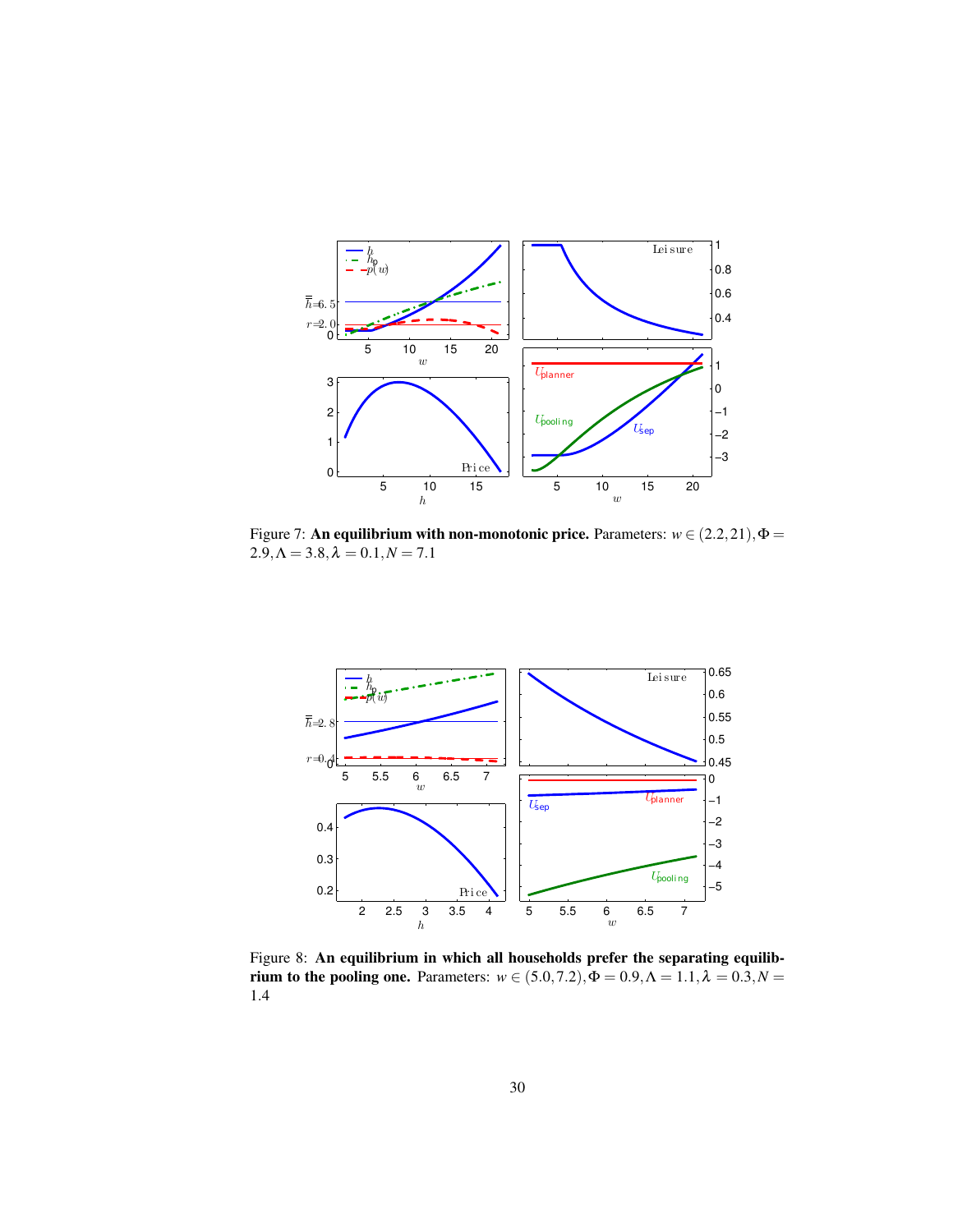

Figure 7: **An equilibrium with non-monotonic price.** Parameters:  $w \in (2.2, 21), \Phi =$  $2.9, \Lambda = 3.8, \lambda = 0.1, N = 7.1$ 



Figure 8: An equilibrium in which all households prefer the separating equilibrium to the pooling one. Parameters:  $w \in (5.0, 7.2), \Phi = 0.9, \Lambda = 1.1, \lambda = 0.3, N = 1.1$ 1.4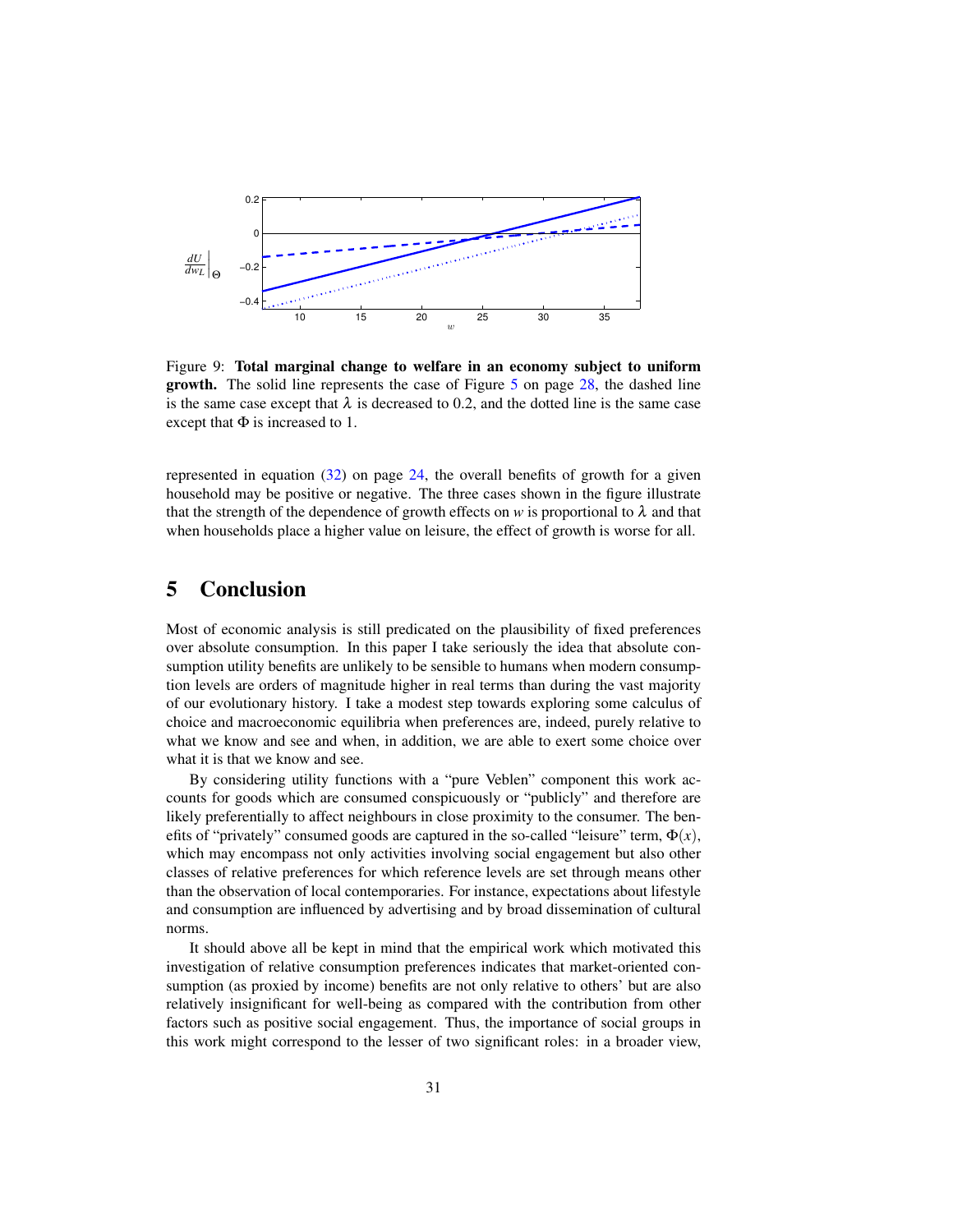

Figure 9: Total marginal change to welfare in an economy subject to uniform growth. The solid line represents the case of Figure 5 on page 28, the dashed line is the same case except that  $\lambda$  is decreased to 0.2, and the dotted line is the same case except that  $\Phi$  is increased to 1.

represented in equation  $(32)$  on page 24, the overall benefits of growth for a given household may be positive or negative. The three cases shown in the figure illustrate that the strength of the dependence of growth effects on *w* is proportional to  $\lambda$  and that when households place a higher value on leisure, the effect of growth is worse for all.

## 5 Conclusion

Most of economic analysis is still predicated on the plausibility of fixed preferences over absolute consumption. In this paper I take seriously the idea that absolute consumption utility benefits are unlikely to be sensible to humans when modern consumption levels are orders of magnitude higher in real terms than during the vast majority of our evolutionary history. I take a modest step towards exploring some calculus of choice and macroeconomic equilibria when preferences are, indeed, purely relative to what we know and see and when, in addition, we are able to exert some choice over what it is that we know and see.

By considering utility functions with a "pure Veblen" component this work accounts for goods which are consumed conspicuously or "publicly" and therefore are likely preferentially to affect neighbours in close proximity to the consumer. The benefits of "privately" consumed goods are captured in the so-called "leisure" term,  $\Phi(x)$ , which may encompass not only activities involving social engagement but also other classes of relative preferences for which reference levels are set through means other than the observation of local contemporaries. For instance, expectations about lifestyle and consumption are influenced by advertising and by broad dissemination of cultural norms.

It should above all be kept in mind that the empirical work which motivated this investigation of relative consumption preferences indicates that market-oriented consumption (as proxied by income) benefits are not only relative to others' but are also relatively insignificant for well-being as compared with the contribution from other factors such as positive social engagement. Thus, the importance of social groups in this work might correspond to the lesser of two significant roles: in a broader view,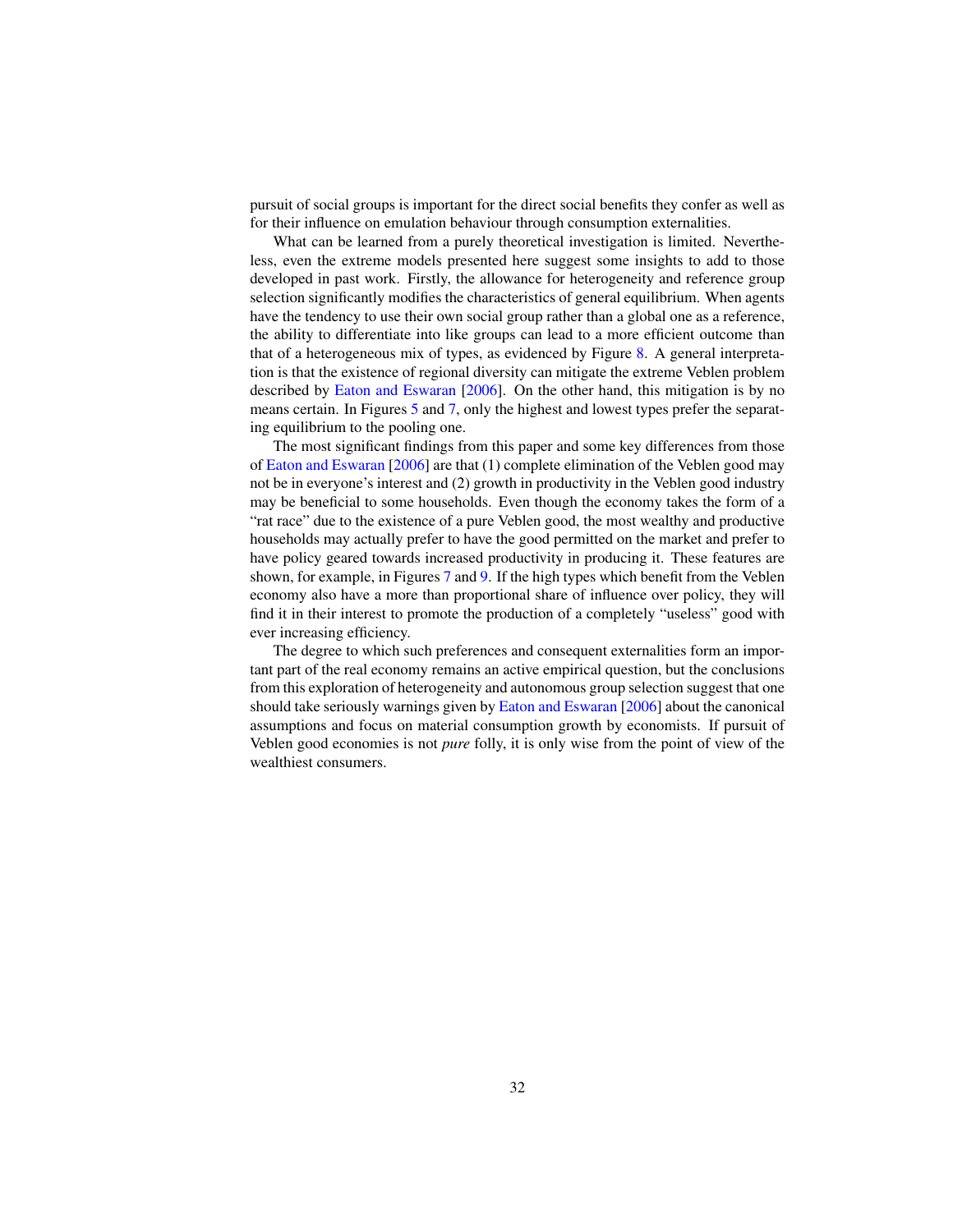pursuit of social groups is important for the direct social benefits they confer as well as for their influence on emulation behaviour through consumption externalities.

What can be learned from a purely theoretical investigation is limited. Nevertheless, even the extreme models presented here suggest some insights to add to those developed in past work. Firstly, the allowance for heterogeneity and reference group selection significantly modifies the characteristics of general equilibrium. When agents have the tendency to use their own social group rather than a global one as a reference, the ability to differentiate into like groups can lead to a more efficient outcome than that of a heterogeneous mix of types, as evidenced by Figure 8. A general interpretation is that the existence of regional diversity can mitigate the extreme Veblen problem described by Eaton and Eswaran [2006]. On the other hand, this mitigation is by no means certain. In Figures 5 and 7, only the highest and lowest types prefer the separating equilibrium to the pooling one.

The most significant findings from this paper and some key differences from those of Eaton and Eswaran [2006] are that (1) complete elimination of the Veblen good may not be in everyone's interest and (2) growth in productivity in the Veblen good industry may be beneficial to some households. Even though the economy takes the form of a "rat race" due to the existence of a pure Veblen good, the most wealthy and productive households may actually prefer to have the good permitted on the market and prefer to have policy geared towards increased productivity in producing it. These features are shown, for example, in Figures 7 and 9. If the high types which benefit from the Veblen economy also have a more than proportional share of influence over policy, they will find it in their interest to promote the production of a completely "useless" good with ever increasing efficiency.

The degree to which such preferences and consequent externalities form an important part of the real economy remains an active empirical question, but the conclusions from this exploration of heterogeneity and autonomous group selection suggest that one should take seriously warnings given by Eaton and Eswaran [2006] about the canonical assumptions and focus on material consumption growth by economists. If pursuit of Veblen good economies is not *pure* folly, it is only wise from the point of view of the wealthiest consumers.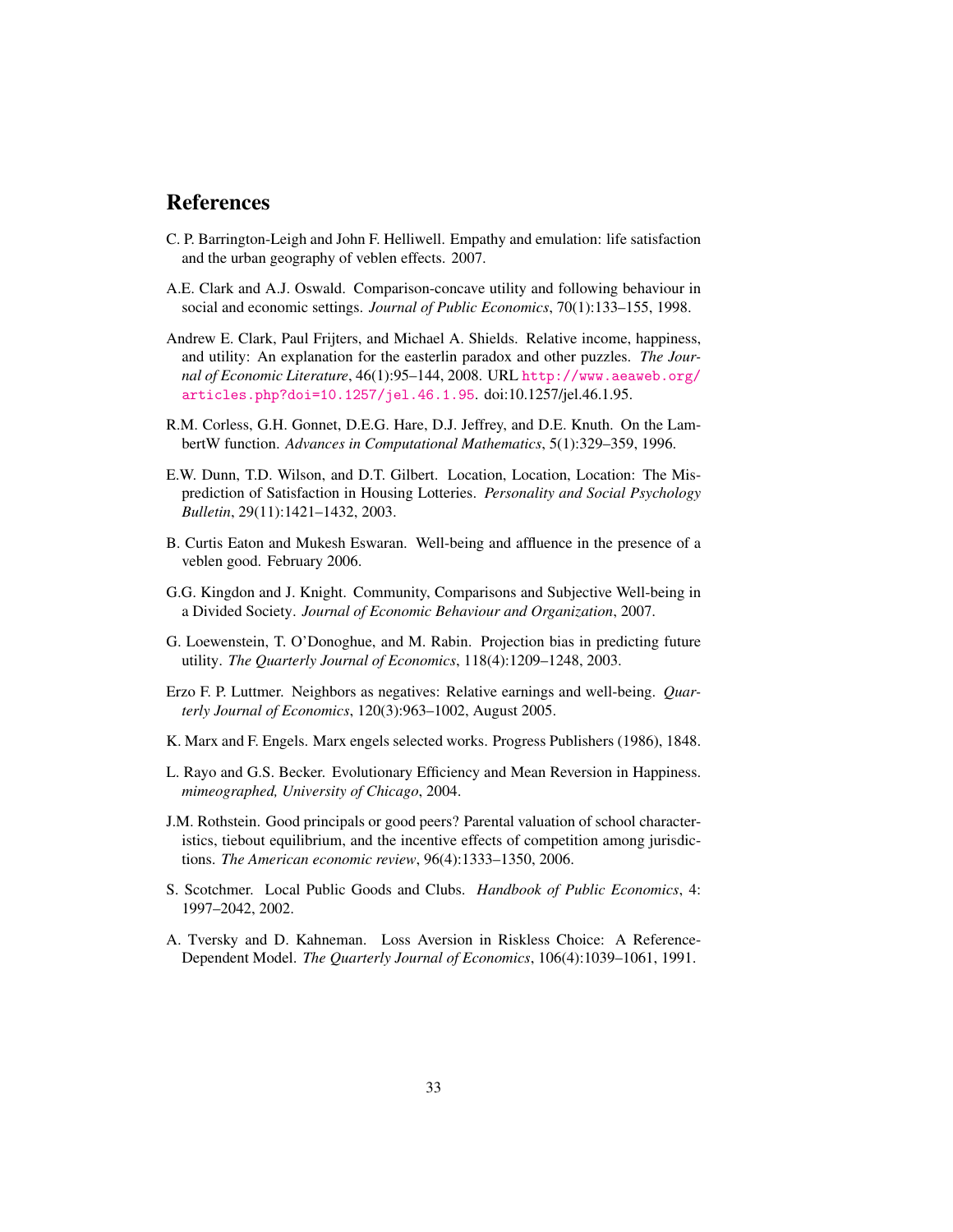## References

- C. P. Barrington-Leigh and John F. Helliwell. Empathy and emulation: life satisfaction and the urban geography of veblen effects. 2007.
- A.E. Clark and A.J. Oswald. Comparison-concave utility and following behaviour in social and economic settings. *Journal of Public Economics*, 70(1):133–155, 1998.
- Andrew E. Clark, Paul Frijters, and Michael A. Shields. Relative income, happiness, and utility: An explanation for the easterlin paradox and other puzzles. *The Journal of Economic Literature*, 46(1):95–144, 2008. URL http://www.aeaweb.org/ articles.php?doi=10.1257/jel.46.1.95. doi:10.1257/jel.46.1.95.
- R.M. Corless, G.H. Gonnet, D.E.G. Hare, D.J. Jeffrey, and D.E. Knuth. On the LambertW function. *Advances in Computational Mathematics*, 5(1):329–359, 1996.
- E.W. Dunn, T.D. Wilson, and D.T. Gilbert. Location, Location, Location: The Misprediction of Satisfaction in Housing Lotteries. *Personality and Social Psychology Bulletin*, 29(11):1421–1432, 2003.
- B. Curtis Eaton and Mukesh Eswaran. Well-being and affluence in the presence of a veblen good. February 2006.
- G.G. Kingdon and J. Knight. Community, Comparisons and Subjective Well-being in a Divided Society. *Journal of Economic Behaviour and Organization*, 2007.
- G. Loewenstein, T. O'Donoghue, and M. Rabin. Projection bias in predicting future utility. *The Quarterly Journal of Economics*, 118(4):1209–1248, 2003.
- Erzo F. P. Luttmer. Neighbors as negatives: Relative earnings and well-being. *Quarterly Journal of Economics*, 120(3):963–1002, August 2005.
- K. Marx and F. Engels. Marx engels selected works. Progress Publishers (1986), 1848.
- L. Rayo and G.S. Becker. Evolutionary Efficiency and Mean Reversion in Happiness. *mimeographed, University of Chicago*, 2004.
- J.M. Rothstein. Good principals or good peers? Parental valuation of school characteristics, tiebout equilibrium, and the incentive effects of competition among jurisdictions. *The American economic review*, 96(4):1333–1350, 2006.
- S. Scotchmer. Local Public Goods and Clubs. *Handbook of Public Economics*, 4: 1997–2042, 2002.
- A. Tversky and D. Kahneman. Loss Aversion in Riskless Choice: A Reference-Dependent Model. *The Quarterly Journal of Economics*, 106(4):1039–1061, 1991.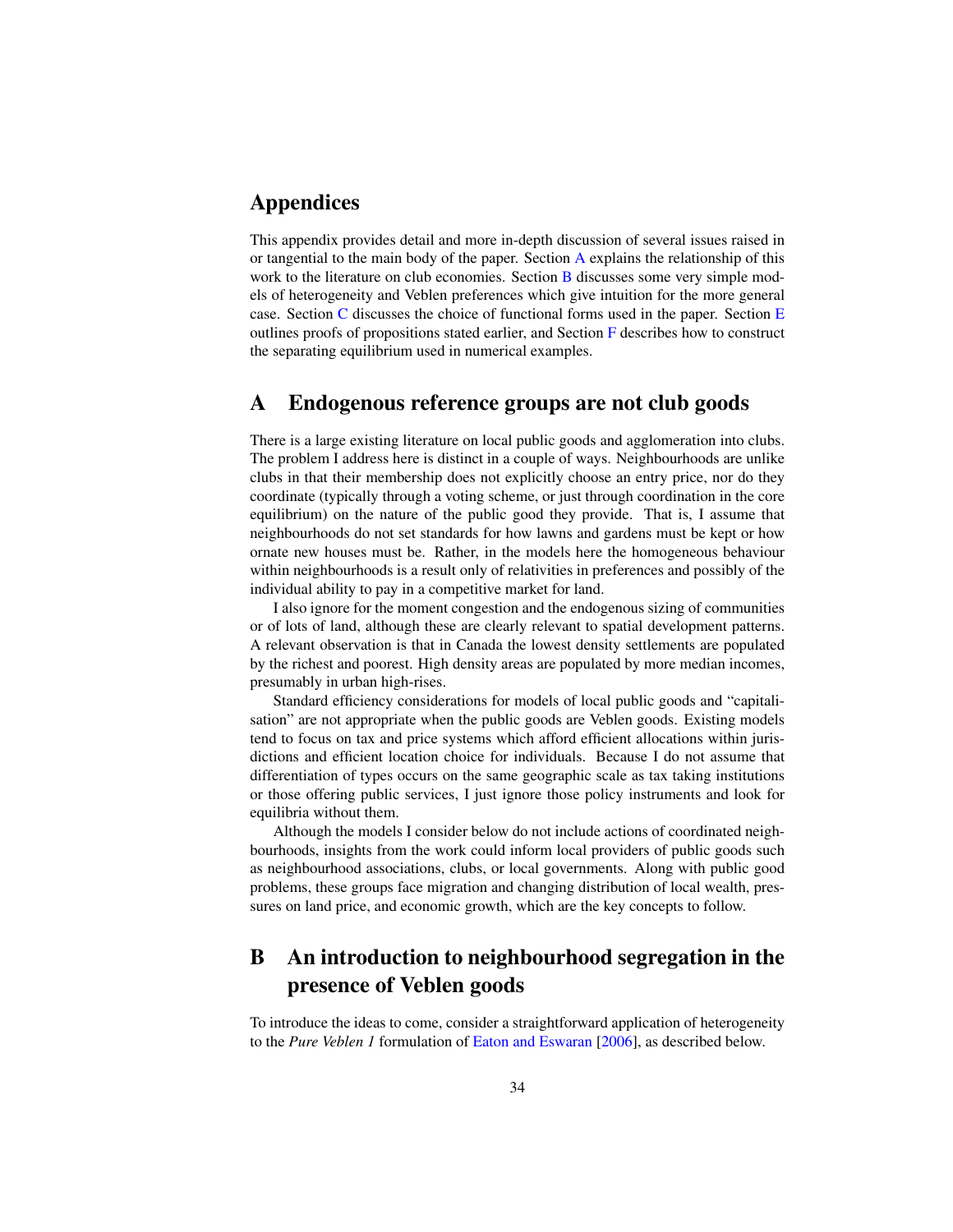## Appendices

This appendix provides detail and more in-depth discussion of several issues raised in or tangential to the main body of the paper. Section A explains the relationship of this work to the literature on club economies. Section **B** discusses some very simple models of heterogeneity and Veblen preferences which give intuition for the more general case. Section C discusses the choice of functional forms used in the paper. Section E outlines proofs of propositions stated earlier, and Section F describes how to construct the separating equilibrium used in numerical examples.

## A Endogenous reference groups are not club goods

There is a large existing literature on local public goods and agglomeration into clubs. The problem I address here is distinct in a couple of ways. Neighbourhoods are unlike clubs in that their membership does not explicitly choose an entry price, nor do they coordinate (typically through a voting scheme, or just through coordination in the core equilibrium) on the nature of the public good they provide. That is, I assume that neighbourhoods do not set standards for how lawns and gardens must be kept or how ornate new houses must be. Rather, in the models here the homogeneous behaviour within neighbourhoods is a result only of relativities in preferences and possibly of the individual ability to pay in a competitive market for land.

I also ignore for the moment congestion and the endogenous sizing of communities or of lots of land, although these are clearly relevant to spatial development patterns. A relevant observation is that in Canada the lowest density settlements are populated by the richest and poorest. High density areas are populated by more median incomes, presumably in urban high-rises.

Standard efficiency considerations for models of local public goods and "capitalisation" are not appropriate when the public goods are Veblen goods. Existing models tend to focus on tax and price systems which afford efficient allocations within jurisdictions and efficient location choice for individuals. Because I do not assume that differentiation of types occurs on the same geographic scale as tax taking institutions or those offering public services, I just ignore those policy instruments and look for equilibria without them.

Although the models I consider below do not include actions of coordinated neighbourhoods, insights from the work could inform local providers of public goods such as neighbourhood associations, clubs, or local governments. Along with public good problems, these groups face migration and changing distribution of local wealth, pressures on land price, and economic growth, which are the key concepts to follow.

## B An introduction to neighbourhood segregation in the presence of Veblen goods

To introduce the ideas to come, consider a straightforward application of heterogeneity to the *Pure Veblen 1* formulation of Eaton and Eswaran [2006], as described below.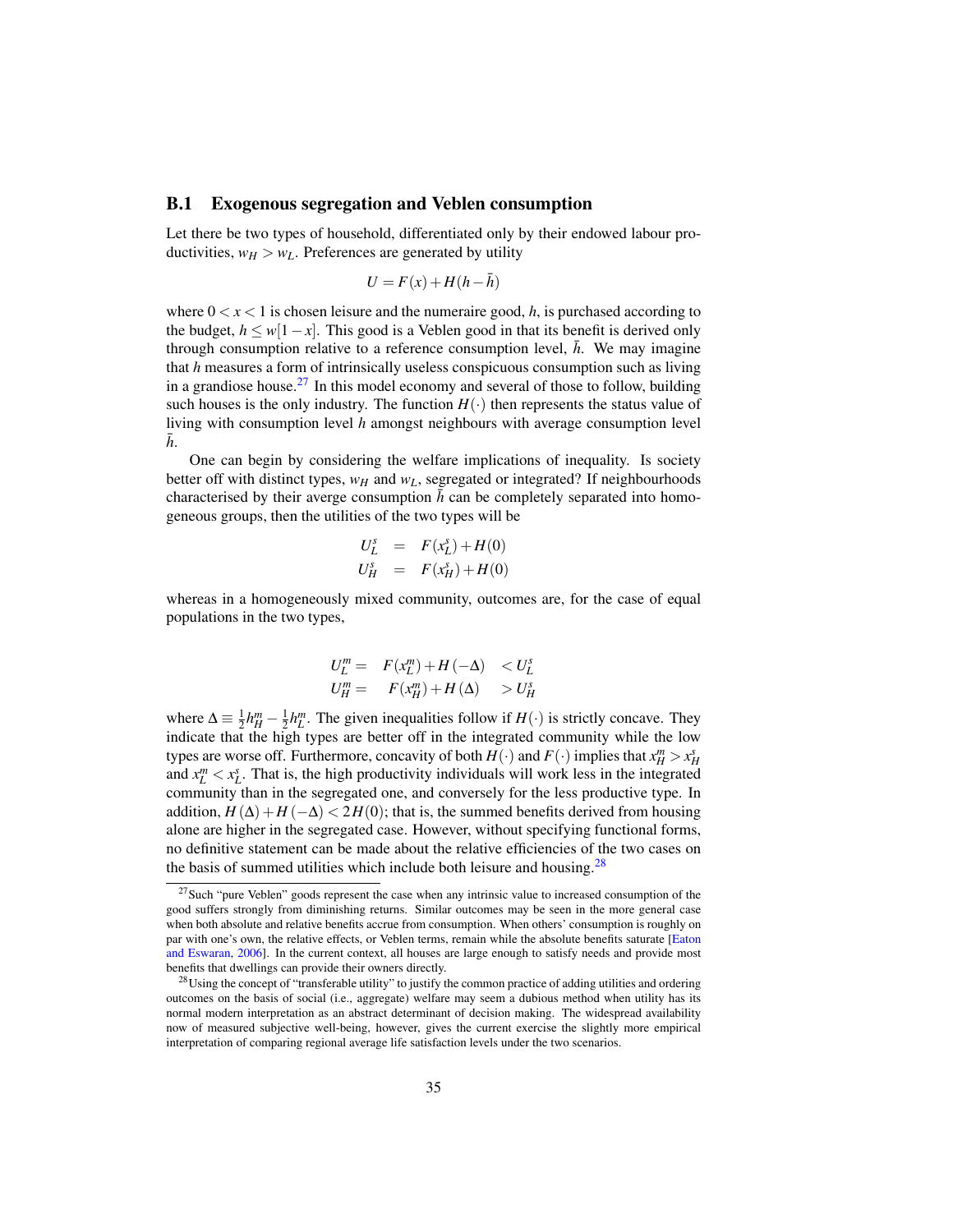#### B.1 Exogenous segregation and Veblen consumption

Let there be two types of household, differentiated only by their endowed labour productivities,  $w_H > w_L$ . Preferences are generated by utility

$$
U = F(x) + H(h - \bar{h})
$$

where  $0 < x < 1$  is chosen leisure and the numeraire good, h, is purchased according to the budget,  $h \leq w[1-x]$ . This good is a Veblen good in that its benefit is derived only through consumption relative to a reference consumption level,  $\bar{h}$ . We may imagine that *h* measures a form of intrinsically useless conspicuous consumption such as living in a grandiose house.<sup>27</sup> In this model economy and several of those to follow, building such houses is the only industry. The function  $H(\cdot)$  then represents the status value of living with consumption level *h* amongst neighbours with average consumption level  $h$ .

One can begin by considering the welfare implications of inequality. Is society better off with distinct types, *w<sup>H</sup>* and *wL*, segregated or integrated? If neighbourhoods characterised by their averge consumption  $\bar{h}$  can be completely separated into homogeneous groups, then the utilities of the two types will be

$$
U_L^s = F(x_L^s) + H(0)
$$
  

$$
U_H^s = F(x_H^s) + H(0)
$$

whereas in a homogeneously mixed community, outcomes are, for the case of equal populations in the two types,

$$
U_L^m = F(x_L^m) + H(-\Delta) < U_L^s
$$
  

$$
U_H^m = F(x_H^m) + H(\Delta) > U_H^s
$$

where  $\Delta = \frac{1}{2}h_H^m - \frac{1}{2}h_L^m$ . The given inequalities follow if  $H(\cdot)$  is strictly concave. They indicate that the high types are better off in the integrated community while the low types are worse off. Furthermore, concavity of both  $H(\cdot)$  and  $F(\cdot)$  implies that  $x_H^m > x_H^s$ and  $x_L^m < x_L^s$ . That is, the high productivity individuals will work less in the integrated community than in the segregated one, and conversely for the less productive type. In addition,  $H(\Delta) + H(-\Delta) < 2H(0)$ ; that is, the summed benefits derived from housing alone are higher in the segregated case. However, without specifying functional forms, no definitive statement can be made about the relative efficiencies of the two cases on the basis of summed utilities which include both leisure and housing.  $28$ 

<sup>&</sup>lt;sup>27</sup>Such "pure Veblen" goods represent the case when any intrinsic value to increased consumption of the good suffers strongly from diminishing returns. Similar outcomes may be seen in the more general case when both absolute and relative benefits accrue from consumption. When others' consumption is roughly on par with one's own, the relative effects, or Veblen terms, remain while the absolute benefits saturate [Eaton and Eswaran, 2006]. In the current context, all houses are large enough to satisfy needs and provide most benefits that dwellings can provide their owners directly.

<sup>&</sup>lt;sup>28</sup>Using the concept of "transferable utility" to justify the common practice of adding utilities and ordering outcomes on the basis of social (i.e., aggregate) welfare may seem a dubious method when utility has its normal modern interpretation as an abstract determinant of decision making. The widespread availability now of measured subjective well-being, however, gives the current exercise the slightly more empirical interpretation of comparing regional average life satisfaction levels under the two scenarios.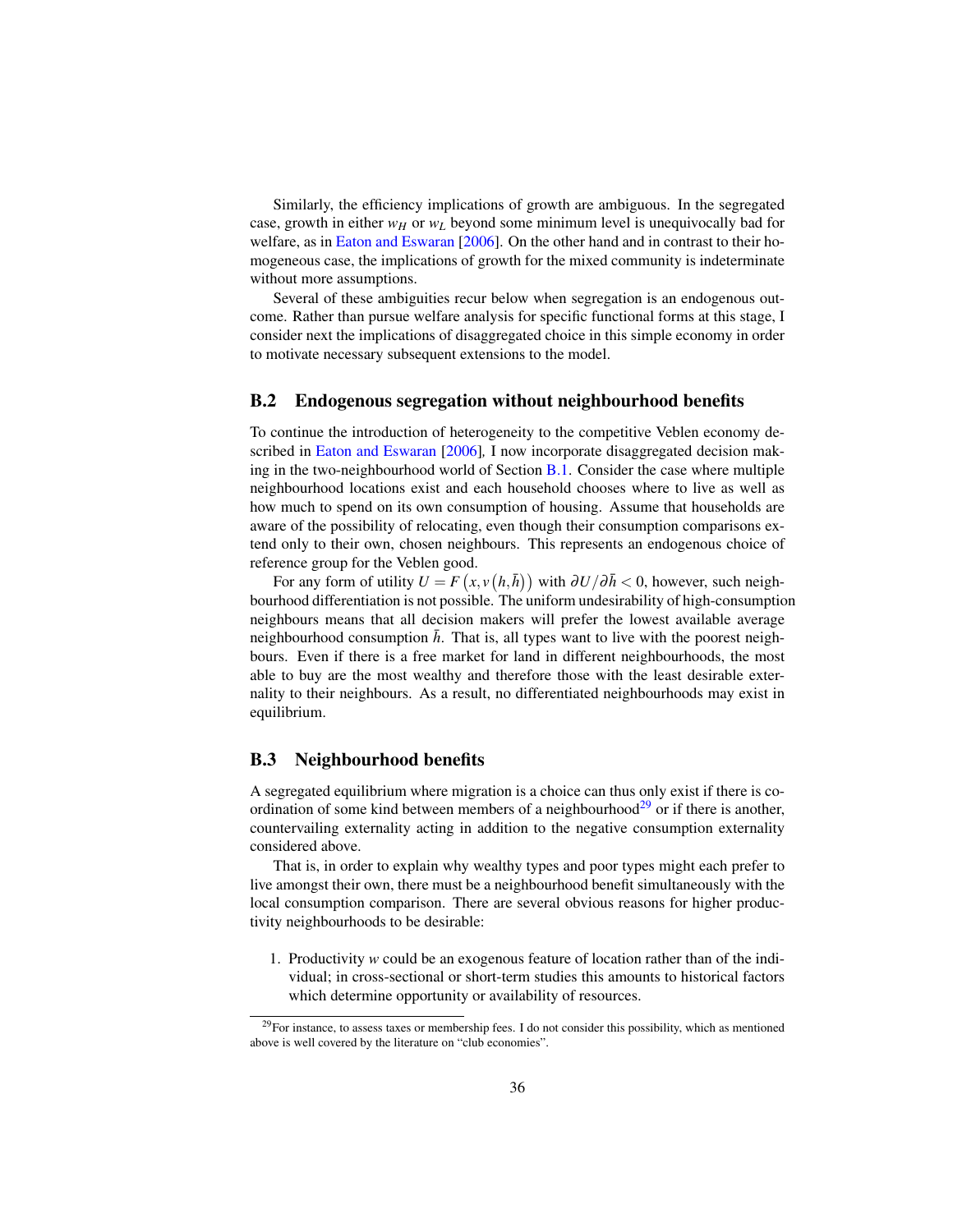Similarly, the efficiency implications of growth are ambiguous. In the segregated case, growth in either  $w_H$  or  $w_L$  beyond some minimum level is unequivocally bad for welfare, as in Eaton and Eswaran [2006]. On the other hand and in contrast to their homogeneous case, the implications of growth for the mixed community is indeterminate without more assumptions.

Several of these ambiguities recur below when segregation is an endogenous outcome. Rather than pursue welfare analysis for specific functional forms at this stage, I consider next the implications of disaggregated choice in this simple economy in order to motivate necessary subsequent extensions to the model.

#### B.2 Endogenous segregation without neighbourhood benefits

To continue the introduction of heterogeneity to the competitive Veblen economy described in Eaton and Eswaran [2006]*,* I now incorporate disaggregated decision making in the two-neighbourhood world of Section B.1. Consider the case where multiple neighbourhood locations exist and each household chooses where to live as well as how much to spend on its own consumption of housing. Assume that households are aware of the possibility of relocating, even though their consumption comparisons extend only to their own, chosen neighbours. This represents an endogenous choice of reference group for the Veblen good.

For any form of utility  $U = F(x, v(h, \bar{h}))$  with  $\partial U / \partial \bar{h} < 0$ , however, such neighbourhood differentiation is not possible. The uniform undesirability of high-consumption neighbours means that all decision makers will prefer the lowest available average neighbourhood consumption  $\bar{h}$ . That is, all types want to live with the poorest neighbours. Even if there is a free market for land in different neighbourhoods, the most able to buy are the most wealthy and therefore those with the least desirable externality to their neighbours. As a result, no differentiated neighbourhoods may exist in equilibrium.

#### B.3 Neighbourhood benefits

A segregated equilibrium where migration is a choice can thus only exist if there is coordination of some kind between members of a neighbourhood<sup>29</sup> or if there is another, countervailing externality acting in addition to the negative consumption externality considered above.

That is, in order to explain why wealthy types and poor types might each prefer to live amongst their own, there must be a neighbourhood benefit simultaneously with the local consumption comparison. There are several obvious reasons for higher productivity neighbourhoods to be desirable:

1. Productivity *w* could be an exogenous feature of location rather than of the individual; in cross-sectional or short-term studies this amounts to historical factors which determine opportunity or availability of resources.

 $^{29}$ For instance, to assess taxes or membership fees. I do not consider this possibility, which as mentioned above is well covered by the literature on "club economies".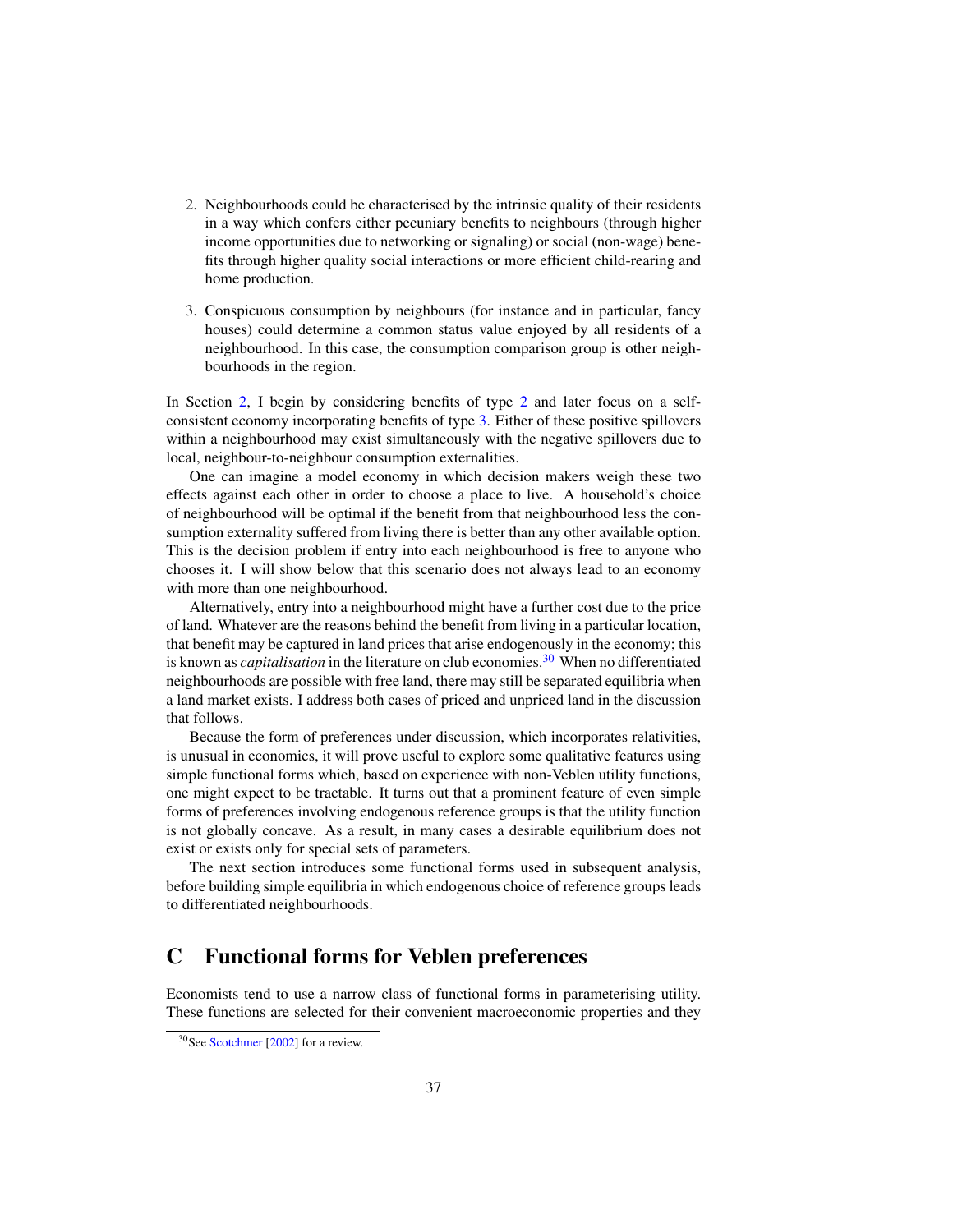- 2. Neighbourhoods could be characterised by the intrinsic quality of their residents in a way which confers either pecuniary benefits to neighbours (through higher income opportunities due to networking or signaling) or social (non-wage) benefits through higher quality social interactions or more efficient child-rearing and home production.
- 3. Conspicuous consumption by neighbours (for instance and in particular, fancy houses) could determine a common status value enjoyed by all residents of a neighbourhood. In this case, the consumption comparison group is other neighbourhoods in the region.

In Section 2, I begin by considering benefits of type 2 and later focus on a selfconsistent economy incorporating benefits of type 3. Either of these positive spillovers within a neighbourhood may exist simultaneously with the negative spillovers due to local, neighbour-to-neighbour consumption externalities.

One can imagine a model economy in which decision makers weigh these two effects against each other in order to choose a place to live. A household's choice of neighbourhood will be optimal if the benefit from that neighbourhood less the consumption externality suffered from living there is better than any other available option. This is the decision problem if entry into each neighbourhood is free to anyone who chooses it. I will show below that this scenario does not always lead to an economy with more than one neighbourhood.

Alternatively, entry into a neighbourhood might have a further cost due to the price of land. Whatever are the reasons behind the benefit from living in a particular location, that benefit may be captured in land prices that arise endogenously in the economy; this is known as *capitalisation* in the literature on club economies.<sup>30</sup> When no differentiated neighbourhoods are possible with free land, there may still be separated equilibria when a land market exists. I address both cases of priced and unpriced land in the discussion that follows.

Because the form of preferences under discussion, which incorporates relativities, is unusual in economics, it will prove useful to explore some qualitative features using simple functional forms which, based on experience with non-Veblen utility functions, one might expect to be tractable. It turns out that a prominent feature of even simple forms of preferences involving endogenous reference groups is that the utility function is not globally concave. As a result, in many cases a desirable equilibrium does not exist or exists only for special sets of parameters.

The next section introduces some functional forms used in subsequent analysis, before building simple equilibria in which endogenous choice of reference groups leads to differentiated neighbourhoods.

## C Functional forms for Veblen preferences

Economists tend to use a narrow class of functional forms in parameterising utility. These functions are selected for their convenient macroeconomic properties and they

<sup>30</sup>See Scotchmer [2002] for a review.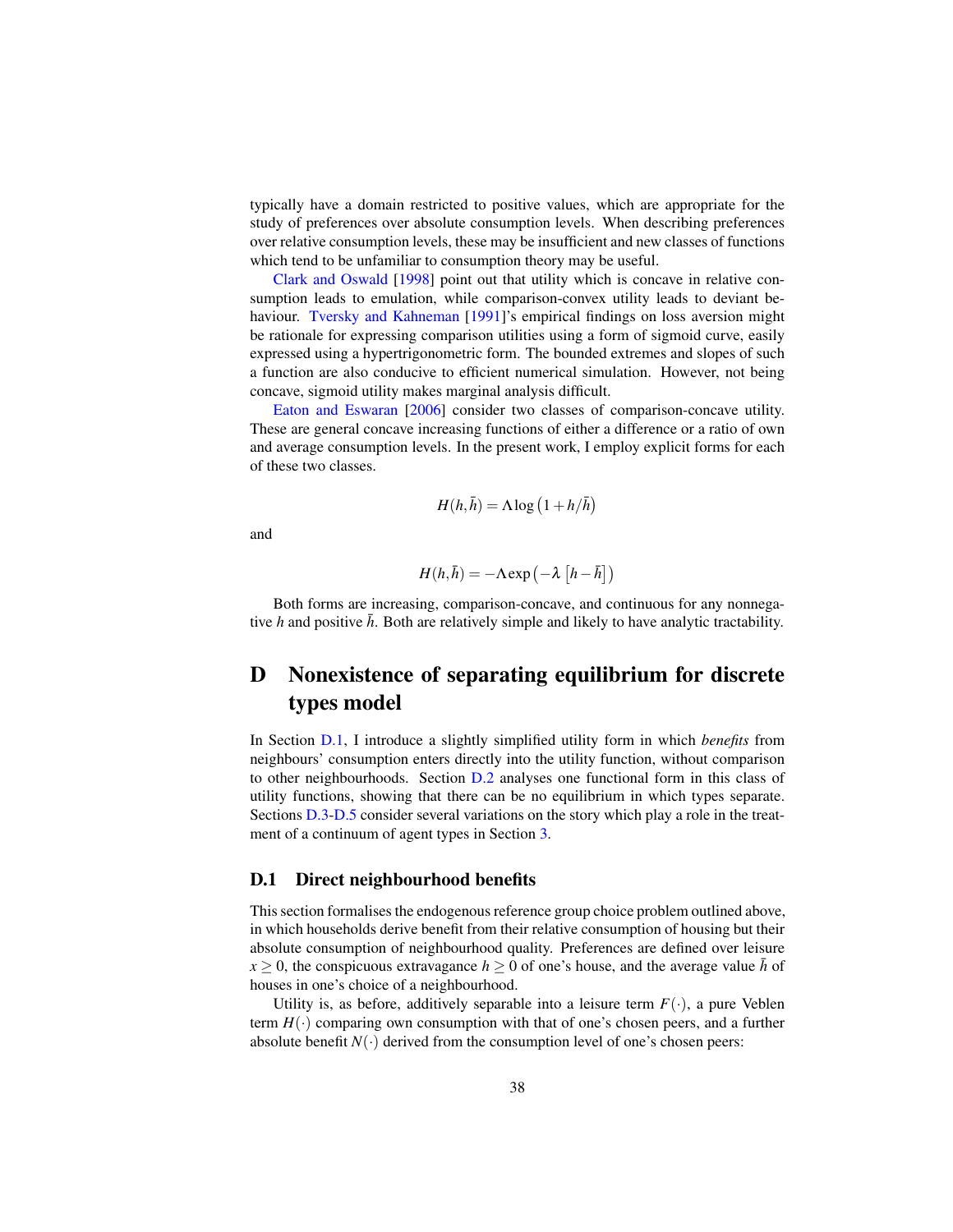typically have a domain restricted to positive values, which are appropriate for the study of preferences over absolute consumption levels. When describing preferences over relative consumption levels, these may be insufficient and new classes of functions which tend to be unfamiliar to consumption theory may be useful.

Clark and Oswald [1998] point out that utility which is concave in relative consumption leads to emulation, while comparison-convex utility leads to deviant behaviour. Tversky and Kahneman [1991]'s empirical findings on loss aversion might be rationale for expressing comparison utilities using a form of sigmoid curve, easily expressed using a hypertrigonometric form. The bounded extremes and slopes of such a function are also conducive to efficient numerical simulation. However, not being concave, sigmoid utility makes marginal analysis difficult.

Eaton and Eswaran [2006] consider two classes of comparison-concave utility. These are general concave increasing functions of either a difference or a ratio of own and average consumption levels. In the present work, I employ explicit forms for each of these two classes.

$$
H(h,\bar{h}) = \Lambda \log \left(1 + h/\bar{h}\right)
$$

and

$$
H(h,\bar{h}) = -\Lambda \exp\left(-\lambda \left[h - \bar{h}\right]\right)
$$

Both forms are increasing, comparison-concave, and continuous for any nonnegative  $h$  and positive  $\bar{h}$ . Both are relatively simple and likely to have analytic tractability.

## D Nonexistence of separating equilibrium for discrete types model

In Section D.1, I introduce a slightly simplified utility form in which *benefits* from neighbours' consumption enters directly into the utility function, without comparison to other neighbourhoods. Section D.2 analyses one functional form in this class of utility functions, showing that there can be no equilibrium in which types separate. Sections D.3-D.5 consider several variations on the story which play a role in the treatment of a continuum of agent types in Section 3.

#### D.1 Direct neighbourhood benefits

This section formalises the endogenous reference group choice problem outlined above, in which households derive benefit from their relative consumption of housing but their absolute consumption of neighbourhood quality. Preferences are defined over leisure  $x \geq 0$ , the conspicuous extravagance  $h \geq 0$  of one's house, and the average value  $\bar{h}$  of houses in one's choice of a neighbourhood.

Utility is, as before, additively separable into a leisure term  $F(\cdot)$ , a pure Veblen term  $H(\cdot)$  comparing own consumption with that of one's chosen peers, and a further absolute benefit  $N(\cdot)$  derived from the consumption level of one's chosen peers: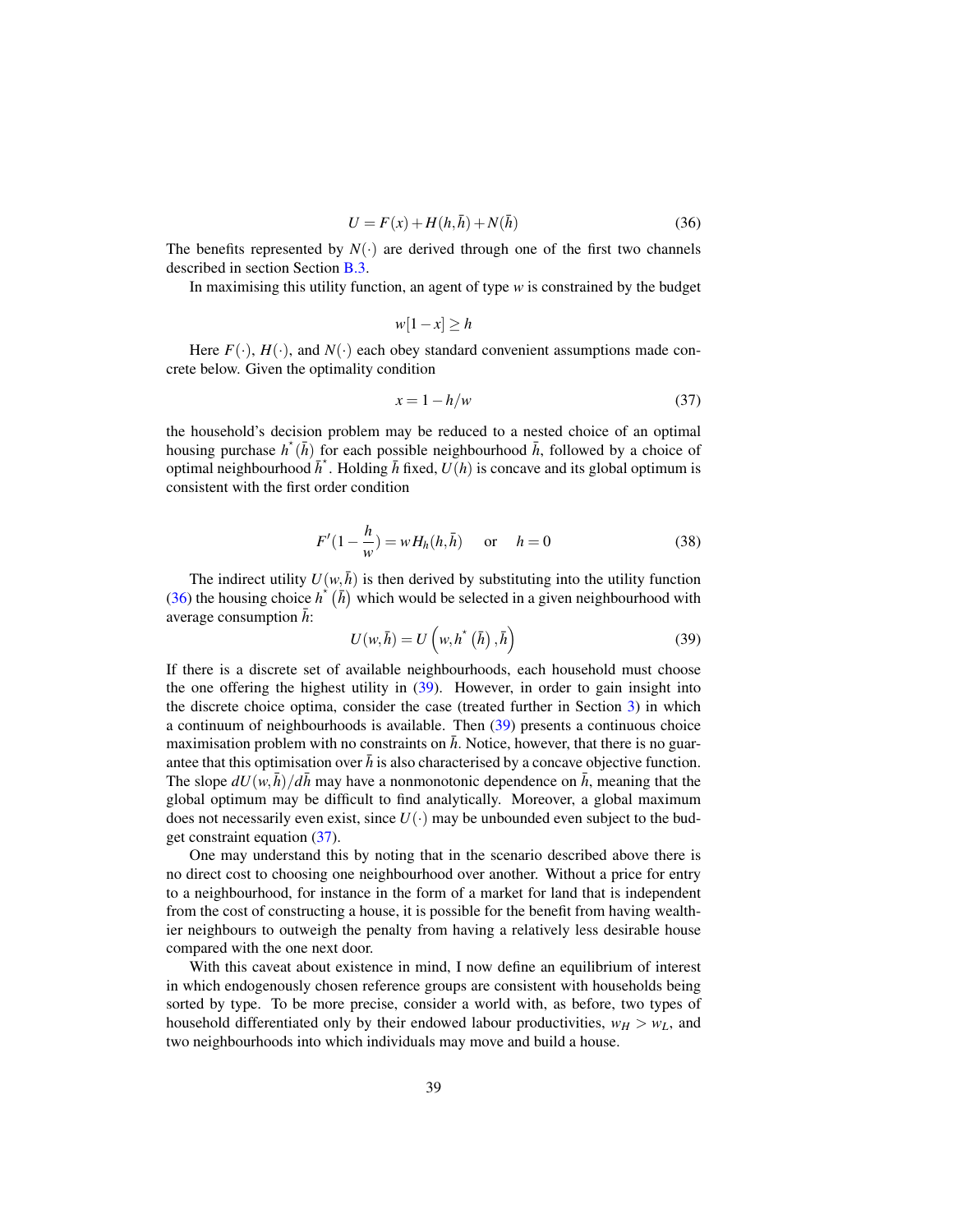$$
U = F(x) + H(h, \bar{h}) + N(\bar{h})\tag{36}
$$

The benefits represented by  $N(\cdot)$  are derived through one of the first two channels described in section Section B.3.

In maximising this utility function, an agent of type *w* is constrained by the budget

$$
w[1-x] \ge h
$$

Here  $F(\cdot)$ ,  $H(\cdot)$ , and  $N(\cdot)$  each obey standard convenient assumptions made concrete below. Given the optimality condition

$$
x = 1 - h/w \tag{37}
$$

the household's decision problem may be reduced to a nested choice of an optimal housing purchase  $h^*(\bar{h})$  for each possible neighbourhood  $\bar{h}$ , followed by a choice of optimal neighbourhood  $\bar{h}^*$ . Holding  $\bar{h}$  fixed,  $U(h)$  is concave and its global optimum is consistent with the first order condition

$$
F'(1 - \frac{h}{w}) = wH_h(h, \bar{h}) \quad \text{or} \quad h = 0 \tag{38}
$$

The indirect utility  $U(w, \bar{h})$  is then derived by substituting into the utility function (36) the housing choice  $h^*(\bar{h})$  which would be selected in a given neighbourhood with average consumption  $\bar{h}$ :

$$
U(w,\bar{h}) = U\left(w, h^*(\bar{h}), \bar{h}\right)
$$
\n(39)

If there is a discrete set of available neighbourhoods, each household must choose the one offering the highest utility in (39). However, in order to gain insight into the discrete choice optima, consider the case (treated further in Section 3) in which a continuum of neighbourhoods is available. Then (39) presents a continuous choice maximisation problem with no constraints on  $\bar{h}$ . Notice, however, that there is no guarantee that this optimisation over  $\bar{h}$  is also characterised by a concave objective function. The slope  $dU(w, \bar{h})/d\bar{h}$  may have a nonmonotonic dependence on  $\bar{h}$ , meaning that the global optimum may be difficult to find analytically. Moreover, a global maximum does not necessarily even exist, since  $U(\cdot)$  may be unbounded even subject to the budget constraint equation (37).

One may understand this by noting that in the scenario described above there is no direct cost to choosing one neighbourhood over another. Without a price for entry to a neighbourhood, for instance in the form of a market for land that is independent from the cost of constructing a house, it is possible for the benefit from having wealthier neighbours to outweigh the penalty from having a relatively less desirable house compared with the one next door.

With this caveat about existence in mind, I now define an equilibrium of interest in which endogenously chosen reference groups are consistent with households being sorted by type. To be more precise, consider a world with, as before, two types of household differentiated only by their endowed labour productivities,  $w_H > w_L$ , and two neighbourhoods into which individuals may move and build a house.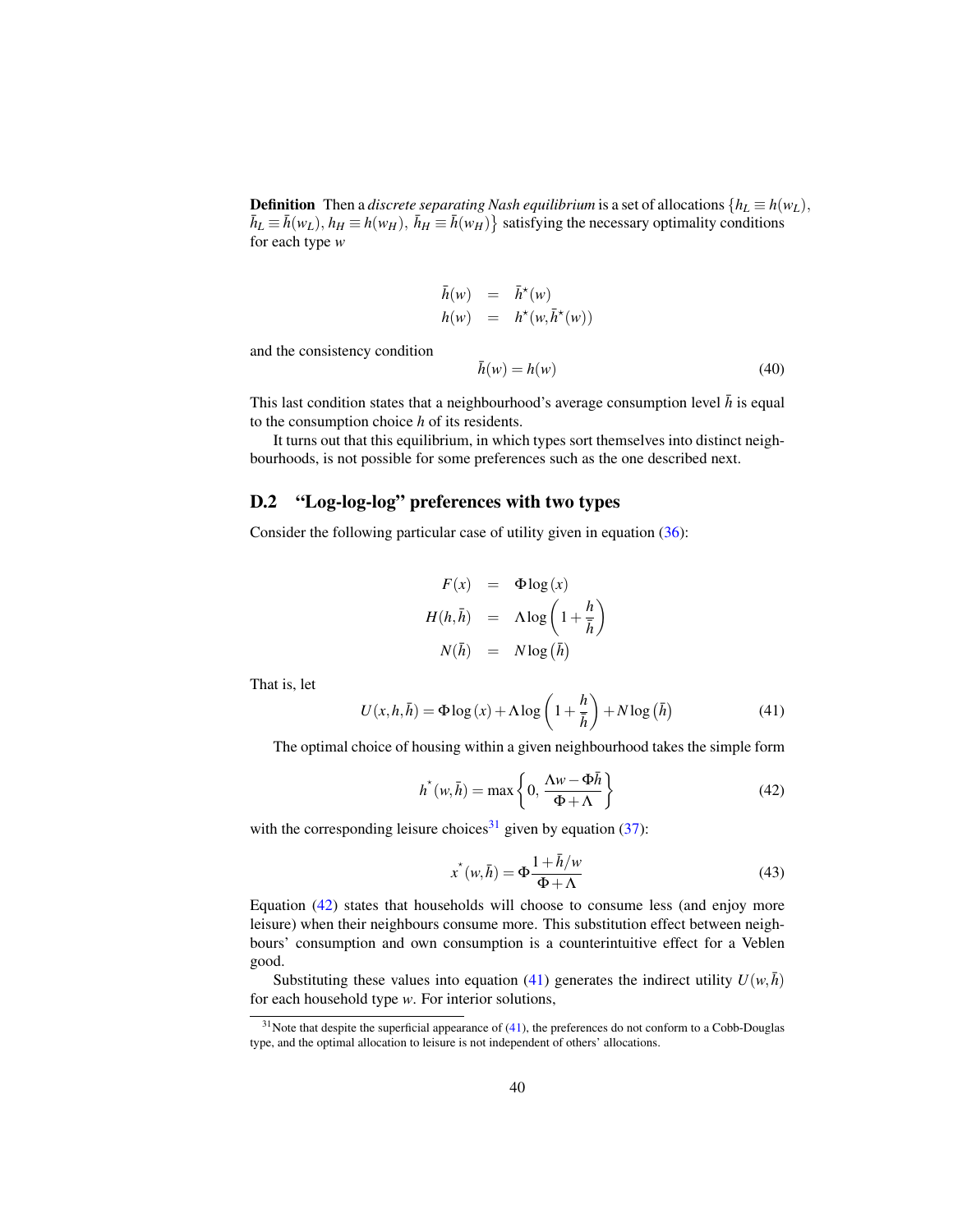**Definition** Then a *discrete separating Nash equilibrium* is a set of allocations  $\{h_L \equiv h(w_L),\}$  $\bar{h}_L \equiv \bar{h}(w_L)$ ,  $h_H \equiv h(w_H)$ ,  $\bar{h}_H \equiv \bar{h}(w_H)$  satisfying the necessary optimality conditions for each type *w*

$$
\begin{array}{rcl}\n\bar{h}(w) & = & \bar{h}^{\star}(w) \\
h(w) & = & h^{\star}(w, \bar{h}^{\star}(w))\n\end{array}
$$

and the consistency condition

$$
\bar{h}(w) = h(w) \tag{40}
$$

This last condition states that a neighbourhood's average consumption level  $\bar{h}$  is equal to the consumption choice *h* of its residents.

It turns out that this equilibrium, in which types sort themselves into distinct neighbourhoods, is not possible for some preferences such as the one described next.

#### D.2 "Log-log-log" preferences with two types

Consider the following particular case of utility given in equation (36):

$$
F(x) = \Phi \log(x)
$$
  
\n
$$
H(h, \bar{h}) = \Lambda \log \left(1 + \frac{h}{\bar{h}}\right)
$$
  
\n
$$
N(\bar{h}) = N \log(\bar{h})
$$

That is, let

$$
U(x, h, \bar{h}) = \Phi \log(x) + \Lambda \log\left(1 + \frac{h}{\bar{h}}\right) + N \log(\bar{h})
$$
\n(41)

The optimal choice of housing within a given neighbourhood takes the simple form

$$
h^*(w,\bar{h}) = \max\left\{0, \frac{\Lambda w - \Phi \bar{h}}{\Phi + \Lambda}\right\}
$$
 (42)

with the corresponding leisure choices<sup>31</sup> given by equation (37):

$$
x^{\star}(w,\bar{h}) = \Phi \frac{1 + \bar{h}/w}{\Phi + \Lambda}
$$
\n(43)

Equation (42) states that households will choose to consume less (and enjoy more leisure) when their neighbours consume more. This substitution effect between neighbours' consumption and own consumption is a counterintuitive effect for a Veblen good.

Substituting these values into equation (41) generates the indirect utility  $U(w, \bar{h})$ for each household type *w*. For interior solutions,

 $31$ Note that despite the superficial appearance of (41), the preferences do not conform to a Cobb-Douglas type, and the optimal allocation to leisure is not independent of others' allocations.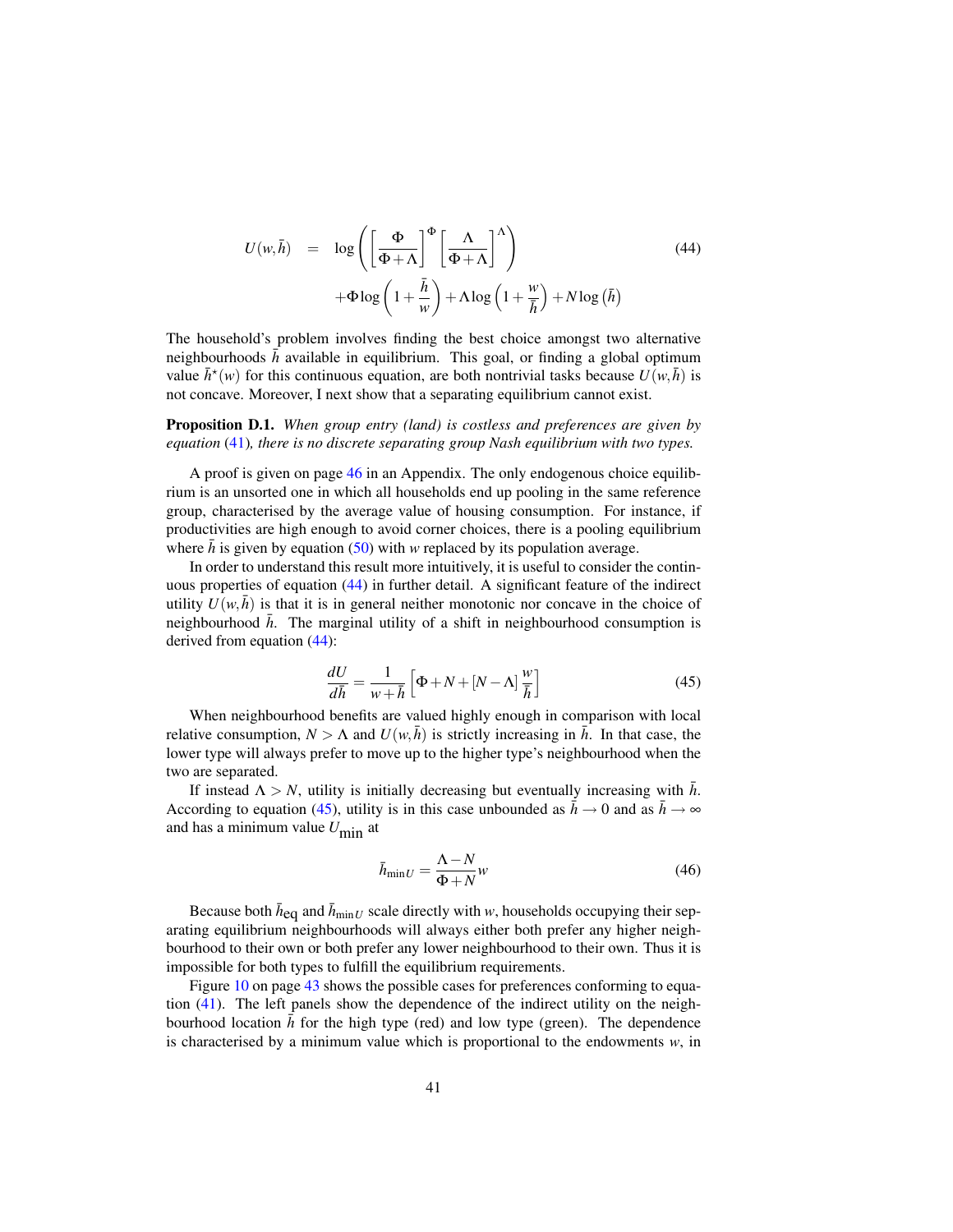$$
U(w,\bar{h}) = \log \left( \left[ \frac{\Phi}{\Phi + \Lambda} \right]^{\Phi} \left[ \frac{\Lambda}{\Phi + \Lambda} \right]^{\Lambda} \right) \tag{44}
$$

$$
+ \Phi \log \left( 1 + \frac{\bar{h}}{w} \right) + \Lambda \log \left( 1 + \frac{w}{\bar{h}} \right) + N \log \left( \bar{h} \right)
$$

The household's problem involves finding the best choice amongst two alternative neighbourhoods  $\bar{h}$  available in equilibrium. This goal, or finding a global optimum value  $\bar{h}^*(w)$  for this continuous equation, are both nontrivial tasks because  $U(w, \bar{h})$  is not concave. Moreover, I next show that a separating equilibrium cannot exist.

Proposition D.1. *When group entry (land) is costless and preferences are given by equation* (41)*, there is no discrete separating group Nash equilibrium with two types.*

A proof is given on page 46 in an Appendix. The only endogenous choice equilibrium is an unsorted one in which all households end up pooling in the same reference group, characterised by the average value of housing consumption. For instance, if productivities are high enough to avoid corner choices, there is a pooling equilibrium where  $\bar{h}$  is given by equation (50) with *w* replaced by its population average.

In order to understand this result more intuitively, it is useful to consider the continuous properties of equation (44) in further detail. A significant feature of the indirect utility  $U(w, \bar{h})$  is that it is in general neither monotonic nor concave in the choice of neighbourhood  $\bar{h}$ . The marginal utility of a shift in neighbourhood consumption is derived from equation (44):

$$
\frac{dU}{d\bar{h}} = \frac{1}{w + \bar{h}} \left[ \Phi + N + [N - \Lambda] \frac{w}{\bar{h}} \right]
$$
(45)

When neighbourhood benefits are valued highly enough in comparison with local relative consumption,  $N > \Lambda$  and  $U(w, \bar{h})$  is strictly increasing in  $\bar{h}$ . In that case, the lower type will always prefer to move up to the higher type's neighbourhood when the two are separated.

If instead  $\Lambda > N$ , utility is initially decreasing but eventually increasing with  $\bar{h}$ . According to equation (45), utility is in this case unbounded as  $\bar{h} \to 0$  and as  $\bar{h} \to \infty$ and has a minimum value *U*min at

$$
\bar{h}_{\min U} = \frac{\Lambda - N}{\Phi + N} w \tag{46}
$$

Because both  $\bar{h}_{eq}$  and  $\bar{h}_{minU}$  scale directly with *w*, households occupying their separating equilibrium neighbourhoods will always either both prefer any higher neighbourhood to their own or both prefer any lower neighbourhood to their own. Thus it is impossible for both types to fulfill the equilibrium requirements.

Figure 10 on page 43 shows the possible cases for preferences conforming to equation (41). The left panels show the dependence of the indirect utility on the neighbourhood location  $\bar{h}$  for the high type (red) and low type (green). The dependence is characterised by a minimum value which is proportional to the endowments *w*, in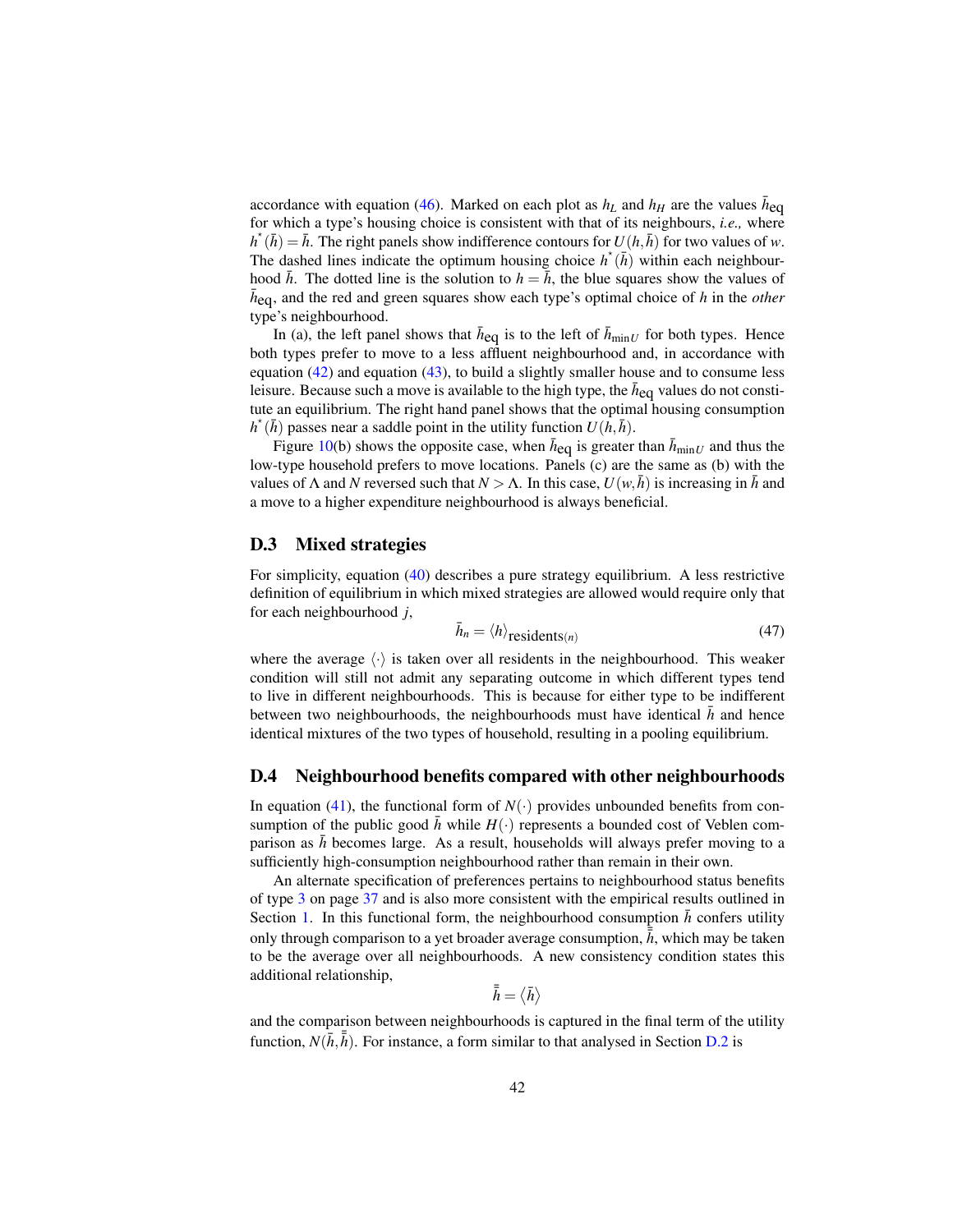accordance with equation (46). Marked on each plot as  $h_L$  and  $h_H$  are the values  $\bar{h}_{eq}$ for which a type's housing choice is consistent with that of its neighbours, *i.e.,* where  $h^*(\bar{h}) = \bar{h}$ . The right panels show indifference contours for  $U(h, \bar{h})$  for two values of *w*. The dashed lines indicate the optimum housing choice  $h^*(\bar{h})$  within each neighbourhood  $\bar{h}$ . The dotted line is the solution to  $h = \bar{h}$ , the blue squares show the values of  $\bar{h}_{eq}$ , and the red and green squares show each type's optimal choice of *h* in the *other* type's neighbourhood.

In (a), the left panel shows that  $\bar{h}_{eq}$  is to the left of  $\bar{h}_{minU}$  for both types. Hence both types prefer to move to a less affluent neighbourhood and, in accordance with equation  $(42)$  and equation  $(43)$ , to build a slightly smaller house and to consume less leisure. Because such a move is available to the high type, the  $\bar{h}_{eq}$  values do not constitute an equilibrium. The right hand panel shows that the optimal housing consumption  $h^*(\bar{h})$  passes near a saddle point in the utility function  $U(h, \bar{h})$ .

Figure 10(b) shows the opposite case, when  $\bar{h}_{eq}$  is greater than  $\bar{h}_{minU}$  and thus the low-type household prefers to move locations. Panels (c) are the same as (b) with the values of  $\Lambda$  and *N* reversed such that  $N > \Lambda$ . In this case,  $U(w, h)$  is increasing in *h* and a move to a higher expenditure neighbourhood is always beneficial.

#### D.3 Mixed strategies

For simplicity, equation (40) describes a pure strategy equilibrium. A less restrictive definition of equilibrium in which mixed strategies are allowed would require only that for each neighbourhood *j*,

$$
\bar{h}_n = \langle h \rangle_{\text{residents}(n)} \tag{47}
$$

where the average  $\langle \cdot \rangle$  is taken over all residents in the neighbourhood. This weaker condition will still not admit any separating outcome in which different types tend to live in different neighbourhoods. This is because for either type to be indifferent between two neighbourhoods, the neighbourhoods must have identical *h* and hence identical mixtures of the two types of household, resulting in a pooling equilibrium.

#### D.4 Neighbourhood benefits compared with other neighbourhoods

In equation (41), the functional form of  $N(\cdot)$  provides unbounded benefits from consumption of the public good *h* while  $H(\cdot)$  represents a bounded cost of Veblen comparison as  $\bar{h}$  becomes large. As a result, households will always prefer moving to a sufficiently high-consumption neighbourhood rather than remain in their own.

An alternate specification of preferences pertains to neighbourhood status benefits of type 3 on page 37 and is also more consistent with the empirical results outlined in Section 1. In this functional form, the neighbourhood consumption  $\bar{h}$  confers utility only through comparison to a yet broader average consumption,  $\bar{\bar{\hbar}}$ , which may be taken to be the average over all neighbourhoods. A new consistency condition states this additional relationship,

$$
\bar{\bar{h}}=\langle \bar{h}\rangle
$$

and the comparison between neighbourhoods is captured in the final term of the utility function,  $N(\bar{h}, \bar{\bar{h}})$ . For instance, a form similar to that analysed in Section D.2 is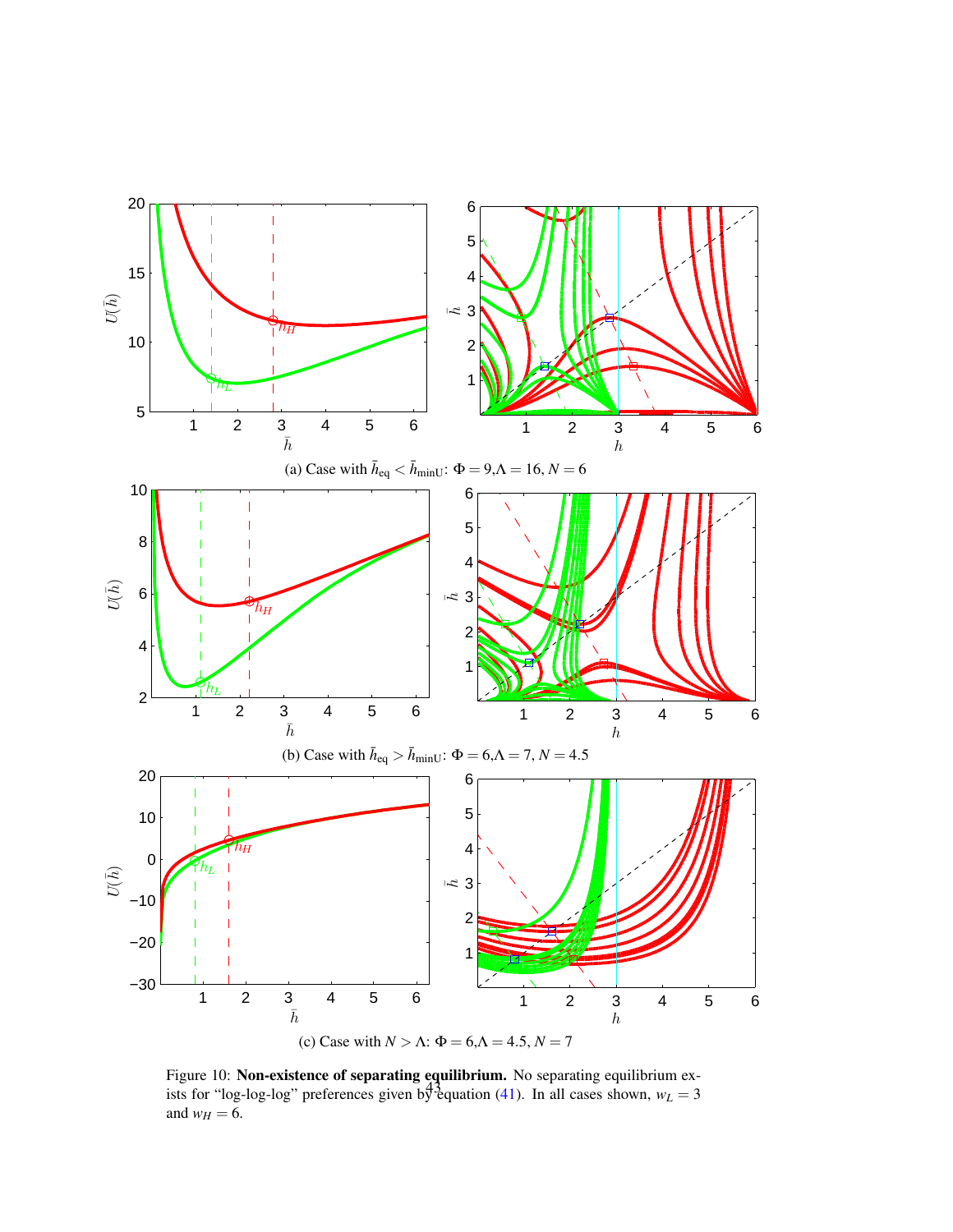

Figure 10: Non-existence of separating equilibrium. No separating equilibrium exists for "log-log-log" preferences given by equation (41). In all cases shown,  $w_L = 3$ and  $w_H = 6$ .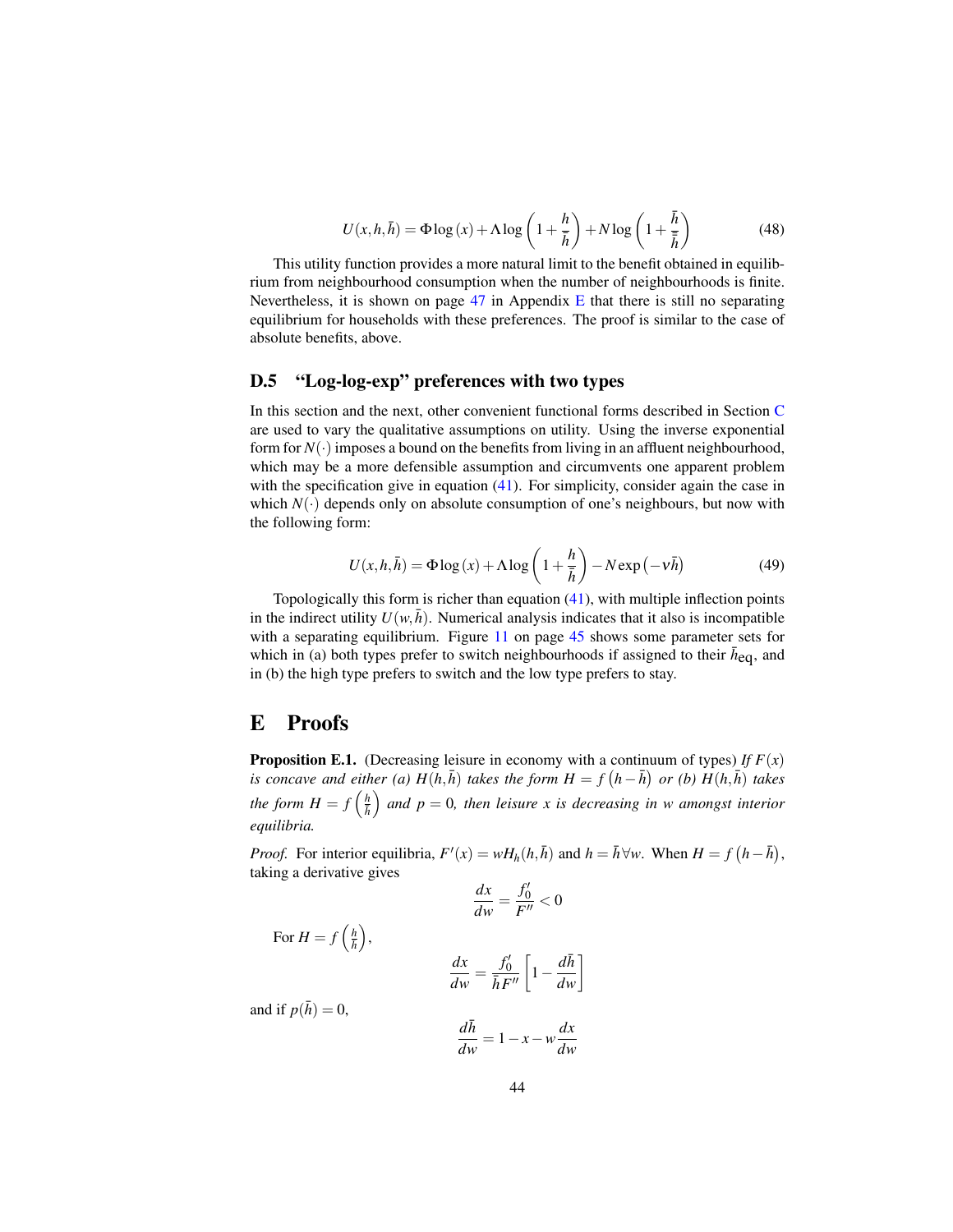$$
U(x, h, \bar{h}) = \Phi \log(x) + \Lambda \log\left(1 + \frac{h}{\bar{h}}\right) + N \log\left(1 + \frac{\bar{h}}{\bar{\bar{h}}}\right)
$$
(48)

This utility function provides a more natural limit to the benefit obtained in equilibrium from neighbourhood consumption when the number of neighbourhoods is finite. Nevertheless, it is shown on page  $47$  in Appendix E that there is still no separating equilibrium for households with these preferences. The proof is similar to the case of absolute benefits, above.

### D.5 "Log-log-exp" preferences with two types

In this section and the next, other convenient functional forms described in Section C are used to vary the qualitative assumptions on utility. Using the inverse exponential form for  $N(\cdot)$  imposes a bound on the benefits from living in an affluent neighbourhood, which may be a more defensible assumption and circumvents one apparent problem with the specification give in equation (41). For simplicity, consider again the case in which  $N(\cdot)$  depends only on absolute consumption of one's neighbours, but now with the following form:

$$
U(x, h, \bar{h}) = \Phi \log(x) + \Lambda \log\left(1 + \frac{h}{\bar{h}}\right) - N \exp\left(-\nu \bar{h}\right)
$$
(49)

Topologically this form is richer than equation (41), with multiple inflection points in the indirect utility  $U(w, \bar{h})$ . Numerical analysis indicates that it also is incompatible with a separating equilibrium. Figure 11 on page 45 shows some parameter sets for which in (a) both types prefer to switch neighbourhoods if assigned to their  $\bar{h}_{eq}$ , and in (b) the high type prefers to switch and the low type prefers to stay.

### E Proofs

**Proposition E.1.** (Decreasing leisure in economy with a continuum of types) *If*  $F(x)$ *is concave and either (a)*  $H(h,\bar{h})$  *takes the form*  $H = f(h-\bar{h})$  *or (b)*  $H(h,\bar{h})$  *takes* the form  $H = f\left(\frac{h}{\hbar}\right)$  and  $p = 0$ , then leisure x is decreasing in w amongst interior *equilibria.*

*Proof.* For interior equilibria,  $F'(x) = wH_h(h, \bar{h})$  and  $h = \bar{h} \forall w$ . When  $H = f(h - \bar{h}),$ taking a derivative gives

$$
\frac{dx}{dw} = \frac{f_0'}{F''} < 0
$$

$$
\frac{dx}{dw} = \frac{f_0'}{\bar{h}F''} \left[ 1 - \frac{d\bar{h}}{dw} \right]
$$

and if  $p(\bar{h}) = 0$ ,

For  $H = f\left(\frac{h}{\bar{h}}\right)$ ,

$$
\frac{d\bar{h}}{dw} = 1 - x - w\frac{dx}{dw}
$$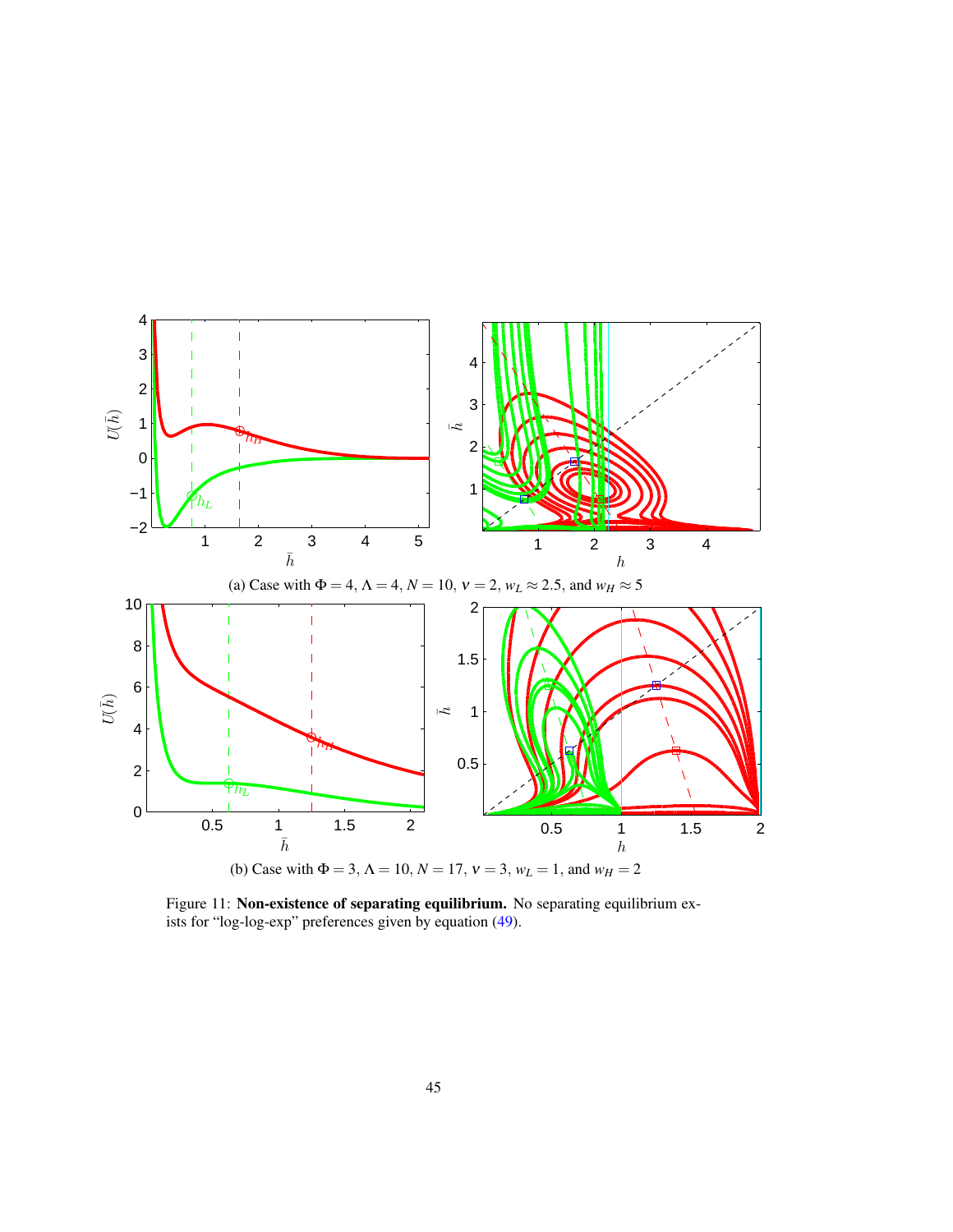

Figure 11: Non-existence of separating equilibrium. No separating equilibrium exists for "log-log-exp" preferences given by equation (49).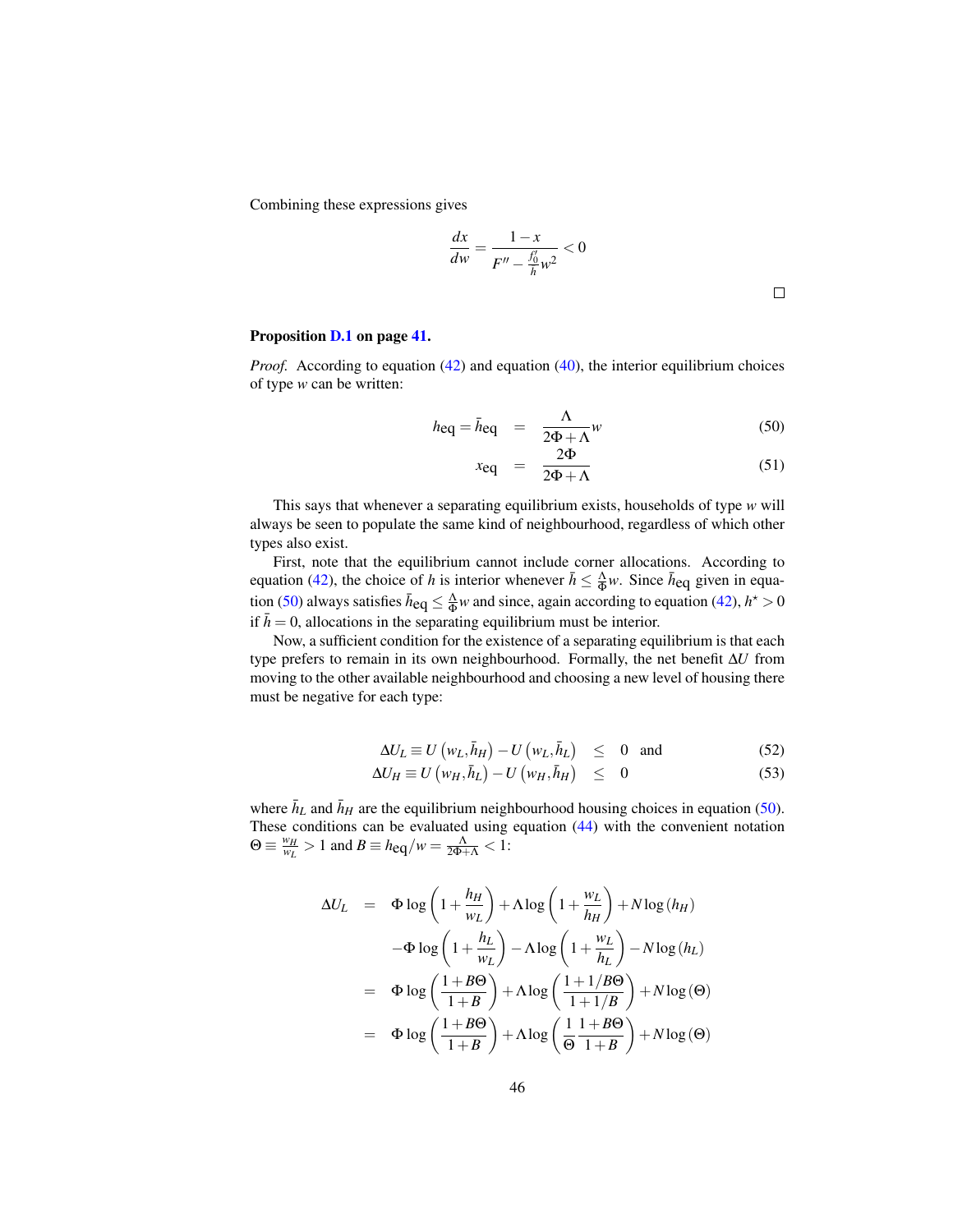Combining these expressions gives

$$
\frac{dx}{dw} = \frac{1 - x}{F'' - \frac{f'_0}{h}w^2} < 0
$$

#### Proposition D.1 on page 41.

*Proof.* According to equation (42) and equation (40), the interior equilibrium choices of type *w* can be written:

$$
h_{\text{eq}} = \bar{h}_{\text{eq}} = \frac{\Lambda}{2\Phi + \Lambda} w \tag{50}
$$

$$
x_{\text{eq}} = \frac{2\Phi}{2\Phi + \Lambda} \tag{51}
$$

This says that whenever a separating equilibrium exists, households of type *w* will always be seen to populate the same kind of neighbourhood, regardless of which other types also exist.

First, note that the equilibrium cannot include corner allocations. According to equation (42), the choice of *h* is interior whenever  $\bar{h} \leq \frac{\Lambda}{\Phi} w$ . Since  $\bar{h}_{eq}$  given in equation (50) always satisfies  $\bar{h}_{eq} \leq \frac{\Lambda}{\Phi} w$  and since, again according to equation (42),  $h^* > 0$ if  $\bar{h} = 0$ , allocations in the separating equilibrium must be interior.

Now, a sufficient condition for the existence of a separating equilibrium is that each type prefers to remain in its own neighbourhood. Formally, the net benefit ∆*U* from moving to the other available neighbourhood and choosing a new level of housing there must be negative for each type:

$$
\Delta U_L \equiv U(\mathbf{w}_L, \bar{h}_H) - U(\mathbf{w}_L, \bar{h}_L) \leq 0 \text{ and } (52)
$$

$$
\Delta U_H \equiv U\left(w_H, \bar{h}_L\right) - U\left(w_H, \bar{h}_H\right) \leq 0 \tag{53}
$$

where  $\bar{h}_L$  and  $\bar{h}_H$  are the equilibrium neighbourhood housing choices in equation (50). These conditions can be evaluated using equation (44) with the convenient notation  $\Theta \equiv \frac{w_H}{w_L} > 1$  and  $B \equiv h_{eq}/w = \frac{\Lambda}{2\Phi + \Lambda} < 1$ :

$$
\Delta U_L = \Phi \log \left( 1 + \frac{h_H}{w_L} \right) + \Lambda \log \left( 1 + \frac{w_L}{h_H} \right) + N \log (h_H)
$$

$$
-\Phi \log \left( 1 + \frac{h_L}{w_L} \right) - \Lambda \log \left( 1 + \frac{w_L}{h_L} \right) - N \log (h_L)
$$

$$
= \Phi \log \left( \frac{1 + B\Theta}{1 + B} \right) + \Lambda \log \left( \frac{1 + 1/B\Theta}{1 + 1/B} \right) + N \log (\Theta)
$$

$$
= \Phi \log \left( \frac{1 + B\Theta}{1 + B} \right) + \Lambda \log \left( \frac{1 + B\Theta}{\Theta} \right) + N \log (\Theta)
$$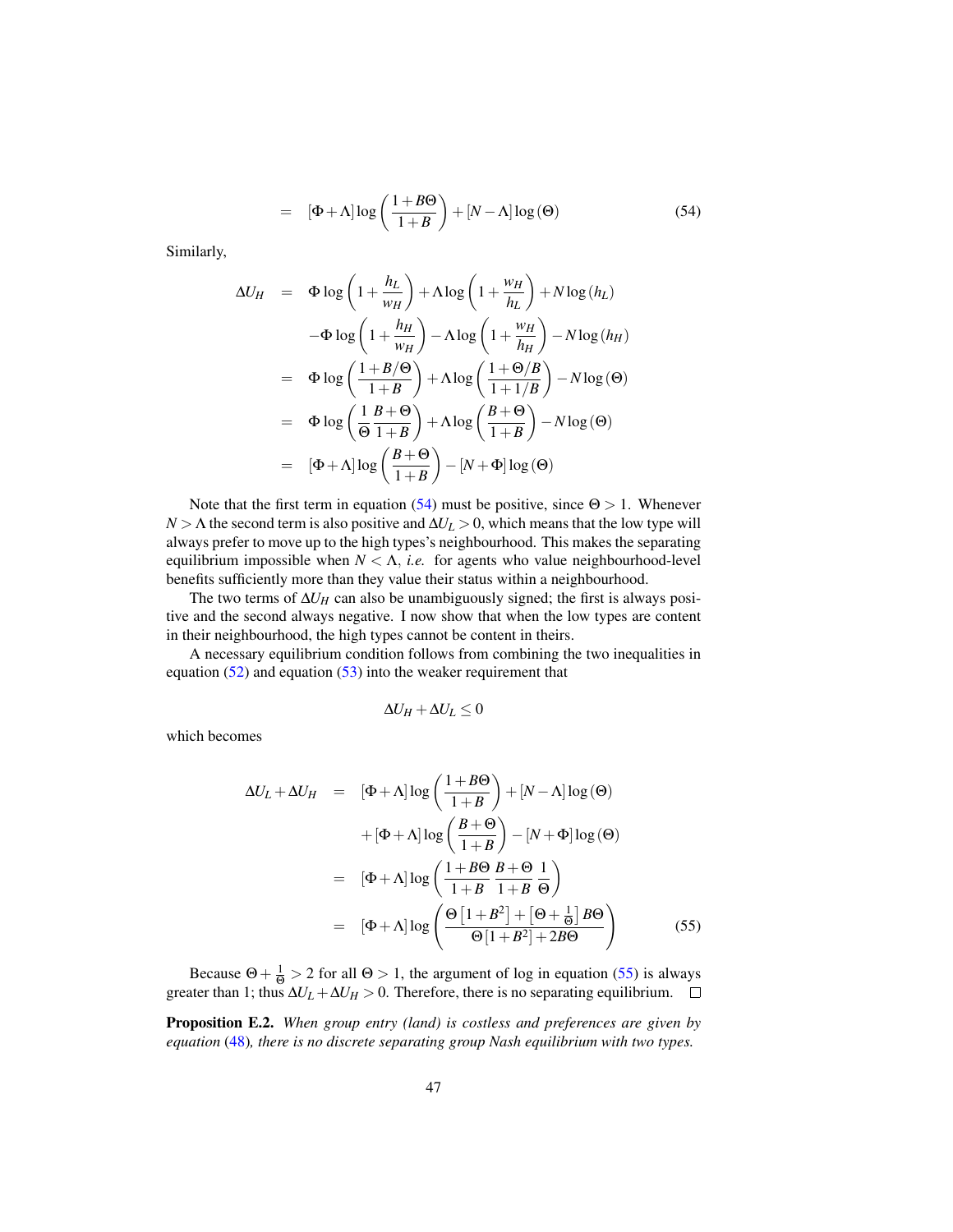$$
= [\Phi + \Lambda] \log \left( \frac{1 + B\Theta}{1 + B} \right) + [N - \Lambda] \log (\Theta) \tag{54}
$$

Similarly,

$$
\Delta U_H = \Phi \log \left( 1 + \frac{h_L}{w_H} \right) + \Lambda \log \left( 1 + \frac{w_H}{h_L} \right) + N \log (h_L)
$$
  

$$
-\Phi \log \left( 1 + \frac{h_H}{w_H} \right) - \Lambda \log \left( 1 + \frac{w_H}{h_H} \right) - N \log (h_H)
$$
  

$$
= \Phi \log \left( \frac{1 + B/\Theta}{1 + B} \right) + \Lambda \log \left( \frac{1 + \Theta/B}{1 + 1/B} \right) - N \log (\Theta)
$$
  

$$
= \Phi \log \left( \frac{1}{\Theta} \frac{B + \Theta}{1 + B} \right) + \Lambda \log \left( \frac{B + \Theta}{1 + B} \right) - N \log (\Theta)
$$
  

$$
= [\Phi + \Lambda] \log \left( \frac{B + \Theta}{1 + B} \right) - [N + \Phi] \log (\Theta)
$$

Note that the first term in equation (54) must be positive, since  $\Theta > 1$ . Whenever  $N > \Lambda$  the second term is also positive and  $\Delta U_L > 0$ , which means that the low type will always prefer to move up to the high types's neighbourhood. This makes the separating equilibrium impossible when  $N < \Lambda$ , *i.e.* for agents who value neighbourhood-level benefits sufficiently more than they value their status within a neighbourhood.

The two terms of  $\Delta U_H$  can also be unambiguously signed; the first is always positive and the second always negative. I now show that when the low types are content in their neighbourhood, the high types cannot be content in theirs.

A necessary equilibrium condition follows from combining the two inequalities in equation  $(52)$  and equation  $(53)$  into the weaker requirement that

$$
\Delta U_H + \Delta U_L \leq 0
$$

which becomes

$$
\Delta U_L + \Delta U_H = [\Phi + \Lambda] \log \left( \frac{1 + B\Theta}{1 + B} \right) + [N - \Lambda] \log (\Theta)
$$

$$
+ [\Phi + \Lambda] \log \left( \frac{B + \Theta}{1 + B} \right) - [N + \Phi] \log (\Theta)
$$

$$
= [\Phi + \Lambda] \log \left( \frac{1 + B\Theta}{1 + B} \frac{B + \Theta}{1 + B} \frac{1}{\Theta} \right)
$$

$$
= [\Phi + \Lambda] \log \left( \frac{\Theta \left[ 1 + B^2 \right] + \left[ \Theta + \frac{1}{\Theta} \right] B\Theta}{\Theta \left[ 1 + B^2 \right] + 2B\Theta} \right) \tag{55}
$$

Because  $\Theta + \frac{1}{\Theta} > 2$  for all  $\Theta > 1$ , the argument of log in equation (55) is always greater than 1; thus  $\Delta U_L + \Delta U_H > 0$ . Therefore, there is no separating equilibrium.

Proposition E.2. *When group entry (land) is costless and preferences are given by equation* (48)*, there is no discrete separating group Nash equilibrium with two types.*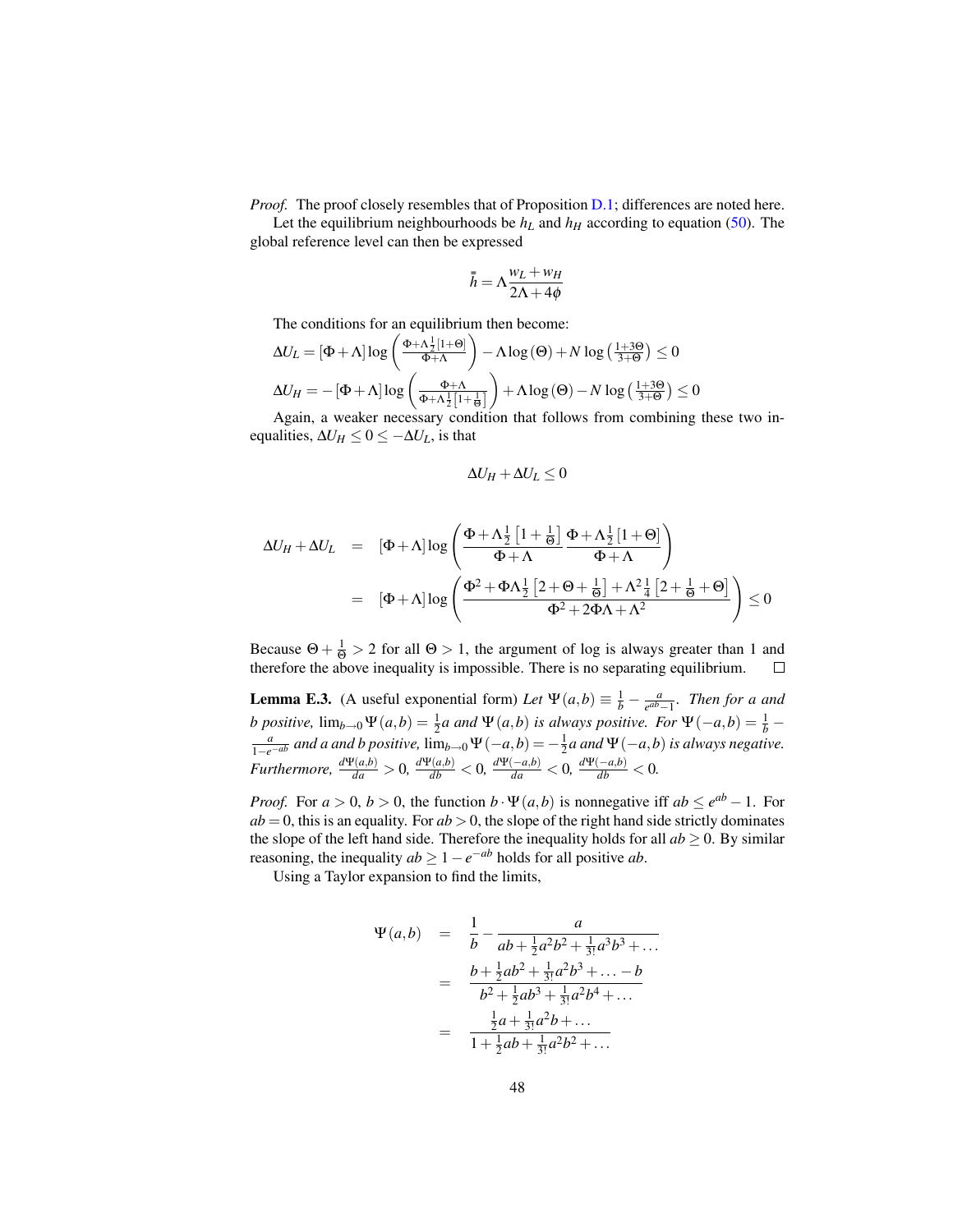*Proof.* The proof closely resembles that of Proposition D.1; differences are noted here.

Let the equilibrium neighbourhoods be  $h<sub>L</sub>$  and  $h<sub>H</sub>$  according to equation (50). The global reference level can then be expressed

$$
\bar{\bar{h}} = \Lambda \frac{w_L + w_H}{2\Lambda + 4\phi}
$$

The conditions for an equilibrium then become:

$$
\Delta U_L = [\Phi + \Lambda] \log \left( \frac{\Phi + \Lambda \frac{1}{2} [1 + \Theta]}{\Phi + \Lambda} \right) - \Lambda \log (\Theta) + N \log \left( \frac{1 + 3\Theta}{3 + \Theta} \right) \le 0
$$
  

$$
\Delta U_H = -[\Phi + \Lambda] \log \left( \frac{\Phi + \Lambda}{\Phi + \Lambda \frac{1}{2} [1 + \frac{1}{\Theta}]} \right) + \Lambda \log (\Theta) - N \log \left( \frac{1 + 3\Theta}{3 + \Theta} \right) \le 0
$$

Again, a weaker necessary condition that follows from combining these two inequalities,  $\Delta U_H \leq 0 \leq -\Delta U_L$ , is that

$$
\Delta U_H + \Delta U_L \leq 0
$$

$$
\Delta U_H + \Delta U_L = [\Phi + \Lambda] \log \left( \frac{\Phi + \Lambda \frac{1}{2} \left[ 1 + \frac{1}{\Theta} \right]}{\Phi + \Lambda} \frac{\Phi + \Lambda \frac{1}{2} \left[ 1 + \Theta \right]}{\Phi + \Lambda} \right)
$$
  
=  $[\Phi + \Lambda] \log \left( \frac{\Phi^2 + \Phi \Lambda \frac{1}{2} \left[ 2 + \Theta + \frac{1}{\Theta} \right] + \Lambda^2 \frac{1}{4} \left[ 2 + \frac{1}{\Theta} + \Theta \right]}{\Phi^2 + 2\Phi \Lambda + \Lambda^2} \right) \le 0$ 

Because  $\Theta + \frac{1}{\Theta} > 2$  for all  $\Theta > 1$ , the argument of log is always greater than 1 and therefore the above inequality is impossible. There is no separating equilibrium.  $\Box$ 

**Lemma E.3.** (A useful exponential form) *Let*  $\Psi(a,b) \equiv \frac{1}{b} - \frac{a}{e^{ab}}$ . *e ab*−1 *. Then for a and b* positive,  $\lim_{b\to 0} \Psi(a,b) = \frac{1}{2}a$  and  $\Psi(a,b)$  is always positive. For  $\Psi(-a,b) = \frac{1}{b}$  $\frac{a}{1-e^{-ab}}$  *and a and b positive,* lim<sub>*b*→0</sub> Ψ(−*a*,*b*) = − $\frac{1}{2}$ *a and* Ψ(−*a*,*b*) *is always negative.* Furthermore,  $\frac{d\Psi(a,b)}{da} > 0$ ,  $\frac{d\Psi(a,b)}{db} < 0$ ,  $\frac{d\Psi(-a,b)}{da} < 0$ ,  $\frac{d\Psi(-a,b)}{db} < 0$ .

*Proof.* For  $a > 0$ ,  $b > 0$ , the function  $b \cdot \Psi(a, b)$  is nonnegative iff  $ab \le e^{ab} - 1$ . For  $ab = 0$ , this is an equality. For  $ab > 0$ , the slope of the right hand side strictly dominates the slope of the left hand side. Therefore the inequality holds for all  $ab \ge 0$ . By similar reasoning, the inequality  $ab \geq 1 - e^{-ab}$  holds for all positive *ab*.

Using a Taylor expansion to find the limits,

$$
\Psi(a,b) = \frac{1}{b} - \frac{a}{ab + \frac{1}{2}a^2b^2 + \frac{1}{3!}a^3b^3 + \dots}
$$

$$
= \frac{b + \frac{1}{2}ab^2 + \frac{1}{3!}a^2b^3 + \dots - b}{b^2 + \frac{1}{2}ab^3 + \frac{1}{3!}a^2b^4 + \dots}
$$

$$
= \frac{\frac{1}{2}a + \frac{1}{3!}a^2b + \dots}{1 + \frac{1}{2}ab + \frac{1}{3!}a^2b^2 + \dots}
$$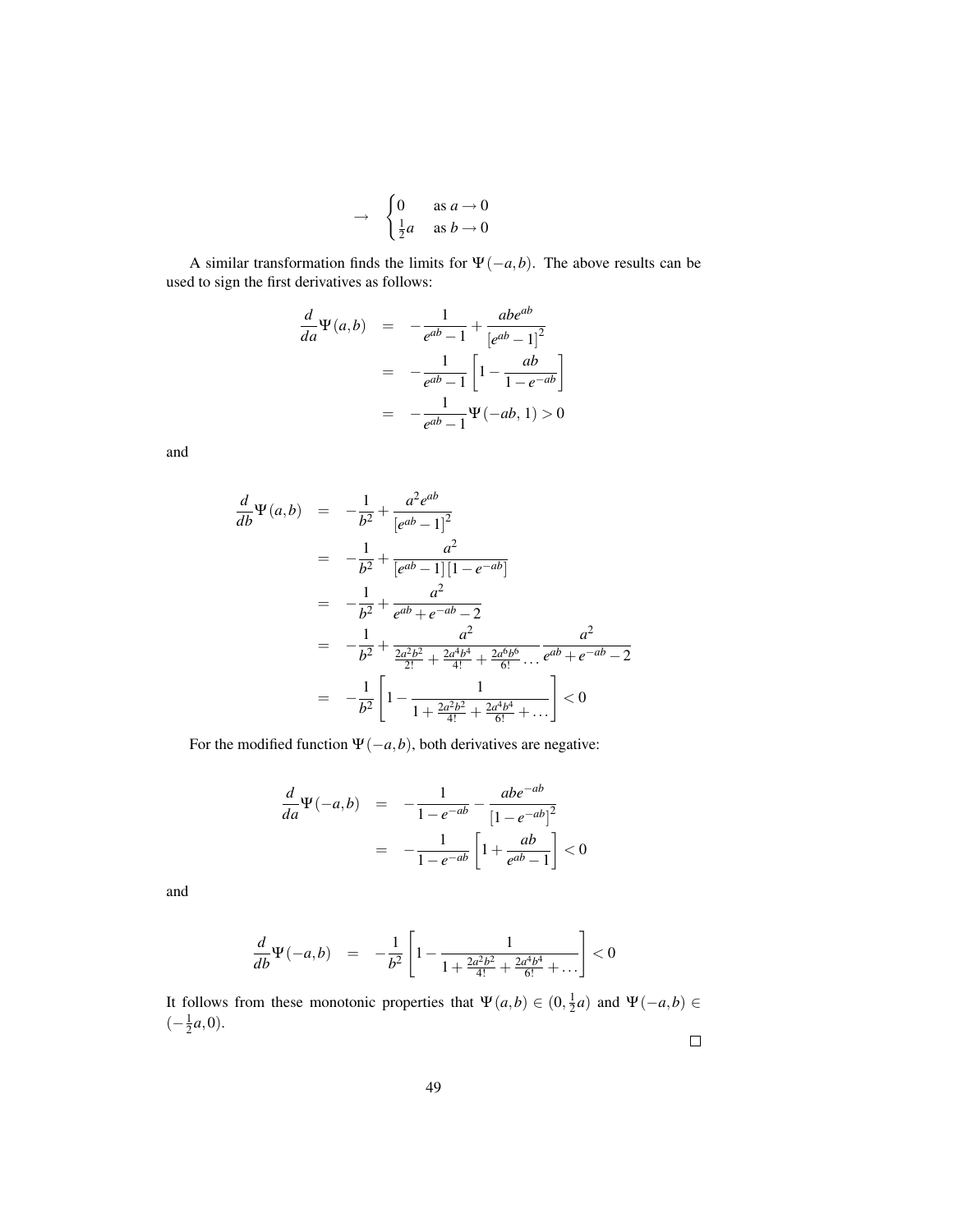$$
\rightarrow \begin{cases} 0 & \text{as } a \to 0 \\ \frac{1}{2}a & \text{as } b \to 0 \end{cases}
$$

A similar transformation finds the limits for  $\Psi(-a,b)$ . The above results can be used to sign the first derivatives as follows:

$$
\frac{d}{da}\Psi(a,b) = -\frac{1}{e^{ab}-1} + \frac{abe^{ab}}{[e^{ab}-1]^2}
$$

$$
= -\frac{1}{e^{ab}-1} \left[ 1 - \frac{ab}{1-e^{-ab}} \right]
$$

$$
= -\frac{1}{e^{ab}-1} \Psi(-ab, 1) > 0
$$

and

$$
\frac{d}{db}\Psi(a,b) = -\frac{1}{b^2} + \frac{a^2e^{ab}}{[e^{ab}-1]^2}
$$
\n
$$
= -\frac{1}{b^2} + \frac{a^2}{[e^{ab}-1][1-e^{-ab}]}
$$
\n
$$
= -\frac{1}{b^2} + \frac{a^2}{e^{ab}+e^{-ab}-2}
$$
\n
$$
= -\frac{1}{b^2} + \frac{a^2}{\frac{2a^2b^2}{2!} + \frac{2a^4b^4}{4!} + \frac{2a^6b^6}{6!} \dots} \frac{a^2}{e^{ab}+e^{-ab}-2}
$$
\n
$$
= -\frac{1}{b^2} \left[ 1 - \frac{1}{1 + \frac{2a^2b^2}{4!} + \frac{2a^4b^4}{6!} + \dots} \right] < 0
$$

For the modified function  $\Psi(-a,b)$ , both derivatives are negative:

$$
\frac{d}{da}\Psi(-a,b) = -\frac{1}{1-e^{-ab}} - \frac{abe^{-ab}}{[1-e^{-ab}]^2}
$$

$$
= -\frac{1}{1-e^{-ab}} \left[1 + \frac{ab}{e^{ab}-1}\right] < 0
$$

and

$$
\frac{d}{db}\Psi(-a,b) = -\frac{1}{b^2} \left[ 1 - \frac{1}{1 + \frac{2a^2b^2}{4!} + \frac{2a^4b^4}{6!} + \dots} \right] < 0
$$

It follows from these monotonic properties that  $\Psi(a,b) \in (0, \frac{1}{2}a)$  and  $\Psi(-a,b) \in$  $(-\frac{1}{2}a,0).$ 

 $\Box$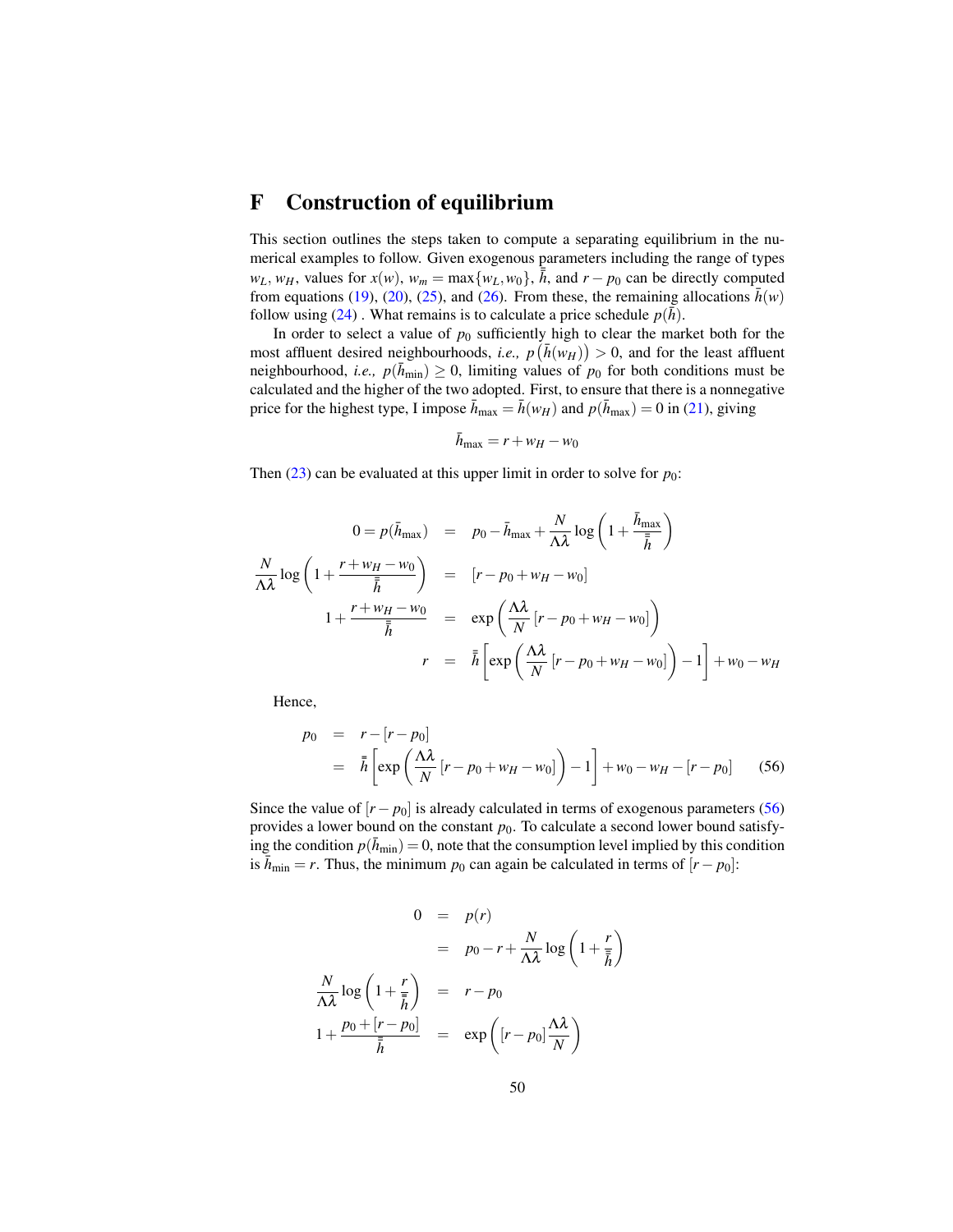## F Construction of equilibrium

This section outlines the steps taken to compute a separating equilibrium in the numerical examples to follow. Given exogenous parameters including the range of types  $w_L$ ,  $w_H$ , values for  $x(w)$ ,  $w_m = \max\{w_L, w_0\}$ ,  $\overline{\overline{h}}$ , and  $r - p_0$  can be directly computed from equations (19), (20), (25), and (26). From these, the remaining allocations  $\bar{h}(w)$ follow using (24). What remains is to calculate a price schedule  $p(\bar{h})$ .

In order to select a value of  $p_0$  sufficiently high to clear the market both for the most affluent desired neighbourhoods, *i.e.*,  $p(\bar{h}(w_H)) > 0$ , and for the least affluent neighbourhood, *i.e.*,  $p(\bar{h}_{\min}) \geq 0$ , limiting values of  $p_0$  for both conditions must be calculated and the higher of the two adopted. First, to ensure that there is a nonnegative price for the highest type, I impose  $\bar{h}_{\text{max}} = \bar{h}(w_H)$  and  $p(\bar{h}_{\text{max}}) = 0$  in (21), giving

$$
\bar{h}_{\text{max}} = r + w_H - w_0
$$

Then  $(23)$  can be evaluated at this upper limit in order to solve for  $p_0$ :

$$
0 = p(\bar{h}_{\max}) = p_0 - \bar{h}_{\max} + \frac{N}{\Lambda \lambda} \log \left( 1 + \frac{\bar{h}_{\max}}{\bar{h}} \right)
$$
  

$$
\frac{N}{\Lambda \lambda} \log \left( 1 + \frac{r + w_H - w_0}{\bar{h}} \right) = [r - p_0 + w_H - w_0]
$$
  

$$
1 + \frac{r + w_H - w_0}{\bar{h}} = \exp \left( \frac{\Lambda \lambda}{N} [r - p_0 + w_H - w_0] \right)
$$
  

$$
r = \bar{h} \left[ \exp \left( \frac{\Lambda \lambda}{N} [r - p_0 + w_H - w_0] \right) - 1 \right] + w_0 - w_H
$$

Hence,

$$
p_0 = r - [r - p_0]
$$
  
=  $\bar{h} \left[ exp \left( \frac{\Lambda \lambda}{N} [r - p_0 + w_H - w_0] \right) - 1 \right] + w_0 - w_H - [r - p_0]$  (56)

Since the value of  $[r - p_0]$  is already calculated in terms of exogenous parameters (56) provides a lower bound on the constant  $p_0$ . To calculate a second lower bound satisfying the condition  $p(\bar{h}_{\min}) = 0$ , note that the consumption level implied by this condition is  $\bar{h}_{\text{min}} = r$ . Thus, the minimum  $p_0$  can again be calculated in terms of  $[r - p_0]$ :

$$
0 = p(r)
$$
  
=  $p_0 - r + \frac{N}{\Lambda \lambda} \log \left(1 + \frac{r}{\overline{h}}\right)$   

$$
\frac{N}{\Lambda \lambda} \log \left(1 + \frac{r}{\overline{h}}\right) = r - p_0
$$
  

$$
1 + \frac{p_0 + [r - p_0]}{\overline{h}} = \exp \left([r - p_0] \frac{\Lambda \lambda}{N}\right)
$$